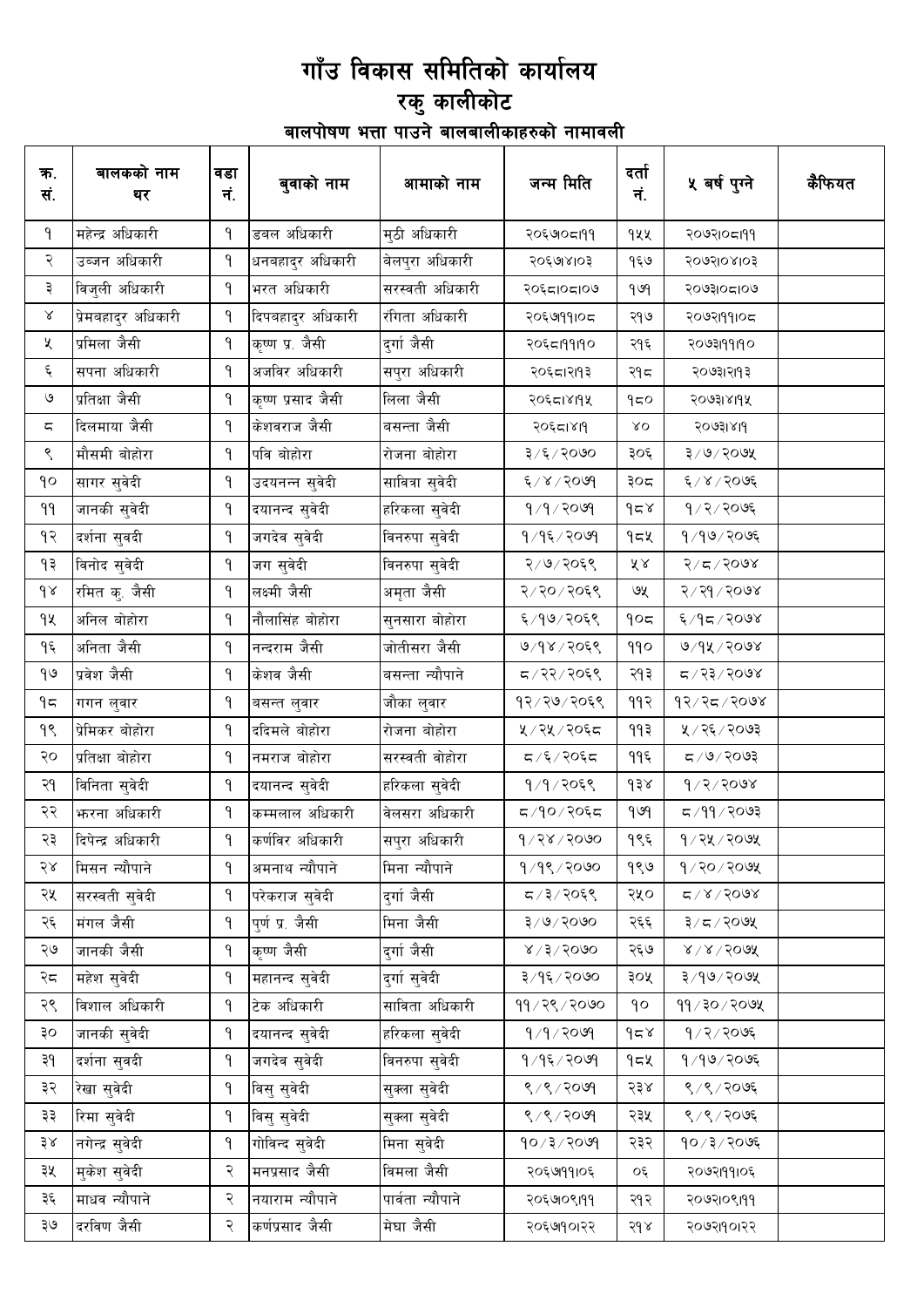#### गाँउ विकास समितिको कार्यालय स्तर स्थानकोट<br>बालपोषण भत्ता पाउने बालबालीकाहरुको नामावली

| क.<br>सं.        | बालकको नाम<br>थर    | वडा<br>नं.   | बुवाको नाम        | आमाको नाम        | जन्म मिति                         | दर्ता<br>नं.     | ५ वर्ष पुग्ने                | कैफियत |
|------------------|---------------------|--------------|-------------------|------------------|-----------------------------------|------------------|------------------------------|--------|
| ۹                | महेन्द्र अधिकारी    | ۹            | डबल अधिकारी       | मुठी अधिकारी     | २०६७०८१११                         | १५५              | २०७२१०८१११                   |        |
| २                | उब्जन अधिकारी       | ۹            | धनबहादुर अधिकारी  | बेलपुरा अधिकारी  | २०६७४१०३                          | १६७              | २०७२।०४।०३                   |        |
| ३                | विजुली अधिकारी      | ۹            | भरत अधिकारी       | सरस्वती अधिकारी  | २०६८।०८।०७                        | 969              | २०७३।०८।०७                   |        |
| Χ                | प्रेमबहादुर अधिकारी | ۹            | दिपबहादुर अधिकारी | रंगिता अधिकारी   | २०६७१११०८                         | २१७              | २०७२।११।०८                   |        |
| Κ                | प्रमिला जैसी        | ۹            | कृष्ण प्र. जैसी   | दुर्गा जैसी      | २०६८।११।१०                        | २१६              | २०७३।१११०                    |        |
| ६                | सपना अधिकारी        | ۹            | अजविर अधिकारी     | सपुरा अधिकारी    | २०६८।२११३                         | २१८              | २०७३।२।१३                    |        |
| ও                | प्रतिक्षा जैसी      | ۹            | कृष्ण प्रसाद जैसी | लिला जैसी        | २०६८।४११५                         | 950              | २०७३।४११५                    |        |
| ς                | दिलमाया जैसी        | ۹            | केशवराज जैसी      | बसन्ता जैसी      | २०६८।४११                          | $X^{\mathbf{O}}$ | २०७३।४११                     |        |
| ९                | मौसमी बोहोरा        | ۹            | पवि बोहोरा        | रोजना बोहोरा     | ३/६/२०७०                          | ३०६              | ३/७/२०७५                     |        |
| $\gamma$         | सागर सुवेदी         | ۹            | उदयनन्न सुवेदी    | सावित्रा सुवेदी  | ६/४/२०७१                          | ३०८              | ६/४/२०७६                     |        |
| ۹۹               | जानकी सुवेदी        | ۹            | दयानन्द सुवेदी    | हरिकला सुवेदी    | १/१/२०७१                          | 958              | $9/2/20$ ७६                  |        |
| १२               | दर्शना सुवदी        | ۹            | जगदेव सुवेदी      | विनरुपा सुवेदी   | १/१६/२०७१                         | १८५              | 9/99/2096                    |        |
| ۹₹               | विनोद सुवेदी        | ۹            | जग सुवेदी         | विनरुपा सुवेदी   | २/७/२०६९                          | ४४               | $8005/70$ र                  |        |
| $\delta \lambda$ | रमित कृ. जैसी       | $\mathsf{P}$ | लक्ष्मी जैसी      | अमृता जैसी       | २/२०/२०६९                         | ७५               | २/२१/२०७४                    |        |
| qy               | अनिल बोहोरा         | $\mathsf{P}$ | नौलासिंह बोहोरा   | सुनसारा बोहोरा   | ६/१७/२०६९                         | 905              | ६/१८/२०७४                    |        |
| ۹६               | अनिता जैसी          | ۹            | नन्दराम जैसी      | जोतीसरा जैसी     | ७/१४/२०६९                         | 990              | $9/9$ k $/200$ y             |        |
| 90               | प्रवेश जैसी         | ۹            | केशव जैसी         | बसन्ता न्यौपाने  | द / २२ / २०६९                     | २१३              | द / २३ / २०७४                |        |
| ۹ς               | गगन लुवार           | ۹            | बसन्त लुवार       | जौका लुवार       | १२⁄२७⁄२०६९                        | 992              | 92/25/2008                   |        |
| ٩Ś               | प्रेमिकर बोहोरा     | ۹            | ददिमले बोहोरा     | रोजना बोहोरा     | ५ ⁄ २५ ⁄ २०६८                     | ११३              | ५ / २६ / २०७३                |        |
| २०               | प्रतिक्षा बोहोरा    | ۹            | नमराज बोहोरा      | सरस्वती वोहोरा   | $\frac{1}{2}$ $\sqrt{2}/\sqrt{2}$ | ११६              | $500$ २०७३                   |        |
| २१               | विनिता सुवेदी       | ۹            | दयानन्द सुवेदी    | हरिकला सुवेदी    | १/१/२०६९                          | ds               | 9/2/3008                     |        |
| २२               | फरना अधिकारी        | ۹            | कम्मलाल अधिकारी   | वेलसरा अधिकारी   | द ⁄१०/२०६द                        | gug              | द ⁄ ११ ⁄ २०७३                |        |
| २३               | दिपेन्द्र अधिकारी   | 9.           | कर्णविर अधिकारी   | सपुरा अधिकारी    | 9/38/5000                         | १९६              | १⁄२५⁄२०७५                    |        |
| २४               | मिसन न्यौपाने       | ৭            | अमनाथ न्यौपाने    | मिना न्यौपाने    | १/१९/२०७०                         | १९७              | $9$ /२०/२०७५                 |        |
| २५               | सरस्वती सुवेदी      | ۹            | परेकराज सुवेदी    | दुर्गाजैसी       | ८/३/२०६९                          | २५०              | 8005/8                       |        |
| २६               | मंगल जैसी           | ۹            | पुर्ण प्र. जैसी   | मिना जैसी        | $8\sqrt{6}\sqrt{2}$               | २६६              | ३/८/२०७५                     |        |
| २७               | जानकी जैसी          | ۹            | कृष्ण जैसी        | दुर्गाजैसी       | $8 \times 15 \times 600$          | २६७              | $8 \times 15000$             |        |
| २८               | महेश सुवेदी         | ۹            | महानन्द सुवेदी    | दुर्गा सुवेदी    | ३/१६/२०७०                         | ३०५              | $3/90$ / 2002                |        |
| २९               | विशाल अधिकारी       | ۹            | टेक अधिकारी       | साविता अधिकारी   | ११/२९/२०७०                        | ρρ               | $99 \times 10$ ह $\sqrt{99}$ |        |
| ३०               | जानकी सुवेदी        | ۹            | दयानन्द सुवेदी    | हरिकला सुवेदी    | 9/9/2099                          | $\delta$         | $9/2/20$ ७६                  |        |
| ३१               | दर्शना सुवदी        | $\mathsf{P}$ | जगदेव सुवेदी      | विनरुपा सुवेदी   | १/१६/२०७१                         | १८५              | १/१७/२०७६                    |        |
| ३२               | रेखा सुवेदी         | ۹            | विसु सुवेदी       | सुक्ला सुवेदी    | 8/8/2099                          | २३४              | ९/९/२०७६                     |        |
| ३३               | रिमा सुवेदी         | ۹            | विसु सुवेदी       | सुक्ला सुवेदी    | ९/९/२०७१                          | २३५              | ९/९/२०७६                     |        |
| ३४               | नगेन्द्र सुवेदी     | ۹            | गोविन्द सुवेदी    | मिना सुवेदी      | 90/3/209                          | २३२              | १०/३/२०७६                    |        |
| ३५               | मुकेश सुवेदी        | २            | मनप्रसाद जैसी     | विमला जैसी       | २०६७१११०६                         | ०६               | २०७२।११।०६                   |        |
| ३६               | माधव न्यौपाने       | २            | नयाराम न्यौपाने   | पार्वता न्यौपाने | २०६७०९१११                         | २१२              | २०७२१०९१११                   |        |
| २७               | दरविण जैसी          | २            | कर्णप्रसाद जैसी   | मेघा जैसी        | २०६७१०१२२                         | 56               | २०७२११०१२२                   |        |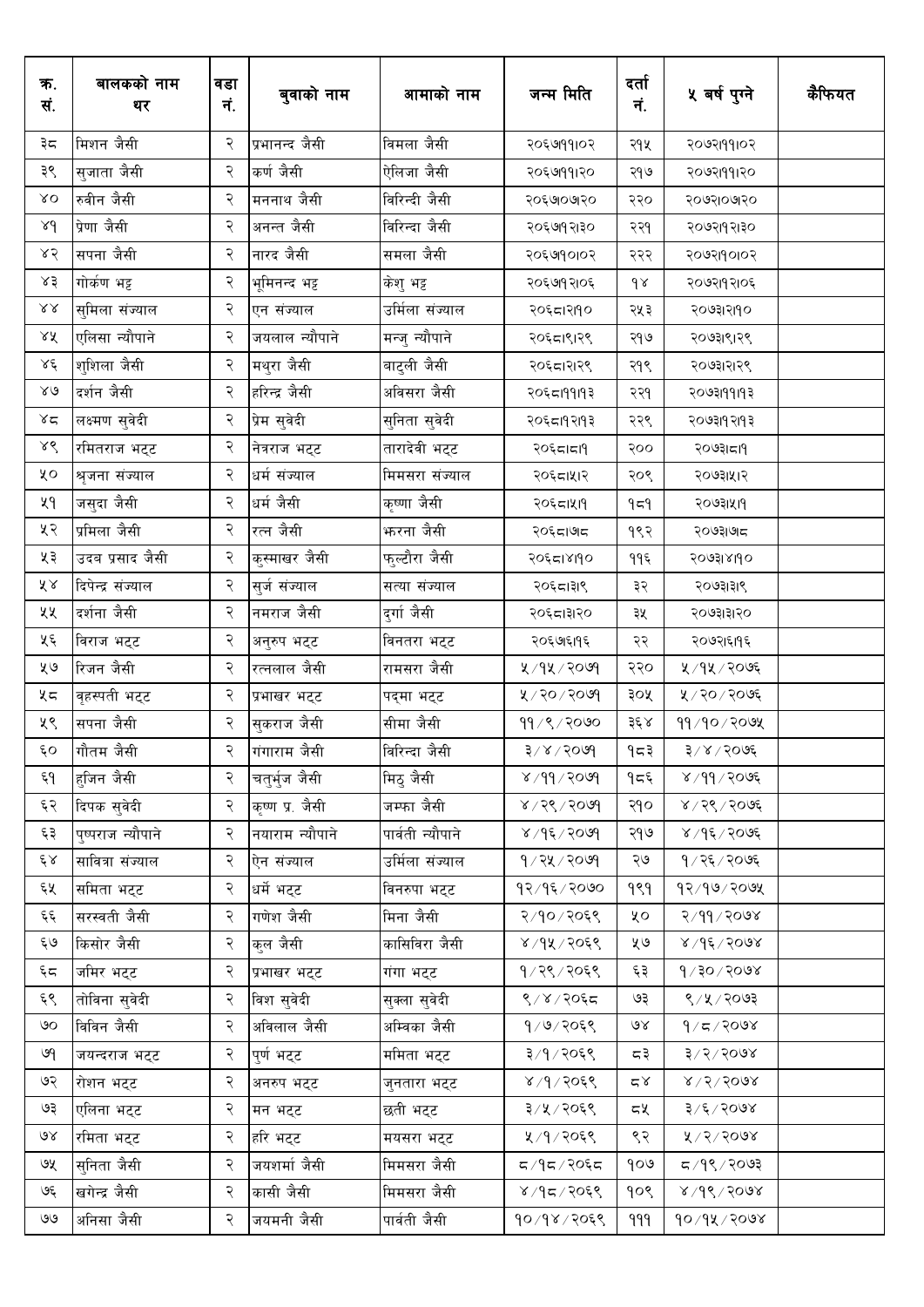| क.<br>सं.           | बालकको नाम<br>थर  | वडा<br>नं. | बुवाको नाम      | आमाको नाम        | जन्म मिति               | दर्ता<br>नं. | ५ वर्ष पुग्ने        | कैफियत |
|---------------------|-------------------|------------|-----------------|------------------|-------------------------|--------------|----------------------|--------|
| ३८                  | मिशन जैसी         | २          | प्रभानन्द जैसी  | विमला जैसी       | २०६७१११०२               | २१५          | २०७२।११।०२           |        |
| ३९                  | सुजाता जैसी       | २          | कर्ण जैसी       | ऐलिजा जैसी       | २०६७१११२०               | २१७          | २०७२।११।२०           |        |
| $\lambda\,O$        | रुवीन जैसी        | २          | मननाथ जैसी      | विरिन्दी जैसी    | २०६७०७१०                | २२०          | २०७२।०७१०            |        |
| 8d                  | प्रेणा जैसी       | २          | अनन्त जैसी      | विरिन्दा जैसी    | २०६७१२।३०               | २२१          | २०७२।१२।३०           |        |
| ४२                  | सपना जैसी         | २          | नारद जैसी       | समला जैसी        | २०६७१०१०२               | २२२          | २०७२।१०१०२           |        |
| ४३                  | गोर्कण भट्ट       | २          | भूमिनन्द भट्ट   | केशु भट्ट        | २०६७१२१०६               | $d \lambda$  | २०७२।१२।०६           |        |
| $\lambda\lambda$    | सुमिला संज्याल    | २          | एन संज्याल      | उर्मिला संज्याल  | २०६८।२११०               | २५३          | २०७३।२११०            |        |
| ४५                  | एलिसा न्यौपाने    | २          | जयलाल न्यौपाने  | मन्जु न्यौपाने   | २०६८।९।२९               | २१७          | २०७३।९।२९            |        |
| $\lambda \xi$       | शुशिला जैसी       | २          | मथुरा जैसी      | बाटुली जैसी      | २०६८।२१२९               | २१९          | २०७३।२।२९            |        |
| $80^{\circ}$        | दर्शन जैसी        | २          | हरिन्द्र जैसी   | अविसरा जैसी      | २०६८।११।१३              | २२१          | २०७३।११।१३           |        |
| $x^2$               | लक्ष्मण सुवेदी    | २          | प्रेम सुवेदी    | सुनिता सुवेदी    | २०६८।१२।१३              | २२९          | २०७३।१२।१३           |        |
| ४९                  | रमितराज भट्ट      | २          | नेत्रराज भट्ट   | तारादेवी भट्ट    | २०६८।८१                 | २००          | २०७३।दा9             |        |
| ५०                  | श्रृजना संज्याल   | २          | धर्म संज्याल    | मिमसरा संज्याल   | २०६८।५१२                | २०९          | २०७३।५१२             |        |
| ५१                  | जसुदा जैसी        | २          | धर्म जैसी       | कृष्णा जैसी      | २०६८।५११                | 959          | २०७३।५११             |        |
| ५२                  | प्रमिला जैसी      | २          | रत्न जैसी       | फरना जैसी        | २०६८।७८                 | १९२          | २०७३।७।८             |        |
| ५३                  | उदब प्रसाद जैसी   | २          | कुस्माखर जैसी   | फुल्टौरा जैसी    | २०६८।४११०               | ११६          | २०७३।४।१०            |        |
| $\tilde{\lambda}$ & | दिपेन्द्र संज्याल | २          | सुर्ज संज्याल   | सत्या संज्याल    | २०६८।३१९                | ३२           | २०७३।३।९             |        |
| ५५                  | दर्शना जैसी       | २          | नमराज जैसी      | दुर्गाजैसी       | २०६८।३१२०               | ३५           | २०७३।३।२०            |        |
| ५६                  | विराज भट्ट        | २          | अनुरुप भट्ट     | विनतरा भट्ट      | २०६७।६११६               | २२           | २०७२।६।१६            |        |
| ५७                  | रिजन जैसी         | २          | रत्नलाल जैसी    | रामसरा जैसी      | ५/१५/२०७१               | २२०          | ५ / १५ / २०७६        |        |
| ५८                  | वृहस्पती भट्ट     | २          | प्रभाखर भट्ट    | पद्मा भट्ट       | ५/२०/२०७९               | ३०५          | ५/२०/२०७६            |        |
| ५९                  | सपना जैसी         | २          | सुकराज जैसी     | सीमा जैसी        | 99/९/२०७०               | ३६ ४         | ११/१०/२०७५           |        |
| $\epsilon$ o        | गौतम जैसी         | २          | गंगाराम जैसी    | विरिन्दा जैसी    | ३/४/२०७१                | १८३          | ३/४/२०७६             |        |
| وم                  | हुजिन जैसी        | २          | चतुर्भुज जैसी   | मिठ् जैसी        | $809/99 \times$         | १८६          | 8/99/2096            |        |
| ६२                  | दिपक सुवेदी       | २          | कृष्ण प्र. जैसी | जम्फा जैसी       | $8009 \times 25 \times$ | २१०          | ४ / २९ / २०७६        |        |
| ६३                  | पुष्पराज न्यौपाने | २          | नयाराम न्यौपाने | पार्वती न्यौपाने | $8005 \times 96$        | २१७          | 8005/96              |        |
| ٤X                  | सावित्रा संज्याल  | २          | ऐन संज्याल      | उर्मिला संज्याल  | $9/72$ y / 2019         | २७           | १ / २६ / २०७६        |        |
| ६५                  | समिता भट्ट        | २          | धर्मे भट्ट      | विनरुपा भट्ट     | १२/१६/२०७०              | १९१          | $93/90$ , 90%        |        |
| و<br>نو             | सरस्वती जैसी      | २          | गणेश जैसी       | मिना जैसी        | २/१०/२०६९               | ५०           | २/११/२०७४            |        |
| ६७                  | किसोर जैसी        | २          | क्ल जैसी        | कासिविरा जैसी    | ४/१५/२०६९               | ५७           | 8005/96              |        |
| $\epsilon \simeq$   | जमिर भट्ट         | २          | प्रभाखर भट्ट    | गंगा भट्ट        | १/२९/२०६९               | ६३           | $800$ २०६ $\sqrt{9}$ |        |
| ६९                  | तोविना सुवेदी     | २          | विश सुवेदी      | सुक्ला सुवेदी    | $8/8/20$ ६८             | ও३           | 8/4/3003             |        |
| ७०                  | विविन जैसी        | २          | अविलाल जैसी     | अम्विका जैसी     | १/७/२०६९                | ७४           | 8005/70              |        |
| ७१                  | जयन्दराज भट्ट     | २          | पूर्ण भट्ट      | ममिता भट्ट       | ३/१/२०६९                | ⊂३           | $3/5/50$ ०७४         |        |
| ७२                  | रोशन भट्ट         | २          | अनरुप भट्ट      | जुनतारा भट्ट     | 8/9/2059                | $\approx 8$  | $8\sqrt{5}\sqrt{50}$ |        |
| ও३                  | एलिना भट्ट        | २          | मन भट्ट         | छती भट्ट         | ३/५/२०६९                | द५           | ३/६/२०७४             |        |
| $\mathcal{A}$       | रमिता भट्ट        | २          | हरि भट्ट        | मयसरा भट्ट       | ५/१/२०६९                | ९२           | ४/२/२०७४             |        |
| ७५                  | सुनिता जैसी       | २          | जयशर्मा जैसी    | मिमसरा जैसी      | द /१द / २०६द            | १०७          | $500$ २/२०७३         |        |
| ও६                  | खगेन्द्र जैसी     | २          | कासी जैसी       | मिमसरा जैसी      | ४/१८/२०६९               | १०९          | $8005/96\times$      |        |
| $\bullet\bullet$    | अनिसा जैसी        | २          | जयमनी जैसी      | पार्वती जैसी     | 90/98/2058              | 999          | $90/9$ ४/२०७४        |        |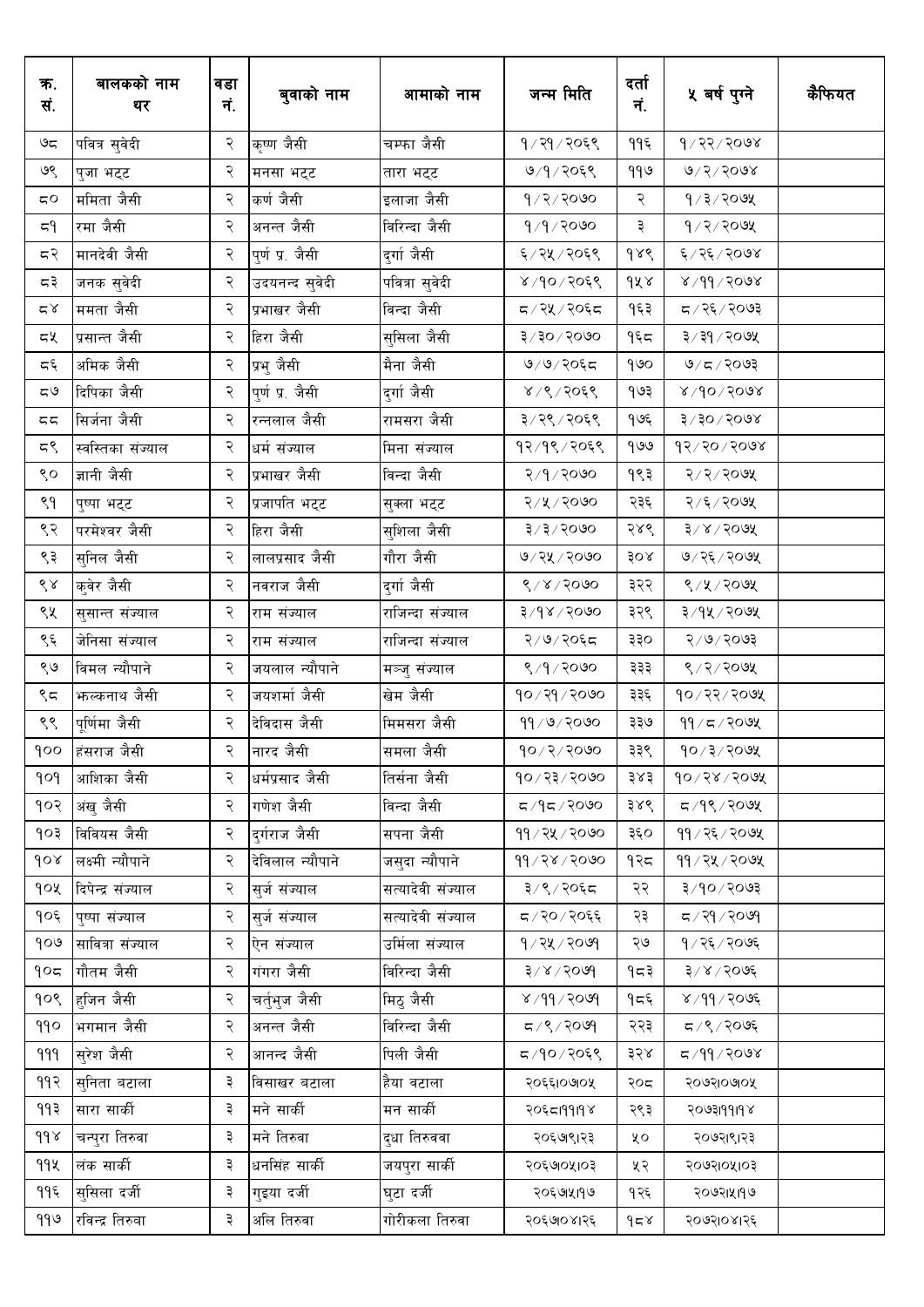| क.<br>सं.                            | बालकको नाम<br>थर   | वडा<br>नं. | बुवाको नाम       | आमाको नाम              | जन्म मिति                  | दर्ता<br>नं. | ५ बर्ष पुग्ने              | कैफियत |
|--------------------------------------|--------------------|------------|------------------|------------------------|----------------------------|--------------|----------------------------|--------|
| ಅದ                                   | पवित्र सुवेदी      | २          | कृष्ण जैसी       | चम्फा जैसी             | १/२१/२०६९                  | ११६          | $8005 \sqrt{27}$           |        |
| ७९                                   | पुजा भट्ट          | २          | मनसा भट्ट        | तारा भट्ट              | ७/१/२०६९                   | ११७          | 0/5/5002                   |        |
| $\mathtt{C}\mathtt{O}$               | ममिता जैसी         | २          | कर्ण जैसी        | इलाजा जैसी             | 9/2/2000                   | २            | $9/3/20$ 9X                |        |
| 59                                   | रमा जैसी           | २          | अनन्त जैसी       | विरिन्दा जैसी          | $9/9/20$ ७०                | ३            | $9/2/3$ ०७५                |        |
| 55                                   | मानदेवी जैसी       | २          | पुर्ण प्र. जैसी  | दुर्गा जैसी            | ६/२५/२०६९                  | $d\lambda d$ | ६/२६/२०७४                  |        |
| द३                                   | जनक सुवेदी         | २          | उदयनन्द सुवेदी   | पवित्रा सुवेदी         | $8,90/20$ ६९               | dX           | 8/99/2008                  |        |
| $\simeq \! \! \! \! \! \! \! \times$ | ममता जैसी          | २          | प्रभाखर जैसी     | विन्दा जैसी            | द / २५ / २०६द              | १६३          | द/२६/२०७३                  |        |
| ≂খ                                   | प्रसान्त जैसी      | २          | हिरा जैसी        | सुसिला जैसी            | $3 \times 30 \times 60$ ७६ | १६८          | ३/३१/२०७५                  |        |
| 55                                   | अमिक जैसी          | २          | प्रभु जैसी       | मैना जैसी              | ७/७/२०६८                   | १७०          | 9/5/2093                   |        |
| $\zeta$ ل                            | दिपिका जैसी        | २          | पुर्ण प्र. जैसी  | दुर्गा जैसी            | 8/9/2059                   | १७३          | $800$ $\sqrt{90}$          |        |
| 55                                   | सिर्जना जैसी       | २          | रन्नलाल जैसी     | रामसरा जैसी            | ३/२९/२०६९                  | १७६          | $800$ २०६ $\sqrt{5}$       |        |
| ζ گ                                  | स्वस्तिका संज्याल  | २          | धर्म संज्याल     | मिना संज्याल           | १२/१९/२०६९                 | 909          | $95/50 \times 66$          |        |
| ९०                                   | ज्ञानी जैसी        | २          | प्रभाखर जैसी     | विन्दा जैसी            | २/१/२०७०                   | १९३          | २/२/२०७५                   |        |
| ९१                                   | पुष्पा भट्ट        | २          | प्रजापति भट्ट    | सुक्ला भट्ट            | २/५/२०७०                   | २३६          | २/६/२०७५                   |        |
| ९२                                   | परमेश्वर जैसी      | २          | हिरा जैसी        | सुशिला जैसी            | $3 \times 3 \times 5000$   | २४९          | $3 \times 3$ ०७४           |        |
| ९३                                   | सुनिल जैसी         | २          | लालप्रसाद जैसी   | गौरा जैसी              | ७/२५/२०७०                  | 30x          | ७/२६/२०७५                  |        |
| $\mathcal{S} \mathcal{R}$            | कुवेर जैसी         | २          | नवराज जैसी       | दुर्गा जैसी            | 8/8/3000                   | ३२२          | ९/५/२०७५                   |        |
| ९५                                   | सुसान्त संज्याल    | २          | राम संज्याल      | राजिन्दा संज्याल       | $8/9$ ४/२०७०               | ३२९          | ३/१५/२०७५                  |        |
| ९६                                   | जेनिसा संज्याल     | २          | राम संज्याल      | राजिन्दा संज्याल       | २/७/२०६८                   | ३३०          | २/७/२०७३                   |        |
| ९७                                   | विमल न्यौपाने      | २          | जयलाल न्यौपाने   | मञ्जु संज्याल          | 8/9/2000                   | ३३३          | 8/2/200                    |        |
| ९८                                   | फल्कनाथ जैसी       | २          | जयशर्मा जैसी     | खेम जैसी               | १०/२१/२०७०                 | ३३६          | १०/२२/२०७५                 |        |
| ९९                                   | पूर्णिमा जैसी      | २          | देविदास जैसी     | मिमसरा जैसी            | ११/७/२०७०                  | ३३७          | 99 / 5 / 99                |        |
| 00                                   | हंसराज जैसी        | २          | नारद जैसी        | समला जैसी              | $90 \times 2 \times 90$    | ३३९          | $90 \times 1000$           |        |
| pop                                  | आशिका जैसी         | २          | धर्मप्रसाद जैसी  | तिर्सना जैसी           | 90/33/500                  | ३४३          | 90/28/200                  |        |
| १०२                                  | अंख जैसी           | २          | गणेश जैसी        | विन्दा जैसी            | $000$ २/२०७०               | ३४९          | द /१९ / २०७५               |        |
| १०३                                  | विवियस जैसी        | २          | दर्गराज जैसी     | सपना जैसी              | ११/२५/२०७०                 | ३६०          | $99 / 25 / 20$ ७५          |        |
| Jor                                  | लक्ष्मी न्यौपाने   | २          | देविलाल न्यौपाने | जस् <b>दा न्यौपाने</b> | 99 / 28 / 2000             | १२८          | $99 / 24 / 20$ ७५          |        |
| १०५                                  | दिपेन्द्र संज्याल  | २          | सर्ज संज्याल     | सत्यादेवी संज्याल      | ३/९/२०६८                   | २२           | ३/१०/२०७३                  |        |
| १०६                                  | पुष्पा संज्याल     | २          | सर्ज संज्याल     | सत्यादेवी संज्याल      | द/२०/२०६६                  | २३           | $P$ २१/२०७१                |        |
| १०७                                  | सावित्रा संज्याल   | २          | ऐन संज्याल       | उर्मिला संज्याल        | 9/74/7009                  | ২७           | १/२६/२०७६                  |        |
| 905                                  | गौतम जैसी          | २          | गंगरा जैसी       | विरिन्दा जैसी          | $8009 \times 15$           | १८३          | ३/४/२०७६                   |        |
| 90S                                  | हजिन जैसी          | २          | चर्त्भुज जैसी    | मिठ् जैसी              | 809/19                     | १८६          | $8005/99$ ४                |        |
| 990                                  | भगमान जैसी         | २          | अनन्त जैसी       | विरिन्दा जैसी          | $609 \times 27$            | २२३          | 5005/20                    |        |
| 999                                  | स् <b>रेश</b> जैसी | २          | आनन्द जैसी       | पिली जैसी              | $5909 \, \degree$ ए        | ३२४          | $X$ <i>e</i> oç $\sqrt{9}$ |        |
| ११२                                  | सुनिता बटाला       | ३          | विसाखर बटाला     | हैया वटाला             | २०६६1०७१०५                 | २०८          | २०७२।०७०५                  |        |
| ११३                                  | सारा सार्की        | ३          | मने सार्की       | मन सार्की              | २०६८19919४                 | २९३          | <b>YPIPPIEOOS</b>          |        |
| $d d \lambda$                        | चन्पुरा तिरुवा     | ३          | मने तिरुवा       | द्धा तिरुववा           | २०६७९।२३                   | χo           | २०७२।९।२३                  |        |
| 99X                                  | लंक सार्की         | ३          | धनसिंह सार्की    | जयपुरा सार्की          | २०६७०५१०३                  | ५२           | २०७२१०५१०३                 |        |
| ११६                                  | सुसिला दर्जी       | ३          | गइया दर्जी       | घुटा दर्जी             | २०६७।५१७                   | १२६          | २०७२।५११७                  |        |
| ११७                                  | रविन्द्र तिरुवा    | ३          | अलि तिरुवा       | गोरीकला तिरुवा         | २०६७०४१२६                  | $\delta$     | २०७२१०४१२६                 |        |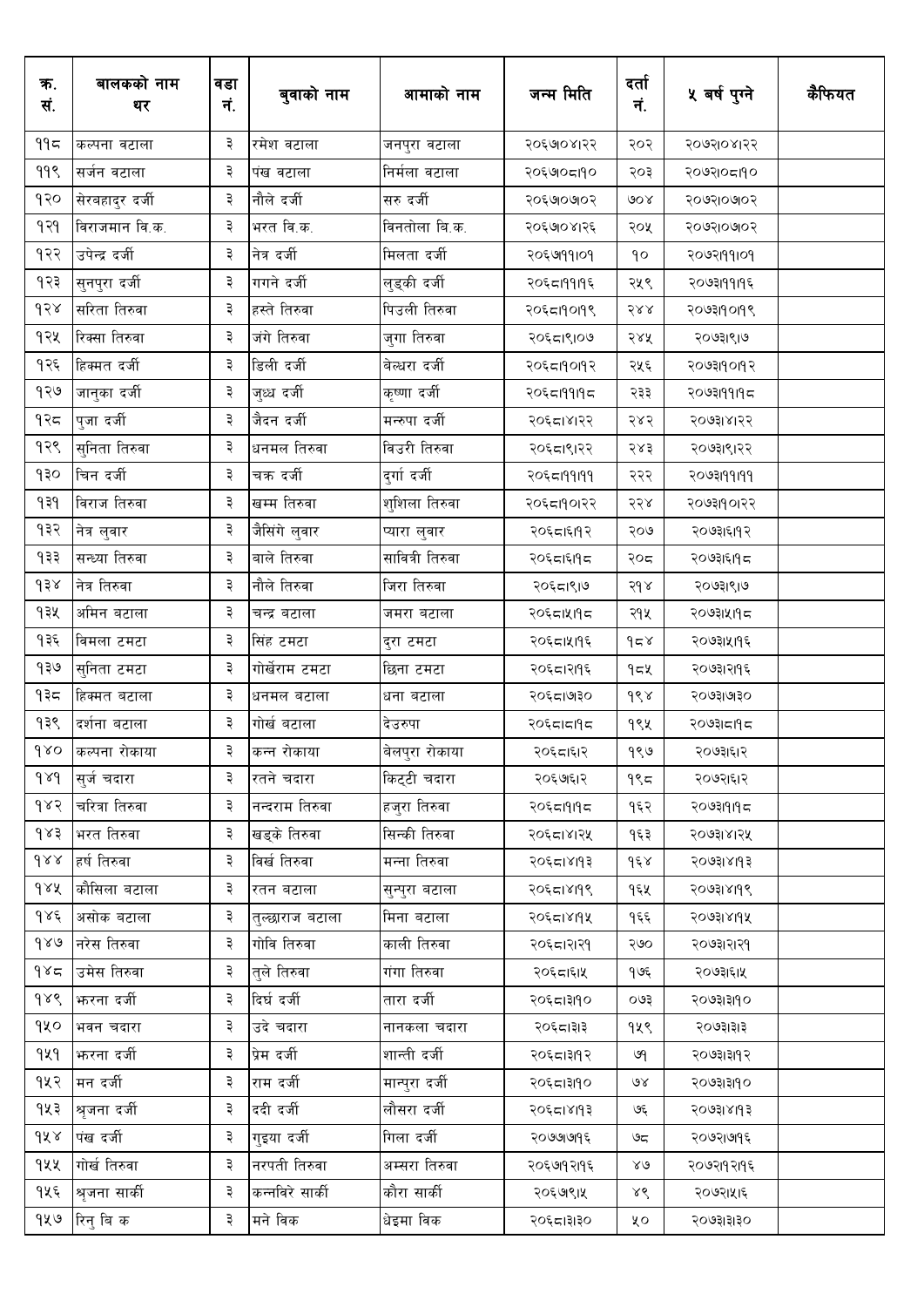| क.<br>सं.           | बालकको नाम<br>थर | वडा<br>नं. | बुवाको नाम      | आमाको नाम       | जन्म मिति  | दर्ता<br>नं.  | ५ वर्ष पुग्ने | कैफियत |
|---------------------|------------------|------------|-----------------|-----------------|------------|---------------|---------------|--------|
| ११८                 | कल्पना वटाला     | ३          | रमेश वटाला      | जनपुरा वटाला    | २०६७०४।२२  | २०२           | २०७२।०४।२२    |        |
| 99९                 | सर्जन वटाला      | ३          | पंख वटाला       | निर्मला वटाला   | २०६७०८१९०  | २०३           | २०७२।०८१९०    |        |
| १२०                 | सेरबहादुर दर्जी  | ३          | नौले दर्जी      | सरु दर्जी       | २०६७०७०२   | ७०४           | २०७२।०७०२     |        |
| १२१                 | विराजमान वि.क.   | ३          | भरत वि.क.       | विनतोला बि.क.   | २०६७०४।२६  | २०५           | २०७२।०७०२     |        |
| १२२                 | उपेन्द्र दर्जी   | ३          | नेत्र दर्जी     | मिलता दर्जी     | २०६७१११०१  | १०            | २०७२।११।०१    |        |
| १२३                 | सुनपुरा दर्जी    | ३          | गगने दर्जी      | लुड्की दर्जी    | २०६८।११।१६ | २५९           | २०७३।११।१६    |        |
| d58                 | सरिता तिरुवा     | ३          | हस्ते तिरुवा    | पिउली तिरुवा    | २०६८19019९ | 588           | २०७३११०१९     |        |
| १२५                 | रिक्सा तिरुवा    | ३          | जंगे तिरुवा     | जुगा तिरुवा     | २०६८।९।०७  | २४५           | २०७३।९।७      |        |
| १२६                 | हिक्मत दर्जी     | ३          | डिली दर्जी      | बेल्धरा दर्जी   | २०६८19०1१२ | २५६           | २०७३।१०११२    |        |
| १२७                 | जानुका दर्जी     | ३          | जुध्ध दर्जी     | कृष्णा दर्जी    | २०६८।११।१८ | २३३           | २०७३।११।१८    |        |
| १२८                 | पुजा दर्जी       | ३          | जैदन दर्जी      | मन्रुपा दर्जी   | २०६८।४।२२  | २४२           | २०७३।४।२२     |        |
| १२९                 | सुनिता तिरुवा    | ३          | धनमल तिरुवा     | विउरी तिरुवा    | २०६८।९।२२  | २४३           | २०७३।९।२२     |        |
| १३०                 | चिन दर्जी        | ३          | चक्र दर्जी      | दुर्गा दर्जी    | २०६८199199 | २२२           | २०७३।११।११    |        |
| 939                 | विराज तिरुवा     | ३          | खम्म तिरुवा     | शुशिला तिरुवा   | २०६८।१०१२२ | २२४           | २०७३।१०।२२    |        |
| १३२                 | नेत्र लुवार      | ३          | जैसिंगे लुवार   | प्यारा लुवार    | २०६८।६११२  | २०७           | २०७३।६।१२     |        |
| १३३                 | सन्ध्या तिरुवा   | ३          | बाले तिरुवा     | सावित्री तिरुवा | २०६८।६११८  | २०८           | २०७३।६।१८     |        |
| ds                  | नेत्र तिरुवा     | ३          | नौले तिरुवा     | जिरा तिरुवा     | २०६८।९।७   | $5d \lambda$  | २०७३।९।७      |        |
| १३५                 | अमिन बटाला       | ३          | चन्द्र बटाला    | जमरा बटाला      | २०६८।५११८  | २१५           | २०७३।५।१८     |        |
| १३६                 | विमला टमटा       | ३          | सिंह टमटा       | दुरा टमटा       | २०६८।५११६  | $d \simeq$    | २०७३।५११६     |        |
| १३७                 | सुनिता टमटा      | ३          | गोर्खेराम टमटा  | छिना टमटा       | २०६८।२११६  | १≂४           | २०७३।२११६     |        |
| १३८                 | हिक्मत बटाला     | ३          | धनमल बटाला      | धना बटाला       | २०६८।७३०   | dsx           | २०७३।७।३०     |        |
| १३९                 | दर्शना बटाला     | ३          | गोर्ख बटाला     | देउरुपा         | २०६८।८१९८  | १९५           | २०७३।८।१८     |        |
| $\delta$            | कल्पना रोकाया    | ₹          | कन्न रोकाया     | बेलपुरा रोकाया  | २०६८।६१२   | 980           | २०७३।६।२      |        |
| $\delta \lambda d$  | सर्ज चदारा       | ₹          | रतने चदारा      | किट्टी चदारा    | २०६७१६२    | १९८           | २०७२।६।२      |        |
| १४२                 | चरित्रा तिरुवा   | ३          | नन्दराम तिरुवा  | हजुरा तिरुवा    | २०६८।१।१८  | १६२           | २०७३।१।१८     |        |
| 983                 | भरत तिरुवा       | ३          | खड्के तिरुवा    | सिन्की तिरुवा   | २०६८।४।२५  | १६३           | २०७३।४।२५     |        |
| $d \lambda \lambda$ | हर्ष तिरुवा      | ३          | विर्ख तिरुवा    | मन्ना तिरुवा    | २०६८।४११३  | $d\xi$        | २०७३।४।१३     |        |
| 9 x x               | कौसिला बटाला     | ३          | रतन बटाला       | सुन्पुरा बटाला  | २०६८।४११९  | १६५           | २०७३१४११९     |        |
| १४६                 | असोक बटाला       | ३          | तुल्छाराज बटाला | मिना बटाला      | २०६८।४११५  | १६६           | २०७३।४११५     |        |
| 980                 | नरेस तिरुवा      | ३          | गोवि तिरुवा     | काली तिरुवा     | २०६८।२१२१  | २७०           | २०७३।२।२१     |        |
| ۹४≂                 | उमेस तिरुवा      | ३          | त्ले तिरुवा     | गंगा तिरुवा     | २०६८।६।५   | १७६           | २०७३।६।५      |        |
| gre                 | फरना दर्जी       | ३          | दिर्घ दर्जी     | तारा दर्जी      | २०६८।३११०  | ०७३           | २०७३।३।१०     |        |
| १५०                 | भवन चदारा        | ३          | उदे चदारा       | नानकला चदारा    | २०६८।३१३   | १५९           | २०७३।३।३      |        |
| 929                 | फरना दर्जी       | ३          | प्रेम दर्जी     | शान्ती दर्जी    | २०६८।३११२  | ७१            | २०७३।३११२     |        |
| १५२                 | मन दर्जी         | ३          | राम दर्जी       | मान्पुरा दर्जी  | २०६८।३११०  | $\mathcal{A}$ | २०७३।३।१०     |        |
| १५३                 | श्रुजना दर्जी    | ३          | ददी दर्जी       | लौसरा दर्जी     | २०६८।४११३  | ও६            | २०७३।४।१३     |        |
| gxx                 | पंख दर्जी        | ३          | गुइया दर्जी     | गिला दर्जी      | २०७७।७१६   | ७८            | २०७२।७१६      |        |
| १५५                 | गोर्ख तिरुवा     | ३          | नरपती तिरुवा    | अम्सरा तिरुवा   | २०६७१२११६  | $80^{\circ}$  | २०७२।१२।१६    |        |
| १५६                 | श्रृजना सार्की   | ३          | कन्नविरे सार्की | कौरा सार्की     | २०६७९१५    | ४९            | २०७२।५१६      |        |
|                     | १५७  रिनु बि क   | ३          | मने विक         | धेइमा विक       | २०६८।३१३०  | ५०            | २०७३।३।३०     |        |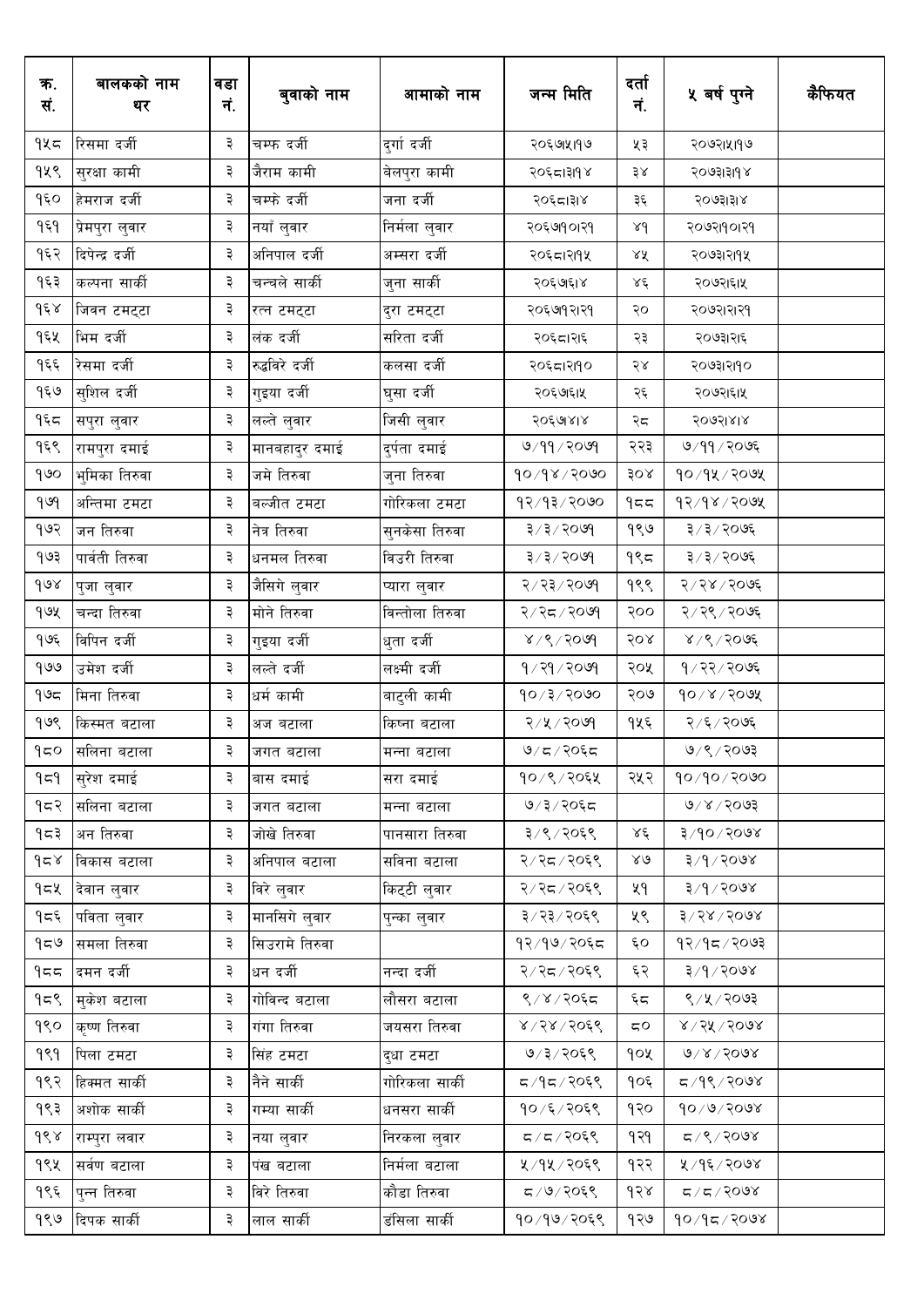| क.<br>सं.      | बालकको नाम<br>थर | वडा<br>नं. | बुवाको नाम      | आमाको नाम       | जन्म मिति       | दर्ता<br>नं.           | ५ वर्ष पुग्ने          | कैफियत |
|----------------|------------------|------------|-----------------|-----------------|-----------------|------------------------|------------------------|--------|
| १५८            | रिसमा दर्जी      | ३          | चम्फ दर्जी      | दुर्गा दर्जी    | २०६७।५१७        | ५३                     | २०७२।५११७              |        |
| १५९            | सुरक्षा कामी     | ३          | जैराम कामी      | बेलपुरा कामी    | २०६८।३१९४       | ३४                     | २०७३।३।१४              |        |
| १६०            | हेमराज दर्जी     | ३          | चम्फे दर्जी     | जना दर्जी       | २०६८।३१४        | ३६                     | २०७३।३।४               |        |
| $\partial \xi$ | प्रेमपुरा लुवार  | ३          | नयाँ लुवार      | निर्मला लुवार   | २०६७१०।२१       | $\lambda d$            | २०७२।१०।२१             |        |
| १६२            | दिपेन्द्र दर्जी  | ३          | अनिपाल दर्जी    | अम्सरा दर्जी    | २०६८।२११५       | ४४                     | २०७३।२।१५              |        |
| १६३            | कल्पना सार्की    | ३          | चन्चले सार्की   | जुना सार्की     | २०६७६१४         | ४६                     | २०७२।६।५               |        |
| $d \epsilon$   | जिवन टमट्टा      | ३          | रत्न टमट्टा     | दुरा टमट्टा     | २०६७१२।२१       | २०                     | २०७२।२।२१              |        |
| १६५            | भिम दर्जी        | ३          | लंक दर्जी       | सरिता दर्जी     | २०६८।२१६        | २३                     | २०७३।२।६               |        |
| $\partial \xi$ | रिसमा दर्जी      | ३          | रुद्धविरे दर्जी | कलसा दर्जी      | २०६८।२११०       | २४                     | २०७३।२।१०              |        |
| १६७            | सुशिल दर्जी      | ३          | गुइया दर्जी     | घुसा दर्जी      | २०६७६१५         | २६                     | २०७२।६।५               |        |
| ۹६८            | सपुरा लुवार      | ३          | लल्ते लुवार     | जिसी लुवार      | २०६७१४४         | २८                     | २०७२।४।४               |        |
| १६९            | रामपुरा दमाई     | ३          | मानबहादुर दमाई  | दुर्पता दमाई    | 9/99/2099       | २२३                    | ७/११/२०७६              |        |
| १७०            | भुमिका तिरुवा    | ३          | जमे तिरुवा      | जुना तिरुवा     | 90/98/9090      | 30x                    | $90/9$ k / 2019)       |        |
| 909            | अन्तिमा टमटा     | ३          | बल्जीत टमटा     | गोरिकला टमटा    | 93/93/2000      | 955                    | $95/98$ / $200$        |        |
| १७२            | जन तिरुवा        | ३          | नेत्र तिरुवा    | सुनकेसा तिरुवा  | ३/३/२०७९        | १९७                    | ३/३/२०७६               |        |
| १७३            | पार्वती तिरुवा   | ३          | धनमल तिरुवा     | विउरी तिरुवा    | ३/३/२०७१        | $9$ ९८                 | ३/३/२०७६               |        |
| $\delta$       | पुजा लुवार       | ३          | जैसिगे लुवार    | प्यारा लुवार    | २/२३/२०७१       | १९९                    | २/२४/२०७६              |        |
| guy            | चन्दा तिरुवा     | ३          | मोने तिरुवा     | विन्तोला तिरुवा | २/२८/२०७१       | २००                    | २/२९/२०७६              |        |
| १७६            | विपिन दर्जी      | ३          | गुइया दर्जी     | धुता दर्जी      | $8009 \times 8$ | २०४                    | $8/8/30$ ७६            |        |
| १७७            | उमेश दर्जी       | ३          | लल्ते दर्जी     | लक्ष्मी दर्जी   | 9/79/709        | २०५                    | १/२२/२०७६              |        |
| ۹७८            | मिना तिरुवा      | ३          | धर्म कामी       | बाटुली कामी     | $90 \times 100$ | २०७                    | $90 \times 100$ अ      |        |
| १७९            | किस्मत बटाला     | ३          | अज बटाला        | किष्ना बटाला    | २/५/२०७१        | १५६                    | २/६/२०७६               |        |
| ງ≂ດ            | सलिना बटाला      | ₹          | जगत बटाला       | मन्ना बटाला     | ७/८/२०६८        |                        | ७/९/२०७३               |        |
| ۹≂۹            | सुरेश दमाई       | ३          | बास दमाई        | सरा दमाई        | १०/९/२०६५       | २५२                    | १०/१०/२०७०             |        |
| १≂२            | सलिना बटाला      | ३          | जगत बटाला       | मन्ना बटाला     | ७/३/२०६८        |                        | 9005/8003              |        |
| १८३            | अन तिरुवा        | ३          | जोखे तिरुवा     | पानसारा तिरुवा  | ३/९/२०६९        | $\lambda \xi$          | $800$ २०७४             |        |
| 958            | विकास बटाला      | ३          | अनिपाल बटाला    | सविना बटाला     | २/२८/२०६९       | 28                     | $8/9/9$ २०७४           |        |
| १८४            | देवान लुवार      | ३          | विरे लुवार      | किट्टी लुवार    | २/२८/२०६९       | ५१                     | $8005/97$ ह            |        |
| ۹≂۶            | पविता लुवार      | ३          | मानसिगे लुवार   | पुन्का लुवार    | ३/२३/२०६९       | ५९                     | 8/58/5008              |        |
| 959            | समला तिरुवा      | ३          | सिउरामे तिरुवा  |                 | १२/१७/२०६८      | ६०                     | १२∕१८ ∕ २०७३           |        |
| 955            | दमन दर्जी        | ३          | धन दर्जी        | नन्दा दर्जी     | २/२८/२०६९       | ६२                     | $8005/97$ ह            |        |
| १८९            | मुकेश बटाला      | ३          | गोविन्द बटाला   | लौसरा बटाला     | ९/४/२०६८        | $\xi$<br>$\square$     | 8/4/3003               |        |
| १९०            | कृष्ण तिरुवा     | ३          | गंगा तिरुवा     | जयसरा तिरुवा    | $8,28$ / २०६९   | $\mathtt{C}\mathtt{O}$ | 8/56/500               |        |
| 999            | पिला टमटा        | ३          | सिंह टमटा       | दुधा टमटा       | ७/३/२०६९        | १०५                    | $0\sqrt{2}\sqrt{500}$  |        |
| १९२            | हिक्मत सार्की    | ३          | नैने सार्की     | गोरिकला सार्की  | द/१द/२०६९       | १०६                    | द ∕ १९ ∕ २०७४          |        |
| १९३            | अशोक सार्की      | ३          | गम्या सार्की    | धनसरा सार्की    | १०/६/२०६९       | १२०                    | $90 \times 9 \times 9$ |        |
| ds             | राम्पुरा लवार    | ३          | नया लुवार       | निरकला लुवार    | 5905/77         | १२१                    | $8005/20$ प्र          |        |
| १९५            | सर्वण बटाला      | ३          | पंख बटाला       | निर्मला बटाला   | ५/१५/२०६९       | १२२                    | ५ ⁄ १६ ⁄ २०७४          |        |
| १९६            | पुन्न तिरुवा     | ३          | विरे तिरुवा     | कौडा तिरुवा     | द /७/२०६९       | dS                     | 8005/77                |        |
| १९७            | दिपक सार्की      | ३          | लाल सार्की      | डंसिला सार्की   | १०/१७/२०६९      | १२७                    | $90/9$ द $/300$ ४      |        |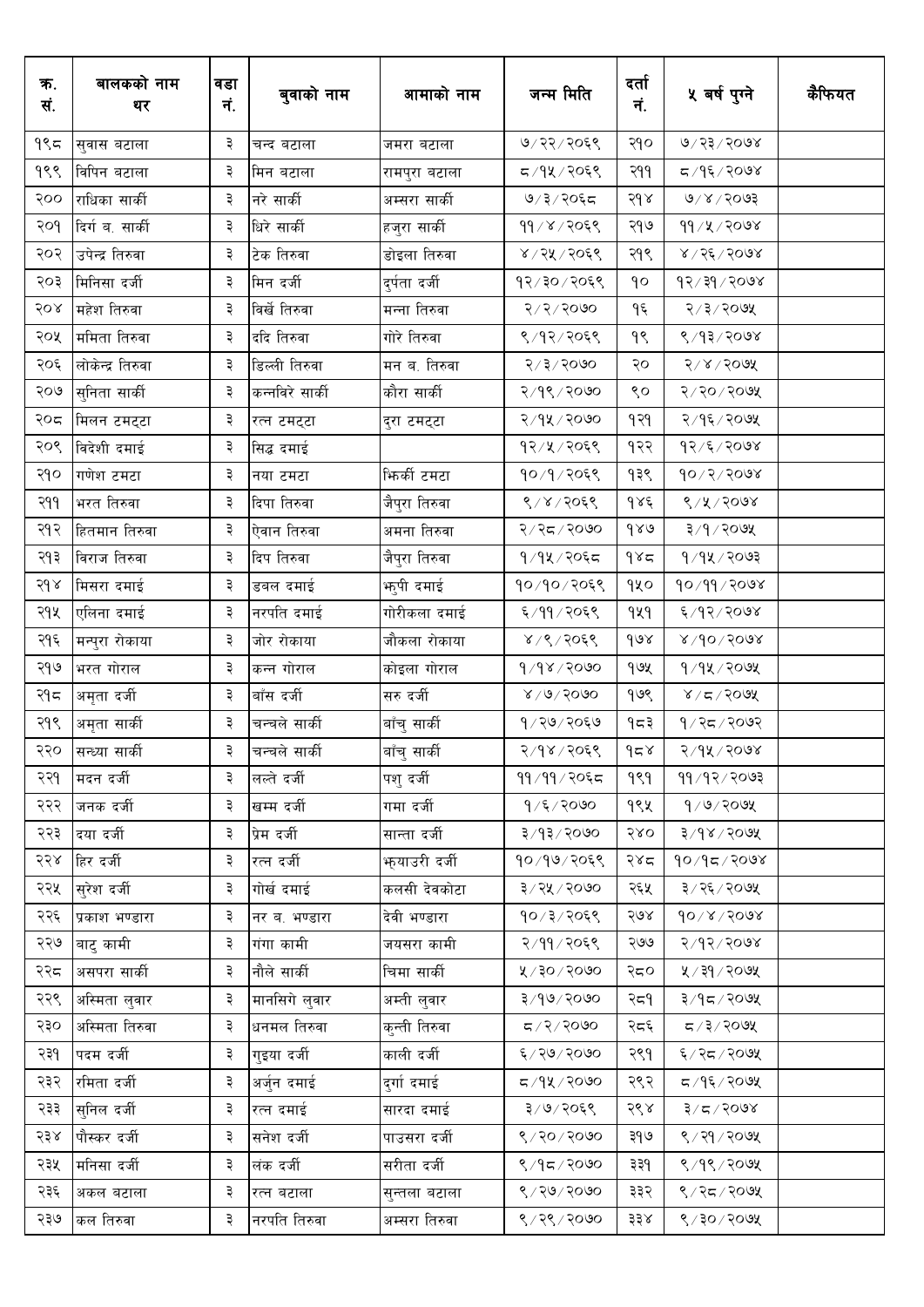| ७/२२/२०६९<br>७/२३/२०७४<br>۹९≂<br>२१०<br>३<br>सुवास बटाला<br>चन्द बटाला<br>जमरा बटाला<br>१९९<br>८/१५/२०६९<br>द ⁄ १६ ⁄ २०७४<br>३<br>२११<br>विपिन बटाला<br>मिन बटाला<br>रामपुरा बटाला<br>७/३/२०६८<br>9005/8003<br>२००<br>राधिका सार्की<br>३<br>नरे सार्की<br>२१४<br>अम्सरा सार्की<br>३<br>११/४/२०६९<br>११ ⁄ ५ ⁄ २०७४<br>२०१<br>दिर्ग ब. सार्की<br>धिरे सार्की<br>२१७<br>हजुरा सार्की<br>8/26/500<br>२०२<br>उपेन्द्र तिरुवा<br>३<br>टेक तिरुवा<br>४/२५/२०६९<br>२१९<br>डोइला तिरुवा<br>१२/३०/२०६९<br>$8005 \, \sqrt{55 \cdot 75}$<br>२०३<br>मिनिसा दर्जी<br>३<br>मिन दर्जी<br>दुर्पता दर्जी<br>٩o<br>२/३/२०७५<br>२०४<br>३<br>विर्खे तिरुवा<br>5/5/5/6<br>۹६<br>महेश तिरुवा<br>मन्ना तिरुवा<br>ददि तिरुवा<br>गोरे तिरुवा<br>९/१२/२०६९<br>९/१३/२०७४<br>२०५<br>ममिता तिरुवा<br>३<br>१९ | क.<br>सं. | बालकको नाम<br>थर | वडा<br>नं. | बुवाको नाम | आमाको नाम | जन्म मिति | दर्ता<br>नं. | ५ वर्ष पुग्ने | कैफियत |
|--------------------------------------------------------------------------------------------------------------------------------------------------------------------------------------------------------------------------------------------------------------------------------------------------------------------------------------------------------------------------------------------------------------------------------------------------------------------------------------------------------------------------------------------------------------------------------------------------------------------------------------------------------------------------------------------------------------------------------------------------------------------------------|-----------|------------------|------------|------------|-----------|-----------|--------------|---------------|--------|
|                                                                                                                                                                                                                                                                                                                                                                                                                                                                                                                                                                                                                                                                                                                                                                                |           |                  |            |            |           |           |              |               |        |
|                                                                                                                                                                                                                                                                                                                                                                                                                                                                                                                                                                                                                                                                                                                                                                                |           |                  |            |            |           |           |              |               |        |
|                                                                                                                                                                                                                                                                                                                                                                                                                                                                                                                                                                                                                                                                                                                                                                                |           |                  |            |            |           |           |              |               |        |
|                                                                                                                                                                                                                                                                                                                                                                                                                                                                                                                                                                                                                                                                                                                                                                                |           |                  |            |            |           |           |              |               |        |
|                                                                                                                                                                                                                                                                                                                                                                                                                                                                                                                                                                                                                                                                                                                                                                                |           |                  |            |            |           |           |              |               |        |
|                                                                                                                                                                                                                                                                                                                                                                                                                                                                                                                                                                                                                                                                                                                                                                                |           |                  |            |            |           |           |              |               |        |
|                                                                                                                                                                                                                                                                                                                                                                                                                                                                                                                                                                                                                                                                                                                                                                                |           |                  |            |            |           |           |              |               |        |
|                                                                                                                                                                                                                                                                                                                                                                                                                                                                                                                                                                                                                                                                                                                                                                                |           |                  |            |            |           |           |              |               |        |
| 5/3/5000<br>$5000 \times 15$<br>२०६<br>लोकेन्द्र तिरुवा<br>३<br>डिल्ली तिरुवा<br>२०<br>मन ब. तिरुवा                                                                                                                                                                                                                                                                                                                                                                                                                                                                                                                                                                                                                                                                            |           |                  |            |            |           |           |              |               |        |
| $8/9$ $8/9$<br>800,0915<br>२०७<br>कन्नविरे सार्की<br>९०<br>सुनिता सार्की<br>३<br>कौरा सार्की                                                                                                                                                                                                                                                                                                                                                                                                                                                                                                                                                                                                                                                                                   |           |                  |            |            |           |           |              |               |        |
| २/१५/२०७०<br>२/१६/२०७५<br>२०८<br>३<br>१२१<br>मिलन टमट्टा<br>रत्न टमट्टा<br>दुरा टमट्टा                                                                                                                                                                                                                                                                                                                                                                                                                                                                                                                                                                                                                                                                                         |           |                  |            |            |           |           |              |               |        |
| २०९<br>१२/५/२०६९<br>१२/६/२०७४<br>विदेशी दमाई<br>३<br>१२२<br>सिद्ध दमाई                                                                                                                                                                                                                                                                                                                                                                                                                                                                                                                                                                                                                                                                                                         |           |                  |            |            |           |           |              |               |        |
| ३<br>$90\sqrt{5}/90$ १<br>२१०<br>भिर्की टमटा<br>१०/१/२०६९<br>१३९<br>गणेश टमटा<br>नया टमटा                                                                                                                                                                                                                                                                                                                                                                                                                                                                                                                                                                                                                                                                                      |           |                  |            |            |           |           |              |               |        |
| 8/8/3008<br>२११<br>३<br>8/8/2068<br>$d$ sé<br>भरत तिरुवा<br>दिपा तिरुवा<br>जैपुरा तिरुवा                                                                                                                                                                                                                                                                                                                                                                                                                                                                                                                                                                                                                                                                                       |           |                  |            |            |           |           |              |               |        |
| २१२<br>३<br>२/२८/२०७०<br>980<br>३/१/२०७५<br>हितमान तिरुवा<br>ऐवान तिरुवा<br>अमना तिरुवा                                                                                                                                                                                                                                                                                                                                                                                                                                                                                                                                                                                                                                                                                        |           |                  |            |            |           |           |              |               |        |
| २१३<br>$9/9$ $\times$ $9/9$<br>३<br>१/१५/२०६८<br>985<br>विराज तिरुवा<br>दिप तिरुवा<br>जैपुरा तिरुवा                                                                                                                                                                                                                                                                                                                                                                                                                                                                                                                                                                                                                                                                            |           |                  |            |            |           |           |              |               |        |
| 56<br>३<br>१०/१०/२०६९<br>90/99/2008<br>qyo<br>भ्तुपी दमाई<br>मिसरा दमाई<br>डबल दमाई                                                                                                                                                                                                                                                                                                                                                                                                                                                                                                                                                                                                                                                                                            |           |                  |            |            |           |           |              |               |        |
| २१५<br>६/११/२०६९<br>929<br>६/१२/२०७४<br>३<br>गोरीकला दमाई<br>एलिना दमाई<br>नरपति दमाई                                                                                                                                                                                                                                                                                                                                                                                                                                                                                                                                                                                                                                                                                          |           |                  |            |            |           |           |              |               |        |
| २१६<br>३<br>४/९/२०६९<br>$d\alpha$<br>$8005/90 \times$<br>मन्पुरा रोकाया<br>जोर रोकाया<br>जौकला रोकाया                                                                                                                                                                                                                                                                                                                                                                                                                                                                                                                                                                                                                                                                          |           |                  |            |            |           |           |              |               |        |
| २१७<br>३<br>9/98/9090<br>१७५<br>$9/9$ k $/$ २०७५<br>भरत गोराल<br>कन्न गोराल<br>कोइला गोराल                                                                                                                                                                                                                                                                                                                                                                                                                                                                                                                                                                                                                                                                                     |           |                  |            |            |           |           |              |               |        |
| बाँस दर्जी<br>१७९<br>२१८<br>३<br>सरु दर्जी<br>$8\sqrt{6}\sqrt{50}$<br>$800$ २/ ४<br>अमृता दर्जी                                                                                                                                                                                                                                                                                                                                                                                                                                                                                                                                                                                                                                                                                |           |                  |            |            |           |           |              |               |        |
| २१९<br>१ ⁄ २७ ⁄ २०६७<br>१/२८/२०७२<br>३<br>१८३<br>अमृता सार्की<br>चन्चले सार्की<br>बाँचु सार्की                                                                                                                                                                                                                                                                                                                                                                                                                                                                                                                                                                                                                                                                                 |           |                  |            |            |           |           |              |               |        |
| २२०<br>३<br>958<br>२/१५/२०७४<br>बाँचु सार्की<br>२/१४/२०६९<br>सन्ध्या सार्की<br>चन्चले सार्की                                                                                                                                                                                                                                                                                                                                                                                                                                                                                                                                                                                                                                                                                   |           |                  |            |            |           |           |              |               |        |
| ११/११/२०६८<br>99/92/2003<br>२२१<br>मदन दर्जी<br>लल्ते दर्जी<br>पशुदर्जी<br>999<br>३                                                                                                                                                                                                                                                                                                                                                                                                                                                                                                                                                                                                                                                                                            |           |                  |            |            |           |           |              |               |        |
| खम्म दर्जी<br>१९५<br>9/9/209<br>२२२<br>जनक दर्जी<br>३<br>गमा दर्जी<br>१/६/२०७०                                                                                                                                                                                                                                                                                                                                                                                                                                                                                                                                                                                                                                                                                                 |           |                  |            |            |           |           |              |               |        |
| प्रेम दर्जी<br>सान्ता दर्जी<br>२/१३/२०७०<br>580<br>$3/98$ $>$ २०७५<br>२२३<br>दया दर्जी<br>३                                                                                                                                                                                                                                                                                                                                                                                                                                                                                                                                                                                                                                                                                    |           |                  |            |            |           |           |              |               |        |
| रत्न दर्जी<br><u>भ</u> ायाउरी दर्जी<br>१०/१७/२०६९<br>90/95/2008<br>२२४<br>हिर दर्जी<br>३<br>२४८                                                                                                                                                                                                                                                                                                                                                                                                                                                                                                                                                                                                                                                                                |           |                  |            |            |           |           |              |               |        |
| सुरेश दर्जी<br>३/२५/२०७०<br>३/२६/२०७५<br>२२५<br>३<br>गोर्ख दमाई<br>कलसी देवकोटा<br>२६५                                                                                                                                                                                                                                                                                                                                                                                                                                                                                                                                                                                                                                                                                         |           |                  |            |            |           |           |              |               |        |
| १०/३/२०६९<br>$90 \times 1000$<br>२२६<br>३<br>नर ब. भण्डारा<br>देवी भण्डारा<br>२७४<br>प्रकाश भण्डारा                                                                                                                                                                                                                                                                                                                                                                                                                                                                                                                                                                                                                                                                            |           |                  |            |            |           |           |              |               |        |
| २/११/२०६९<br>२/१२/२०७४<br>२२७<br>३<br>२७७<br>बाटु कामी<br>गंगा कामी<br>जयसरा कामी                                                                                                                                                                                                                                                                                                                                                                                                                                                                                                                                                                                                                                                                                              |           |                  |            |            |           |           |              |               |        |
| ४/३०/२०७०<br>२२८<br>नौले सार्की<br>५ / ३१ / २०७५<br>असपरा सार्की<br>३<br>चिमा सार्की<br>२द०                                                                                                                                                                                                                                                                                                                                                                                                                                                                                                                                                                                                                                                                                    |           |                  |            |            |           |           |              |               |        |
| मानसिगे लुवार<br>अम्ती लुवार<br>२/१७/२०७०<br>३/१८/२०७५<br>२२९<br>अस्मिता लुवार<br>३<br>२द१                                                                                                                                                                                                                                                                                                                                                                                                                                                                                                                                                                                                                                                                                     |           |                  |            |            |           |           |              |               |        |
| २३०<br>अस्मिता तिरुवा<br>३<br>धनमल तिरुवा<br>G/2/2000<br>5/3/209<br>कुन्ती तिरुवा<br>२८६                                                                                                                                                                                                                                                                                                                                                                                                                                                                                                                                                                                                                                                                                       |           |                  |            |            |           |           |              |               |        |
| ६/२७/२०७०<br>६/२८/२०७५<br>२३१<br>पदम दर्जी<br>३<br>गुइया दर्जी<br>काली दर्जी<br>२९१                                                                                                                                                                                                                                                                                                                                                                                                                                                                                                                                                                                                                                                                                            |           |                  |            |            |           |           |              |               |        |
| $\sigma$ ०७० / $\mu$<br>२९२<br>२३२<br>रमिता दर्जी<br>३<br>अर्जुन दमाई<br>द /१६ / २०७५<br>दुर्गा दमाई                                                                                                                                                                                                                                                                                                                                                                                                                                                                                                                                                                                                                                                                           |           |                  |            |            |           |           |              |               |        |
| ३/७/२०६९<br>२९४<br>$8005/77$ रि<br>२३३<br>स् <b>निल</b> दर्जी<br>३<br>रत्न दमाई<br>सारदा दमाई                                                                                                                                                                                                                                                                                                                                                                                                                                                                                                                                                                                                                                                                                  |           |                  |            |            |           |           |              |               |        |
| 8/20/2000<br>पौस्कर दर्जी<br>सनेश दर्जी<br>पाउसरा दर्जी<br>९ / २१ / २०७५<br>२३४<br>३<br>३१७                                                                                                                                                                                                                                                                                                                                                                                                                                                                                                                                                                                                                                                                                    |           |                  |            |            |           |           |              |               |        |
| सरीता दर्जी<br>९/१८/२०७०<br>९/१९/२०७५<br>२३५<br>मनिसा दर्जी<br>३<br>लंक दर्जी<br>३३१                                                                                                                                                                                                                                                                                                                                                                                                                                                                                                                                                                                                                                                                                           |           |                  |            |            |           |           |              |               |        |
| ९/२७/२०७०<br>३<br>३३२<br>९/२८/२०७५<br>२३६<br>अकल बटाला<br>रत्न बटाला<br>सुन्तला बटाला                                                                                                                                                                                                                                                                                                                                                                                                                                                                                                                                                                                                                                                                                          |           |                  |            |            |           |           |              |               |        |
| ९/२९/२०७०<br>$8/30$ /२०७१<br>२३७<br>३३४<br>कल तिरुवा<br>३<br>नरपति तिरुवा<br>अम्सरा तिरुवा                                                                                                                                                                                                                                                                                                                                                                                                                                                                                                                                                                                                                                                                                     |           |                  |            |            |           |           |              |               |        |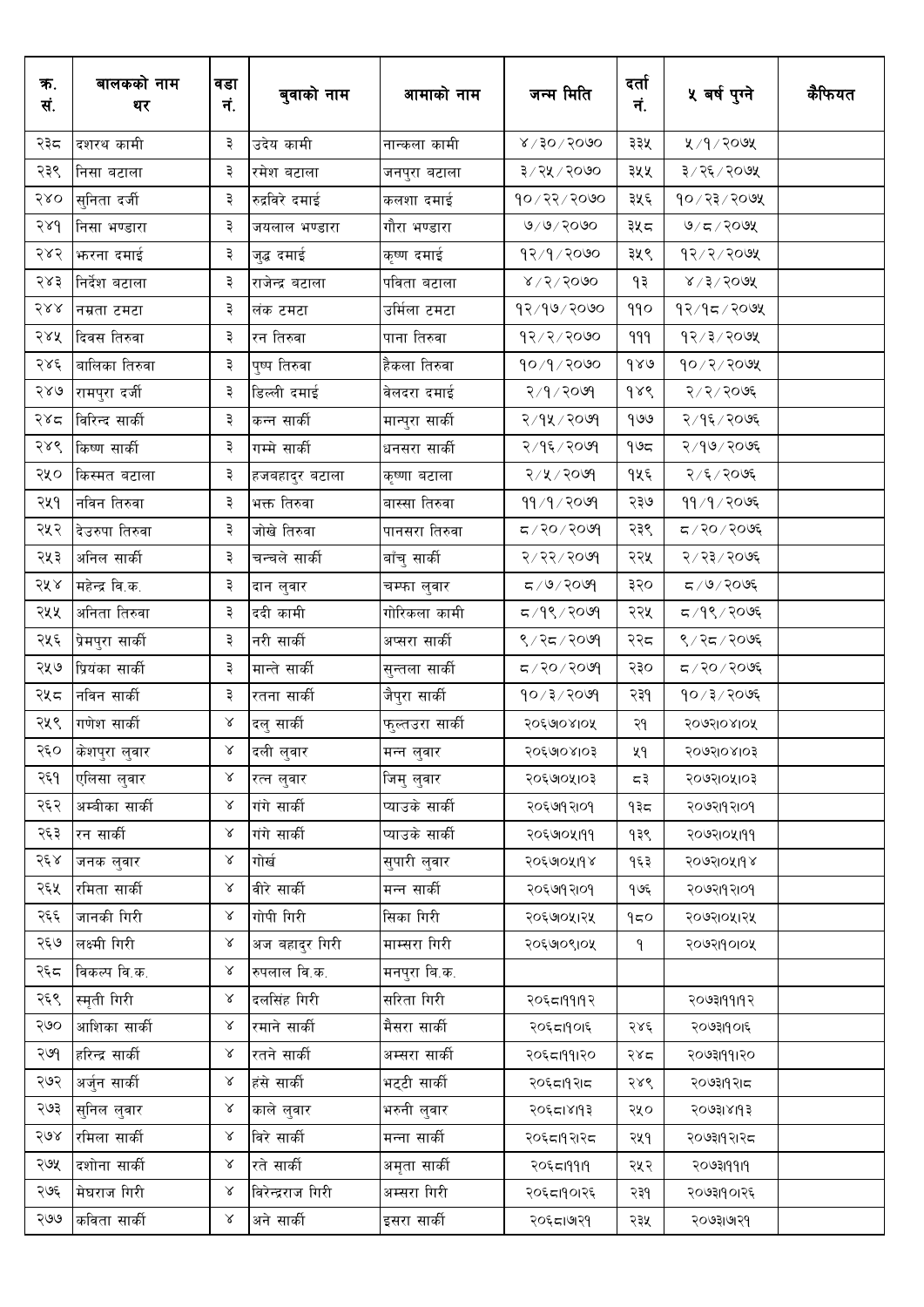| क.<br>सं. | बालकको नाम<br>थर  | वडा<br>नं. | बुवाको नाम        | आमाको नाम       | जन्म मिति                 | दर्ता<br>नं.  | ५ बर्ष पुग्ने           | कैफियत |
|-----------|-------------------|------------|-------------------|-----------------|---------------------------|---------------|-------------------------|--------|
| २३८       | दशरथ कामी         | ३          | उदेय कामी         | नान्कला कामी    | $8 \times 1000$           | ३३५           | 8005/9/3                |        |
| २३९       | निसा बटाला        | ३          | रमेश बटाला        | जनपुरा बटाला    | ३/२५/२०७०                 | ३५५           | ३/२६/२०७५               |        |
| २४०       | सुनिता दर्जी      | ३          | रुद्रविरे दमाई    | कलशा दमाई       | $90 \times 25 \times 100$ | ३५६           | १०/२३/२०७५              |        |
| 586       | निसा भण्डारा      | ३          | जयलाल भण्डारा     | गौरा भण्डारा    | 0/9/3000                  | ३५८           | 9/5/209                 |        |
| २४२       | <b>भारना दमाई</b> | ३          | जुद्ध दमाई        | कृष्ण दमाई      | 93/9/8000                 | ३५९           | $93 \times 2 \times 20$ |        |
| २४३       | निर्देश बटाला     | ३          | राजेन्द्र बटाला   | पविता बटाला     | $8\sqrt{5}/3000$          | ۹₹            | $8/5/50$ 9X             |        |
| २४४       | नम्रता टमटा       | ३          | लंक टमटा          | उर्मिला टमटा    | १२/१७/२०७०                | 990           | 93/95/909               |        |
| २४५       | दिवस तिरुवा       | ३          | रन तिरुवा         | पाना तिरुवा     | 93/3/500                  | 999           | 93/3/200                |        |
| २४६       | बालिका तिरुवा     | ३          | पुष्प तिरुवा      | हैकला तिरुवा    | १०/१/२०७०                 | $d \lambda_0$ | १०/२/२०७५               |        |
| २४७       | रामपुरा दर्जी     | ३          | डिल्ली दमाई       | वेलदरा दमाई     | २/१/२०७१                  | $d\lambda d$  | २/२/२०७६                |        |
| २४८       | विरिन्द सार्की    | ३          | कन्न सार्की       | मान्पुरा सार्की | २/१५/२०७१                 | 900           | २/१६/२०७६               |        |
| २४९       | किष्ण सार्की      | ३          | गम्मे सार्की      | धनसरा सार्की    | २/१६/२०७१                 | م9 م          | २/१७/२०७६               |        |
| २५०       | किस्मत बटाला      | ३          | हजबहादुर बटाला    | कृष्णा बटाला    | २/५/२०७१                  | १५६           | २/६/२०७६                |        |
| २५१       | नविन तिरुवा       | ३          | भक्त तिरुवा       | बास्सा तिरुवा   | 99/9/80                   | २३७           | ११/१/२०७६               |        |
| २५२       | देउरुपा तिरुवा    | ३          | जोखे तिरुवा       | पानसरा तिरुवा   | R > 09                    | २३९           | द / २० / २०७६           |        |
| २५३       | अनिल सार्की       | ३          | चन्चले सार्की     | बाँचु सार्की    | २/२२/२०७१                 | २२५           | २/२३/२०७६               |        |
| २५४       | महेन्द्र वि.क.    | ३          | दान लुवार         | चम्फा लुवार     | ८/७/२०७१                  | ३२०           | $500$ २०७६              |        |
| २५५       | अनिता तिरुवा      | ३          | ददी कामी          | गोरिकला कामी    | $5/9$ ९/२०७१              | २२५           | द ⁄ १९ ⁄ २०७६           |        |
| २५६       | प्रेमपुरा सार्की  | ३          | नरी सार्की        | अप्सरा सार्की   | ९/२८/२०७१                 | २२८           | ९/२८/२०७६               |        |
| २५७       | प्रियंका सार्की   | ३          | मान्ते सार्की     | सुन्तला सार्की  | $P$ २०/२०७९               | २३०           | द / २० / २०७६           |        |
| २५८       | नविन सार्की       | ३          | रतना सार्की       | जैपुरा सार्की   | 90/3/2009                 | २३१           | १०/३/२०७६               |        |
| २५९       | गणेश सार्की       | $\propto$  | 'दलु सार्की       | फुल्तउरा सार्की | २०६७७४१०५                 | २१            | २०७२।०४।०५              |        |
| २६०       | केशपुरा लुवार     | $\lambda$  | दली लुवार         | मन्न लुवार      | २०६७०४१०३                 | ५१            | २०७२।०४।०३              |        |
| २६१       | एलिसा लुवार       | $\alpha$   | रत्न लुवार        | जिमु लुवार      | २०६७०५१०३                 | ८३            | २०७२१०५१०३              |        |
| २६२       | अम्बीका सार्की    | $\propto$  | गंगे सार्की       | प्याउके सार्की  | २०६७१२१०१                 | १३८           | २०७२।१२।०१              |        |
| २६३       | रन सार्की         | Χ          | गंगे सार्की       | प्याउके सार्की  | २०६७१०५१११                | १३९           | २०७२१०५१११              |        |
| २६४       | जनक लुवार         | $\propto$  | गोर्ख             | सुपारी लुवार    | २०६७७५११४                 | १६३           | २०७२१०५११४              |        |
| २६५       | रमिता सार्की      | Χ          | वीरे सार्की       | मन्न सार्की     | २०६७१२१०१                 | १७६           | २०७२।१२।०१              |        |
| २६६       | जानकी गिरी        | Χ          | गोपी गिरी         | सिका गिरी       | २०६७०५१२५                 | 950           | २०७२१०५१२५              |        |
| २६७       | लक्ष्मी गिरी      | Χ          | अज बहादुर गिरी    | माम्सरा गिरी    | २०६७०९१०५                 | ٩             | २०७२।१०१०५              |        |
| २६८       | विकल्प वि.क.      | Χ          | रुपलाल वि.क.      | मनपुरा बि.क.    |                           |               |                         |        |
| २६९       | स्मृती गिरी       | Χ          | दलसिंह गिरी       | सरिता गिरी      | २०६८।११।१२                |               | २०७३।१११२               |        |
| २७०       | आशिका सार्की      | Χ          | रमाने सार्की      | मैसरा सार्की    | २०६८।१०।६                 | २४६           | २०७३।१०।६               |        |
| २७१       | हरिन्द्र सार्की   | Χ          | रतने सार्की       | अम्सरा सार्की   | २०६८।११।२०                | २४८           | २०७३।११।२०              |        |
| २७२       | अर्जुन सार्की     | Χ          | हंसे सार्की       | भट्टी सार्की    | २०६८।१२।८                 | २४९           | २०७३।१२।८               |        |
| २७३       | सुनिल लुवार       | $\propto$  | काले लुवार        | भरुनी लुवार     | २०६८।४११३                 | २५०           | २०७३।४।१३               |        |
| २७४       | रमिला सार्की      | $\propto$  | विरे सार्की       | मन्ना सार्की    | २०६८।१२।२८                | २५१           | २०७३।१२।२८              |        |
| २७५       | दशोना सार्की      | Χ          | रते सार्की        | अमृता सार्की    | २०६८।११।१                 | २५२           | २०७३।११।१               |        |
| २७६       | मेघराज गिरी       | Χ          | विरेन्द्रराज गिरी | अम्सरा गिरी     | २०६८।१०१२६                | २३१           | २०७३।१०।२६              |        |
| २७७       | कविता सार्की      | Χ          | अने सार्की        | इसरा सार्की     | २०६८।७२१                  | २३५           | २०७३।७१२१               |        |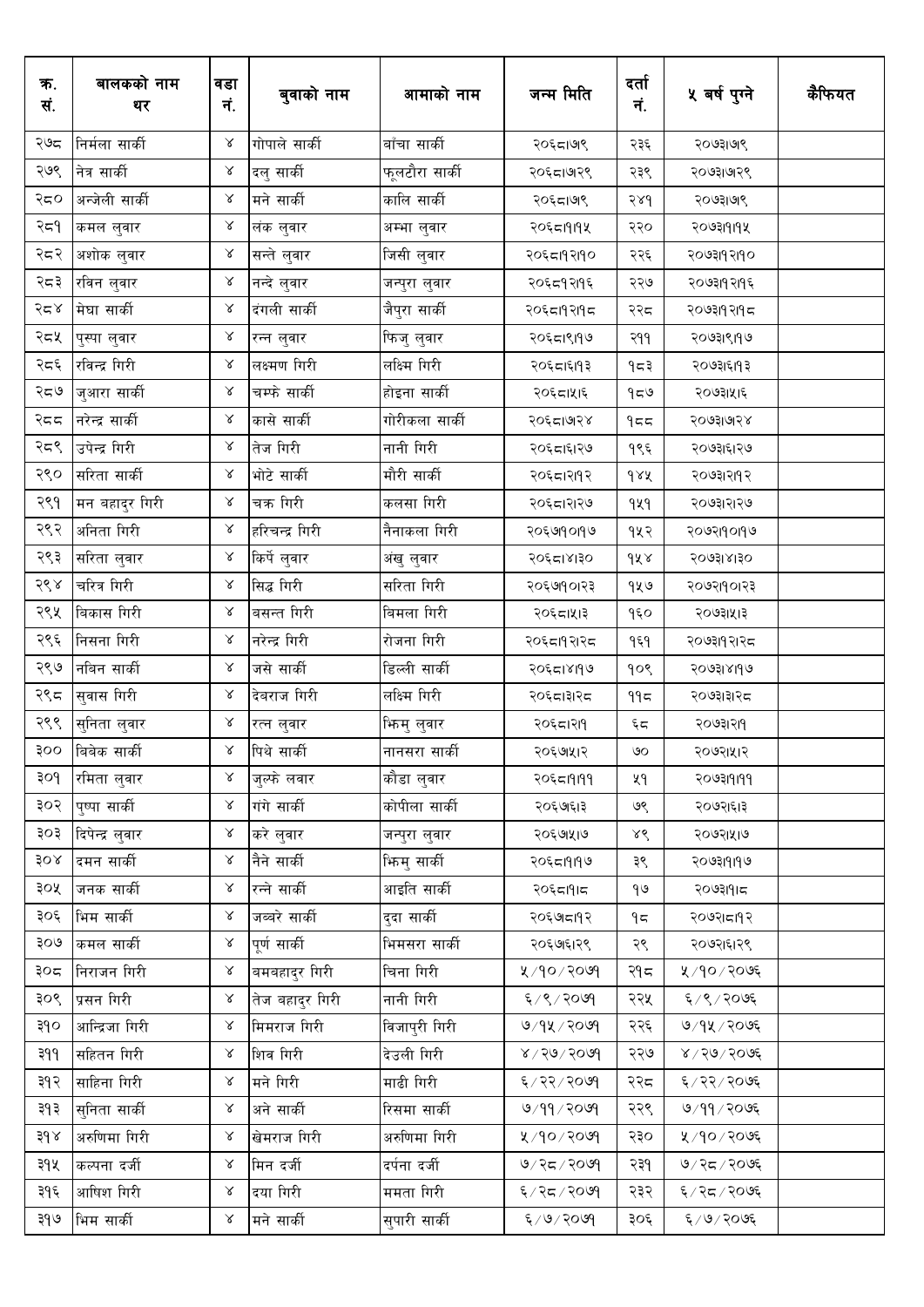| क.<br>सं. | बालकको नाम<br>थर | वडा<br>नं.   | बुवाको नाम      | आमाको नाम      | जन्म मिति       | दर्ता<br>नं. | ५ वर्ष पुग्ने | कैफियत |
|-----------|------------------|--------------|-----------------|----------------|-----------------|--------------|---------------|--------|
| २७८       | निर्मला सार्की   | γ            | गोपाले सार्की   | बाँचा सार्की   | २०६८। ७९        | २३६          | २०७३।७९       |        |
| २७९       | नेत्र सार्की     | $\propto$    | दलु सार्की      | फूलटौरा सार्की | २०६८।७१९        | २३९          | २०७३।७१९      |        |
| २द०       | अन्जेली सार्की   | $\propto$    | मने सार्की      | कालि सार्की    | २०६८।७९         | 586          | २०७३।७९       |        |
| २द१       | कमल लुवार        | γ            | लंक लुवार       | अम्भा लुवार    | २०६८।१।१५       | २२०          | २०७३।१।१५     |        |
| २८२       | अशोक लुवार       | $\propto$    | सन्ते लुवार     | जिसी लुवार     | २०६८।१२११०      | २२६          | २०७३।१२।१०    |        |
| २८३       | रविन लुवार       | $\propto$    | नन्दे लुवार     | जन्पुरा लुवार  | २०६८१२११६       | २२७          | २०७३।१२।१६    |        |
| २८४       | मेघा सार्की      | $\propto$    | दंगली सार्की    | जैपुरा सार्की  | २०६८।१२।१८      | २२८          | २०७३।१२।१८    |        |
| २द५       | पुस्पा लुवार     | $\propto$    | रन्न लुवार      | फिजु लुवार     | २०६८।९।१७       | २११          | २०७३।९।१७     |        |
| २८६       | रविन्द्र गिरी    | $\propto$    | लक्ष्मण गिरी    | लक्ष्मि गिरी   | २०६८।६११३       | १८३          | २०७३।६।१३     |        |
| २८७       | जुआरा सार्की     | $\propto$    | चम्फे सार्की    | होइना सार्की   | २०६८।५१६        | 959          | २०७३।५।६      |        |
| २दद       | नरेन्द्र सार्की  | $\propto$    | कासे सार्की     | गोरीकला सार्की | २०६८।७२४        | 955          | २०७३।७१४      |        |
| २८९       | उपेन्द्र गिरी    | $\propto$    | तेज गिरी        | नानी गिरी      | २०६८।६१२७       | १९६          | २०७३।६।२७     |        |
| २९०       | सरिता सार्की     | $\propto$    | भोटे सार्की     | मौरी सार्की    | २०६८।२११२       | dax          | २०७३।२।१२     |        |
| २९१       | मन बहादुर गिरी   | $\propto$    | चक्र गिरी       | कलसा गिरी      | २०६८।२१२७       | 929          | २०७३।२।२७     |        |
| २९२       | अनिता गिरी       | $\propto$    | हरिचन्द्र गिरी  | नैनाकला गिरी   | २०६७१०१७        | १५२          | २०७२।१०।१७    |        |
| २९३       | सरिता लुवार      | $\propto$    | किर्पे लुवार    | अंखु लुवार     | २०६८।४।३०       | dx           | २०७३।४।३०     |        |
| २९४       | चरित्र गिरी      | $\propto$    | सिद्ध गिरी      | सरिता गिरी     | २०६७१०१२३       | १५७          | २०७२।१०।२३    |        |
| २९५       | बिकास गिरी       | $\propto$    | बसन्त गिरी      | बिमला गिरी     | २०६८।५१३        | १६०          | २०७३।५।३      |        |
| २९६       | निसना गिरी       | $\propto$    | नरेन्द्र गिरी   | रोजना गिरी     | २०६८।१२।२८      | १६१          | २०७३।१२।२८    |        |
| २९७       | नबिन सार्की      | $\propto$    | जसे सार्की      | डिल्ली सार्की  | २०६८।४११७       | १०९          | २०७३।४।१७     |        |
| २९८       | सुवास गिरी       | $\propto$    | देवराज गिरी     | लक्ष्मि गिरी   | २०६८।३१२८       | ۹۹≂          | २०७३।३।२८     |        |
| २९९       | सुनिता लुवार     | ${\bf \chi}$ | रत्न लुवार      | भिन्मु लुवार   | २०६८।२११        | ξς           | २०७३।२११      |        |
| ooş       | बिबेक सार्की     | ४            | पिथे सार्की     | नानसरा सार्की  | २०६७।५१२        | ৩০           | २०७२।५।२      |        |
| ३०१       | रमिता लुवार      | $\propto$    | जुल्फे लवार     | कौडा लुवार     | २०६८।११११       | ५१           | २०७३।११११     |        |
| ३०२       | प्ष्पा सार्की    | $\propto$    | गंगे सार्की     | कोपीला सार्की  | २०६७।६१३        | ७९           | २०७२।६।३      |        |
| ३०३       | दिपेन्द्र लुवार  | $\propto$    | करे लुवार       | जन्पुरा लुवार  | २०६७५।७         | ४९           | २०७२।५।७      |        |
| ३०४       | दमन सार्की       | $\propto$    | नैने सार्की     | भिन्मु सार्की  | २०६८।११९७       | ३९           | २०७३।१।१७     |        |
| ३०५       | जनक सार्की       | $\propto$    | रन्ने सार्की    | आइति सार्की    | २०६८।१।८        | 90           | २०७३।१।८      |        |
| ३०६       | भिम सार्की       | $\propto$    | जब्बरे सार्की   | दुदा सार्की    | २०६७।८१२        | ۹ς           | २०७२।८११२     |        |
| २०७       | कमल सार्की       | $\propto$    | पर्ण सार्की     | भिमसरा सार्की  | २०६७१६१२९       | २९           | २०७२।६।२९     |        |
| ३०८       | निराजन गिरी      | $\propto$    | बमबहादुर गिरी   | चिना गिरी      | ४/१०/२०७१       | २१८          | ५ /१० / २०७६  |        |
| ३०९       | प्रसन गिरी       | $\propto$    | तेज बहादुर गिरी | नानी गिरी      | ६/९/२०७१        | २२५          | ६/९/२०७६      |        |
| ३१०       | आन्द्रिजा गिरी   | $\propto$    | मिमराज गिरी     | विजापुरी गिरी  | ७/१५/२०७१       | २२६          | ७/१५/२०७६     |        |
| 999       | सहितन गिरी       | $\propto$    | शिव गिरी        | देउली गिरी     | 909998          | २२७          | $8005/80$ प्र |        |
| ३१२       | साहिना गिरी      | $\propto$    | मने गिरी        | माढी गिरी      | ६/२२/२०७१       | २२८          | ६/२२/२०७६     |        |
| ३१३       | सुनिता सार्की    | $\propto$    | अने सार्की      | रिसमा सार्की   | 9/99/2099       | २२९          | ७/११/२०७६     |        |
| ३१४       | अरुणिमा गिरी     | $\propto$    | खेमराज गिरी     | अरुणिमा गिरी   | $809 \times 19$ | २३०          | ५/१०/२०७६     |        |
| ३१५       | कल्पना दर्जी     | $\propto$    | मिन दर्जी       | दर्पना दर्जी   | $909 \times 77$ | २३१          | ७/२८/२०७६     |        |
| ३१६       | आषिश गिरी        | $\propto$    | दया गिरी        | ममता गिरी      | ६/२८/२०७१       | २३२          | ६/२८/२०७६     |        |
| ३१७       | भिम सार्की       | $\propto$    | मने सार्की      | सुपारी सार्की  | 809/819         | ३०६          | ६/७/२०७६      |        |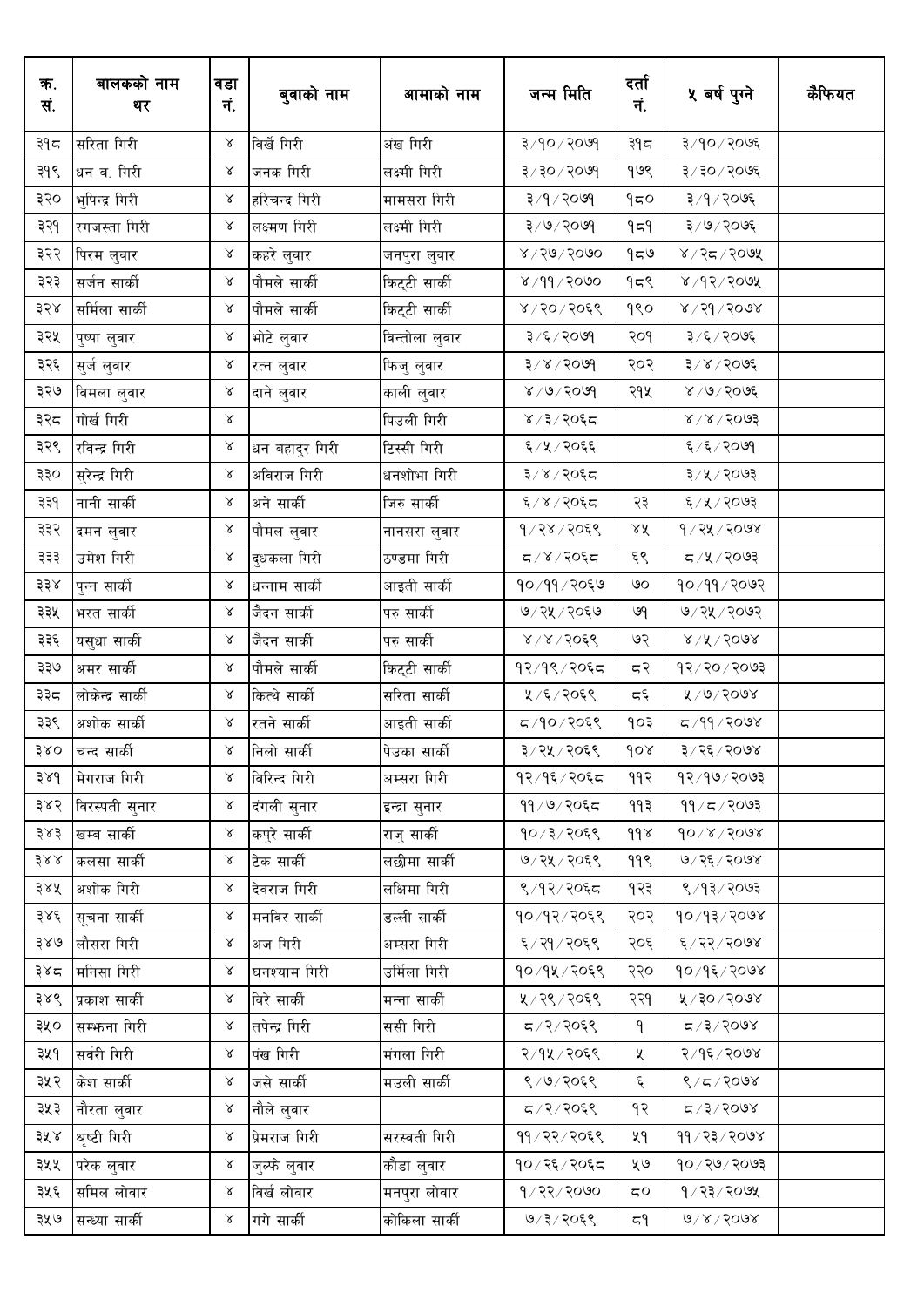| क.<br>सं. | बालकको नाम<br>थर | वडा<br>नं. | बुवाको नाम     | आमाको नाम      | जन्म मिति                       | दर्ता<br>नं.             | ५ बर्ष पुग्ने            | कैफियत |
|-----------|------------------|------------|----------------|----------------|---------------------------------|--------------------------|--------------------------|--------|
| ३१८       | सरिता गिरी       | $\propto$  | विर्खे गिरी    | अंख गिरी       | ३/१०/२०७१                       | ३१८                      | ३/१०/२०७६                |        |
| ३१९       | धन ब. गिरी       | $\propto$  | जनक गिरी       | लक्ष्मी गिरी   | $9009 \setminus 05 \setminus 5$ | १७९                      | ३/३०/२०७६                |        |
| ३२०       | भुपिन्द्र गिरी   | γ          | हरिचन्द गिरी   | मामसरा गिरी    | ३/१/२०७१                        | 950                      | ३/१/२०७६                 |        |
| ३२१       | रगजस्ता गिरी     | $\propto$  | लक्ष्मण गिरी   | लक्ष्मी गिरी   | 3/9/2099                        | ۹≂۹                      | ३/७/२०७६                 |        |
| ३२२       | पिरम लुवार       | γ          | कहरे लुवार     | जनपुरा लुवार   | $8 \times 10 \times 1000$       | 959                      | ४/२८/२०७५                |        |
| ३२३       | सर्जन सार्की     | $\propto$  | पौमले सार्की   | किट्टी सार्की  | 8/99/2000                       | १८९                      | 8005/94/8                |        |
| ३२४       | सर्मिला सार्की   | $\propto$  | पौमले सार्की   | किट्टी सार्की  | ४/२०/२०६९                       | १९०                      | $8005/99 \times$         |        |
| ३२५       | पुष्पा लुवार     | Χ          | भोटे लुवार     | विन्तोला लुवार | ३/६/२०७१                        | २०१                      | ३/६/२०७६                 |        |
| ३२६       | सुर्ज लुवार      | $\propto$  | रत्न लुवार     | फिजु लुवार     | $3 \times 1500d$                | २०२                      | 3006/8                   |        |
| ३२७       | विमला लुवार      | $\propto$  | दाने लुवार     | काली लुवार     | 8005/6                          | २१५                      | $8 \times 10 \times 500$ |        |
| ३२८       | गोर्ख गिरी       | $\propto$  |                | पिउली गिरी     | ४ / ३ / २०६८                    |                          | $8\sqrt{8}\sqrt{50}$     |        |
| ३२९       | रविन्द्र गिरी    | $\propto$  | धन बहादुर गिरी | टिस्सी गिरी    | ६/५/२०६६                        |                          | ६/६/२०७१                 |        |
| ३३०       | सुरेन्द्र गिरी   | $\propto$  | अविराज गिरी    | धनशोभा गिरी    | ३/४/२०६८                        |                          | ३/५/२०७३                 |        |
| ३३१       | नानी सार्की      | $\propto$  | अने सार्की     | जिरु सार्की    | ६/४/२०६८                        | २३                       | ६/५/२०७३                 |        |
| ३३२       | दमन लुवार        | $\propto$  | पौमल लुवार     | नानसरा लुवार   | १/२४/२०६९                       | ΧX                       | 9/72/2008                |        |
| ३३३       | उमेश गिरी        | $\propto$  | दुधकला गिरी    | ठण्डमा गिरी    | $590\sqrt{8}/\sqrt{2}$          | ६९                       | $5005\backslash x$       |        |
| ३३४       | पुन्न सार्की     | $\propto$  | धन्नाम सार्की  | आइती सार्की    | १०/११/२०६७                      | ७०                       | १०/११/२०७२               |        |
| ३३५       | भरत सार्की       | $\propto$  | जैदन सार्की    | परु सार्की     | ७/२५/२०६७                       | ७१                       | ७/२५/२०७२                |        |
| ३३६       | यसुधा सार्की     | $\propto$  | जैदन सार्की    | परु सार्की     | $8/8/50$ ६९                     | ७२                       | $8\sqrt{15}$ / $500$     |        |
| ३३७       | अमर सार्की       | $\propto$  | पौमले सार्की   | किट्टी सार्की  | १२/१९/२०६८                      | ८२                       |                          |        |
| ३३८       | लोकेन्द्र सार्की | $\propto$  | कित्थे सार्की  | सरिता सार्की   | ५/६/२०६९                        | $\overline{\varsigma}$ پ | ४/७/२०७४                 |        |
| ३३९       | अशोक सार्की      | $\propto$  | रतने सार्की    | आइती सार्की    | द/१०/२०६९                       | १०३                      | $800$ २९ $\sqrt{9}$ २०७४ |        |
| ३४०       | चन्द सार्की      | $\alpha$   | निलो सार्की    | पेउका सार्की   | ३/२५/२०६९                       | 60x                      | ३/२६/२०७४                |        |
| 38d       | मेगराज गिरी      | $\propto$  | विरिन्द गिरी   | अम्सरा गिरी    | १२/१६/२०६८                      | ११२                      | $5009 \times 99$         |        |
| ३४२       | विरस्पती सुनार   | $\propto$  | दंगली सुनार    | इन्द्रा सुनार  | ११/७/२०६८                       | ۹۹३                      | $99 \times 7$ रि         |        |
| ३४३       | खम्ब सार्की      | $\propto$  | कपुरे सार्की   | राजु सार्की    | १०/३/२०६९                       | $d d \lambda$            | $90/x \times 90x$        |        |
| ३४४       | कलसा सार्की      | $\propto$  | टेक सार्की     | लछीमा सार्की   | ७/२५/२०६९                       | 99९                      | ७/२६/२०७४                |        |
| ३४५       | अशोक गिरी        | $\propto$  | देवराज गिरी    | लक्षिमा गिरी   | ९/१२/२०६८                       | १२३                      | ९/१३/२०७३                |        |
| ३४६       | सूचना सार्की     | $\propto$  | मनविर सार्की   | डल्ली सार्की   | १०/१२/२०६९                      | २०२                      | 90/93/2008               |        |
| ३४७       | लौसरा गिरी       | $\propto$  | अज गिरी        | अम्सरा गिरी    | ६/२१/२०६९                       | २०६                      | ६/२२/२०७४                |        |
| ३४८       | मनिसा गिरी       | $\propto$  | घनश्याम गिरी   | उर्मिला गिरी   | १०/१५/२०६९                      | २२०                      | $90/9$ ६/२०७४            |        |
| ३४९       | प्रकाश सार्की    | $\propto$  | विरे सार्की    | मन्ना सार्की   | ५/२९/२०६९                       | २२१                      | ४/२०/२०७४                |        |
| ३५०       | सम्भन्ना गिरी    | $\propto$  | तपेन्द्र गिरी  | ससी गिरी       | 5905/77                         | ٩                        | $8005/37$ प्र            |        |
| ३५१       | सर्वरी गिरी      | $\propto$  | पंख गिरी       | मंगला गिरी     | २/१५/२०६९                       | ৼ                        | २/१६/२०७४                |        |
| ३५२       | केश सार्की       | $\propto$  | जसे सार्की     | मउली सार्की    | ९/७/२०६९                        | ६                        | 8/5/200                  |        |
| ३५३       | नौरता लुवार      | $\propto$  | नौले लुवार     |                | ८/२/२०६९                        | १२                       | $X$ 009 $X$              |        |
| ३५४       | श्रृष्टी गिरी    | $\propto$  | प्रेमराज गिरी  | सरस्वती गिरी   | ११/२२/२०६९                      | ५१                       | 99/23/2008               |        |
| ३५५       | परेक लुवार       | $\propto$  | जुल्फे लुवार   | कौडा लुवार     | १०/२६/२०६८                      | ५७                       | 5005/09                  |        |
| ३५६       | समिल लोवार       | $\propto$  | विर्ख लोवार    | मनपुरा लोवार   | 9/25/2000                       | $\mathtt{C}\mathtt{O}$   | $9/23/209$ ४             |        |
| ३५७       | सन्ध्या सार्की   | $\propto$  | गंगे सार्की    | कोकिला सार्की  | ७/३/२०६९                        | ح\                       | $0\sqrt{2}\sqrt{500}$    |        |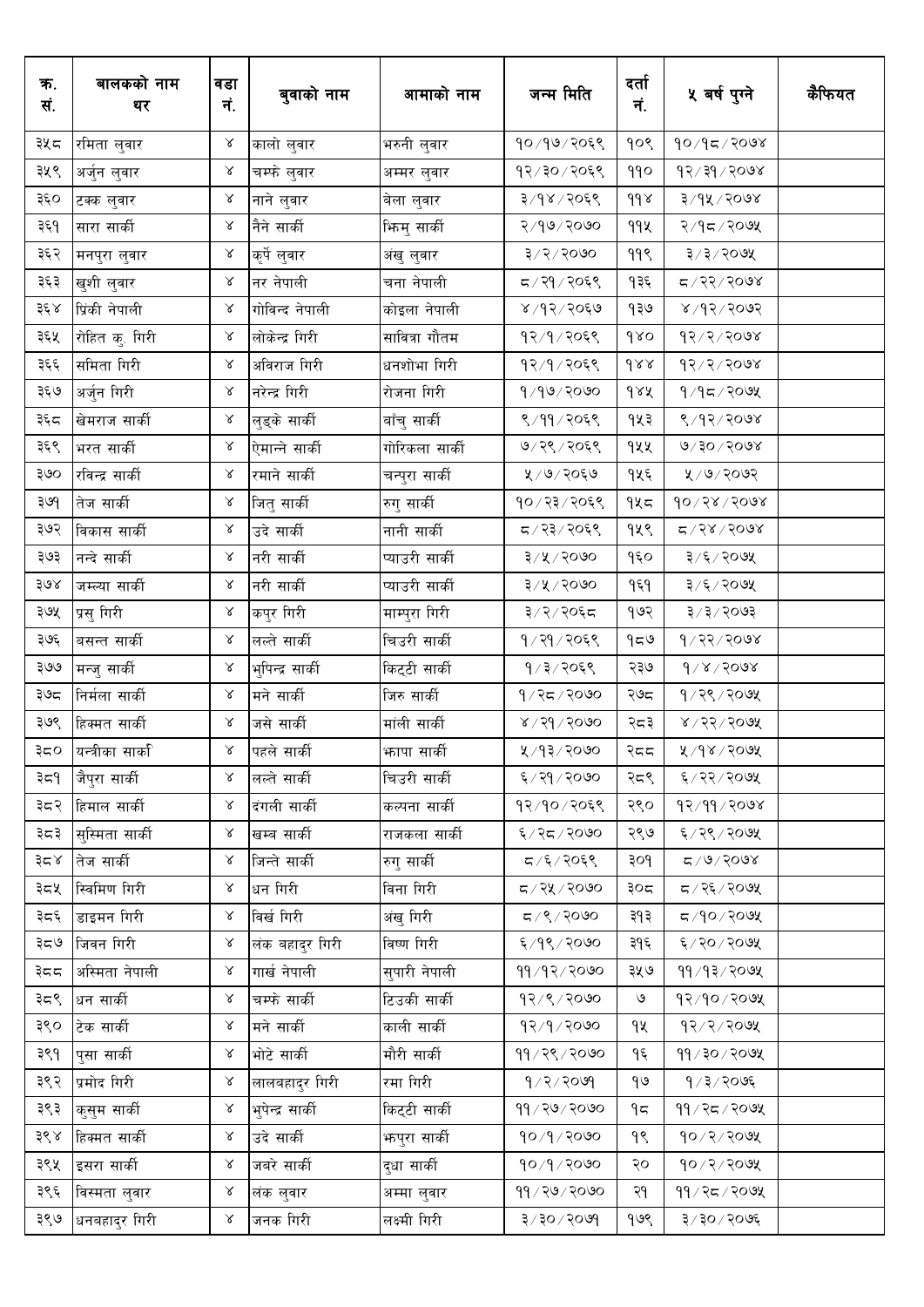| क.<br>सं. | बालकको नाम<br>थर     | वडा<br>नं. | बुवाको नाम       | आमाको नाम      | जन्म मिति                       | दर्ता<br>नं.  | ५ वर्ष पुग्ने            | कैफियत |
|-----------|----------------------|------------|------------------|----------------|---------------------------------|---------------|--------------------------|--------|
| ३५८       | रमिता लुवार          | $\propto$  | कालो लुवार       | भरुनी लुवार    | १०/१७/२०६९                      | १०९           | $800$ २/२०७४             |        |
| ३५९       | अर्जुन लुवार         | Χ          | चम्फे लुवार      | अम्मर लुवार    | १२/३०/२०६९                      | 990           | 95/36/56/9               |        |
| ३६०       | टक्क लुवार           | Χ          | नाने लुवार       | बेला लुवार     | ३/१४/२०६९                       | $d d \lambda$ | ३/१५/२०७४                |        |
| ३६१       | सारा सार्की          | $\propto$  | नैने सार्की      | भिन्मु सार्की  | २/१७/२०७०                       | 99火           | २/१८/२०७५                |        |
| ३६२       | मनपुरा लुवार         | γ          | कृर्पे लुवार     | अंखु लुवार     | $3 \times 3 \times 600$         | ११९           | $3/3/20$ ७५              |        |
| ३६३       | खुशी लुवार           | $\propto$  | नर नेपाली        | चना नेपाली     | द / २१ / २०६९                   | १३६           | द / २२ / २०७४            |        |
| ३६४       | प्रिंकी नेपाली       | $\propto$  | गोविन्द नेपाली   | कोइला नेपाली   | ४/१२/२०६७                       | १३७           | $800$ २/२०७२             |        |
| ३६५       | रोहित कु. गिरी       | $\propto$  | लोकेन्द्र गिरी   | सावित्रा गौतम  | १२/१/२०६९                       | 980           | 95/5/56                  |        |
| ३६६       | समिता गिरी           | $\propto$  | अविराज गिरी      | धनशोभा गिरी    | १२/१/२०६९                       | dxx           | 95/5/56                  |        |
| ३६७       | अर्जुन गिरी          | $\propto$  | नरेन्द्र गिरी    | रोजना गिरी     | 9/99/2090                       | dAA           | $9/9$ द $/$ २०७५         |        |
| ३६८       | खेमराज सार्की        | $\propto$  | लुड्के सार्की    | बाँचु सार्की   | ९/११/२०६९                       | १५३           | 8/93/9008                |        |
| ३६९       | भरत सार्की           | $\propto$  | ऐमान्ने सार्की   | गोरिकला सार्की | ७/२९/२०६९                       | १५५           | $800$ $\sqrt{90}$        |        |
| ३७०       | रविन्द्र सार्की      | $\propto$  | रमाने सार्की     | चन्पुरा सार्की | ५ / ७ / २०६७                    | १५६           | ५ /७ / २०७२              |        |
| ३७९       | तेज सार्की           | $\propto$  | जितु सार्की      | रुगु सार्की    | १०/२३/२०६९                      | $9$ ५८        | $90 \times 60 \times 60$ |        |
| ३७२       | विकास सार्की         | $\propto$  | उदे सार्की       | नानी सार्की    | ८,२३/२०६९                       | १५९           | $Z/32$ / $500$           |        |
| ३७३       | नन्दे सार्की         | $\propto$  | नरी सार्की       | प्याउरी सार्की | ३/५/२०७०                        | १६०           | ३/६/२०७५                 |        |
| ३७४       | जम्ल्या सार्की       | $\propto$  | नरी सार्की       | प्याउरी सार्की | ३/५/२०७०                        | १६१           | ३/६/२०७५                 |        |
| ३७५       | प्रसु गिरी           | $\propto$  | कपुर गिरी        | माम्पुरा गिरी  | ३/२/२०६८                        | १७२           | ३/३/२०७३                 |        |
| ३७६       | बसन्त सार्की         | $\propto$  | लल्ते सार्की     | चिउरी सार्की   | १/२१/२०६९                       | 959           | १/२२/२०७४                |        |
| ३७७       | मन्जु सार्की         | $\propto$  | भुपिन्द्र सार्की | किट्टी सार्की  | १/३/२०६९                        | २३७           | $d \times 1500$          |        |
| ३७८       | निर्मला सार्की       | $\propto$  | मने सार्की       | जिरु सार्की    | १/२८/२०७०                       | २७८           | १/२९/२०७५                |        |
| ३७९       | हिक्मत सार्की        | $\propto$  | जसे सार्की       | मांली सार्की   | $8 \times 150$ २०               | २८३           | 8/25/20                  |        |
|           | ३८० यन्त्रीका सार्का | $\chi$     | पहले सार्की      | फापा सार्की    | ५ ⁄ १३ ⁄ २०७०                   | २दद           | ४/१४/२०७५                |        |
| ३८१       | जैपुरा सार्की        | $\propto$  | लल्ते सार्की     | चिउरी सार्की   | ६ / २१ / २०७०                   | २८९           | ६/२२/२०७५                |        |
| ३८२       | हिमाल सार्की         | $\propto$  | दंगली सार्की     | कल्पना सार्की  | १२/१०/२०६९                      | २९०           | 93/99/9008               |        |
| ३८३       | सुस्मिता सार्की      | $\propto$  | खम्ब सार्की      | राजकला सार्की  | ६/२८/२०७०                       | २९७           | ६/२९/२०७५                |        |
| ३८४       | तेज सार्की           | $\propto$  | जिन्ते सार्की    | रुगु सार्की    | ८/६/२०६९                        | ३०१           | $8005/9$ ्य              |        |
| ३८५       | स्विमिण गिरी         | $\propto$  | धन गिरी          | विना गिरी      | ८/२५/२०७०                       | ३०८           | ८/२६/२०७५                |        |
| ३८६       | डाइमन गिरी           | γ          | विर्ख गिरी       | अंखु गिरी      | 5/2/3                           | ३१३           | ८/१०/२०७५                |        |
| ತಿದ್      | जिवन गिरी            | $\propto$  | लंक बहादुर गिरी  | विष्ण गिरी     | ६/१९/२०७०                       | ३१६           | ६/२०/२०७५                |        |
| ३८८       | अस्मिता नेपाली       | $\propto$  | गार्ख नेपाली     | सुपारी नेपाली  | 99/92/2000                      | ३५७           | $99/93/209$ ४            |        |
| ३८९       | धन सार्की            | $\propto$  | चम्फे सार्की     | टिउकी सार्की   | १२/९/२०७०                       | $\circ$       | १२/१०/२०७५               |        |
| ३९०       | टेक सार्की           | $\propto$  | मने सार्की       | काली सार्की    | 92/9/2000                       | १५            | 93/3/50                  |        |
| ३९१       | पुसा सार्की          | $\propto$  | भोटे सार्की      | मौरी सार्की    | 99/28/2010                      | ۹६            | 99/30/209                |        |
| ३९२       | प्रमोद गिरी          | $\propto$  | लालबहादुर गिरी   | रमा गिरी       | 9/2/2009                        | ٩७            | १∕३∕२०७६                 |        |
| ३९३       | कुसुम सार्की         | $\propto$  | भुपेन्द्र सार्की | किट्टी सार्की  | ११/२७/२०७०                      | ۹ς            | 99/25/209                |        |
| ३९४       | हिक्मत सार्की        | $\propto$  | उदे सार्की       | फपुरा सार्की   | १०/१/२०७०                       | १९            | $90 \times 200$ प्र      |        |
| ३९५       | इसरा सार्की          | $\propto$  | जबरे सार्की      | दुधा सार्की    | १०/१/२०७०                       | २०            | 90/2/209                 |        |
| ३९६       | विस्मता लुवार        | $\propto$  | लंक लुवार        | अम्मा लुवार    | 99/20/2000                      | २१            | 99/25/209                |        |
| ३९७       | धनबहादुर गिरी        | $\propto$  | जनक गिरी         | लक्ष्मी गिरी   | $9009 \setminus 05 \setminus 5$ | १७९           | ३/३०/२०७६                |        |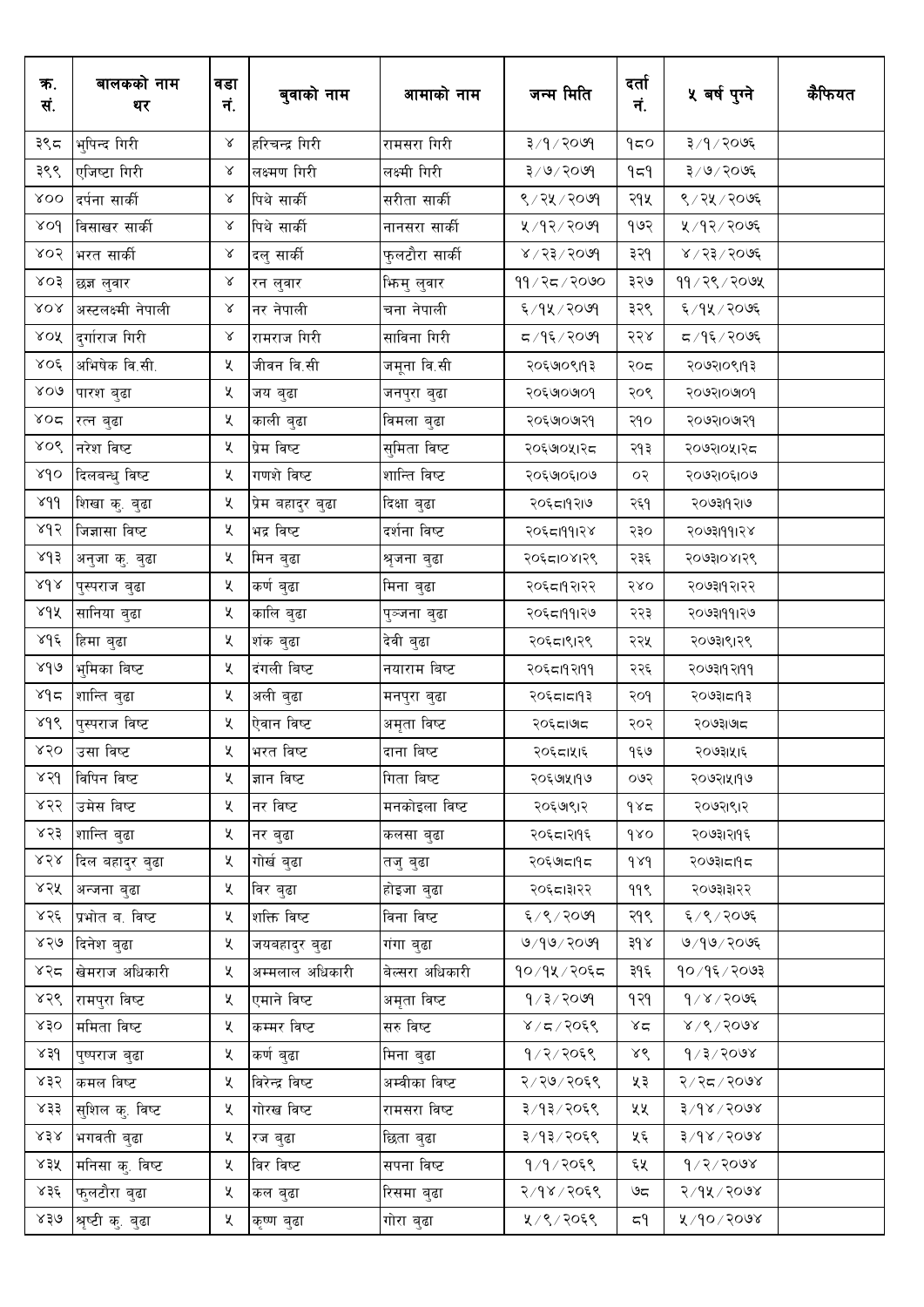| क.<br>सं.               | बालकको नाम<br>थर   | वडा<br>नं. | बुवाको नाम        | आमाको नाम       | जन्म मिति                            | दर्ता<br>न.      | ५ बर्ष पुग्ने      | कैफियत |
|-------------------------|--------------------|------------|-------------------|-----------------|--------------------------------------|------------------|--------------------|--------|
| ३९८                     | भुपिन्द गिरी       | Χ          | हरिचन्द्र गिरी    | रामसरा गिरी     | $P^o$ ०९ $\setminus P \setminus \xi$ | 950              | ३/१/२०७६           |        |
| ३९९                     | एजिष्टा गिरी       | γ          | लक्ष्मण गिरी      | लक्ष्मी गिरी    | $3^{3}$ / $6^{3}$                    | ۹≂۹              | ३/७/२०७६           |        |
| $\lambda$ OO            | दर्पना सार्की      | γ          | पिथे सार्की       | सरीता सार्की    | ९/२५/२०७१                            | २१५              | ९/२५/२०७६          |        |
| $\delta$                | विसाखर सार्की      | γ          | पिथे सार्की       | नानसरा सार्की   | ५ /१२ / २०७१                         | १७२              | ५ /१२ / २०७६       |        |
| 805                     | भरत सार्की         | $\propto$  | दलु सार्की        | फुलटौरा सार्की  | $8005 \times 55 \times$              | ३२१              | ४ / २३ / २०७६      |        |
| 803                     | छज्ञ लुवार         | Χ          | रन लुवार          | भिन्मु लुवार    | ११ / २८ / २०७०                       | ३२७              | 99 / 28 / 200      |        |
| ${\cal R}$ O ${\cal R}$ | अस्टलक्ष्मी नेपाली | $\propto$  | नर नेपाली         | चना नेपाली      | ६/१५/२०७१                            | ३२९              | ६/१५/२०७६          |        |
| XOX                     | दुर्गाराज गिरी     | $\propto$  | रामराज गिरी       | साविना गिरी     | द ∕ १६ ⁄ २०७१                        | २२४              | द ⁄ १६ ⁄ २०७६      |        |
| $\lambda$ OÉ            | अभिषेक वि.सी.      | Κ          | जीवन वि.सी        | जमूना वि.सी     | २०६७७९११३                            | २०८              | २०७२१०९११३         |        |
| 800                     | पारश बुढा          | Κ          | जय बुढा           | जनपुरा बुढा     | २०६७०७०१                             | २०९              | २०७२।०७१०१         |        |
| $\lambda$ 02            | रत्न बुढा          | Κ          | काली बुढा         | विमला बुढा      | २०६७७७१२१                            | २१०              | २०७२।०७१२१         |        |
| XOS                     | नरेश विष्ट         | Κ          | प्रेम विष्ट       | सुमिता विष्ट    | २०६७०५१२८                            | २१३              | २०७२।०५।२८         |        |
| sdo                     | दिलबन्धु विष्ट     | Κ          | गणशे विष्ट        | शान्ति विष्ट    | २०६७०६१०७                            | ०२               | २०७२।०६।०७         |        |
| 8d <sub>0</sub>         | शिखा कु. बुढा      | Κ          | प्रेम बहादुर बुढा | दिक्षा बुढा     | २०६८।१२।७                            | २६१              | २०७३।१२।७          |        |
| ४१२                     | जिज्ञासा विष्ट     | Κ          | भद्र विष्ट        | दर्शना विष्ट    | २०६८।११।२४                           | २३०              | २०७३।११।२४         |        |
| 843                     | अनुजा कु. बुढा     | X.         | मिन बुढा          | श्रृजना बुढा    | २०६८।०४।२९                           | २३६              | २०७३।०४।२९         |        |
| $\lambda d\lambda$      | पुस्पराज बुढा      | Κ          | कर्ण बुढा         | मिना बुढा       | २०६८।१२१२                            | २४०              | २०७३११२१२          |        |
| ४१५                     | सानिया बुढा        | Κ          | कालि बुढा         | पुञ्जना बुढा    | २०६८।११।२७                           | २२३              | २०७३।११।२७         |        |
| مراخ                    | हिमा बुढा          | Κ          | शंक बुढा          | देवी बुढा       | २०६८।९।२९                            | २२५              | २०७३।९।२९          |        |
| 8d                      | भुमिका बिष्ट       | Κ          | दंगली बिष्ट       | नयाराम बिष्ट    | २०६८।१२।११                           | २२६              | २०७३।१२।११         |        |
| لاه د                   | शान्ति बुढा        | Κ          | अली बुढा          | मनपुरा बुढा     | २०६८।८११३                            | २०१              | २०७३।≂।१३          |        |
| sdó                     | पुस्पराज विष्ट     | X          | ऐवान विष्ट        | अमृता विष्ट     | २०६८।७।८                             | २०२              | २०७३।७।८           |        |
|                         | ४२० उसा विष्ट      | Κ          | भरत विष्ट         | दाना बिष्ट      | २०६८।५१६                             | १६७              | २०७३।५।६           |        |
| ४२१                     | विपिन विष्ट        | ५          | ज्ञान विष्ट       | गिता बिष्ट      | २०६७।५१७                             | ०७२              | २०७२।५११७          |        |
| ४२२                     | उमेस बिष्ट         | X          | नर विष्ट          | मनकोइला विष्ट   | २०६७९१२                              | 985              | २०७२।९।२           |        |
| ४२३                     | शान्ति बुढा        | X          | नर बुढा           | कलसा बुढा       | २०६८।२१९६                            | 980              | २०७३।२११६          |        |
| 858                     | दिल बहादुर बुढा    | Κ          | गोर्ख बुढा        | तजु बुढा        | २०६७।दापद                            | $\delta \lambda$ | २०७३।८।१८          |        |
| ४२५                     | अन्जना बुढा        | X          | विर बुढा          | होइजा बुढा      | २०६८।३१२२                            | ११९              | २०७३।३।२२          |        |
| ४२६                     | प्रभोत ब. विष्ट    | X          | शक्ति विष्ट       | विना विष्ट      | ६/९/२०७१                             | २१९              | ६/९/२०७६           |        |
| ४२७                     | दिनेश बुढा         | Κ          | जयबहादुर बुढा     | गंगा बुढा       | 9/99/2099                            | $3d \lambda$     | ७/१७/२०७६          |        |
| ४२८                     | खेमराज अधिकारी     | X          | अम्मलाल अधिकारी   | बेल्सरा अधिकारी | १०/१५/२०६८                           | ३१६              | १०/१६/२०७३         |        |
| ४२९                     | रामपुरा विष्ट      | Κ          | एमाने विष्ट       | अमृता विष्ट     | 9/3/2099                             | १२१              | $9/8/20$ ७६        |        |
| x30                     | ममिता विष्ट        | Κ          | कम्मर विष्ट       | सरु विष्ट       | 8/5/2068                             | $x^2$            | 8/8/5008           |        |
| ४३१                     | पुष्पराज बुढा      | Κ          | कर्ण बुढा         | मिना बुढा       | १/२/२०६९                             | ४९               | 9/3/2008           |        |
| ४३२                     | कमल विष्ट          | Κ          | विरेन्द्र विष्ट   | अम्वीका विष्ट   | २/२७/२०६९                            | ५३               | 8005/25/2          |        |
| ४३३                     | सुशिल कु. विष्ट    | Κ          | गोरख विष्ट        | रामसरा विष्ट    | ३/१३/२०६९                            | ५५               | $8005 \times 9$ रि |        |
| x3x                     | भगवती बुढा         | Κ          | रज बुढा           | छिता बुढा       | ३/१३/२०६९                            | ५६               | $8005 \times 9$ रि |        |
| ४३५                     | मनिसा कु. विष्ट    | X          | विर विष्ट         | सपना विष्ट      | १/१/२०६९                             | ६५               | 9/2/3008           |        |
| ४३६                     | फुलटौरा बुढा       | Κ          | कल बुढा           | रिसमा बुढा      | २/१४/२०६९                            | ಅದ               | २/१५/२०७४          |        |
| ४३७                     | श्रृष्टी कु. बुढा  | Κ          | कृष्ण बुढा        | गोरा बुढा       | ५/९/२०६९                             | 7۹               | ४/१०/२०७४          |        |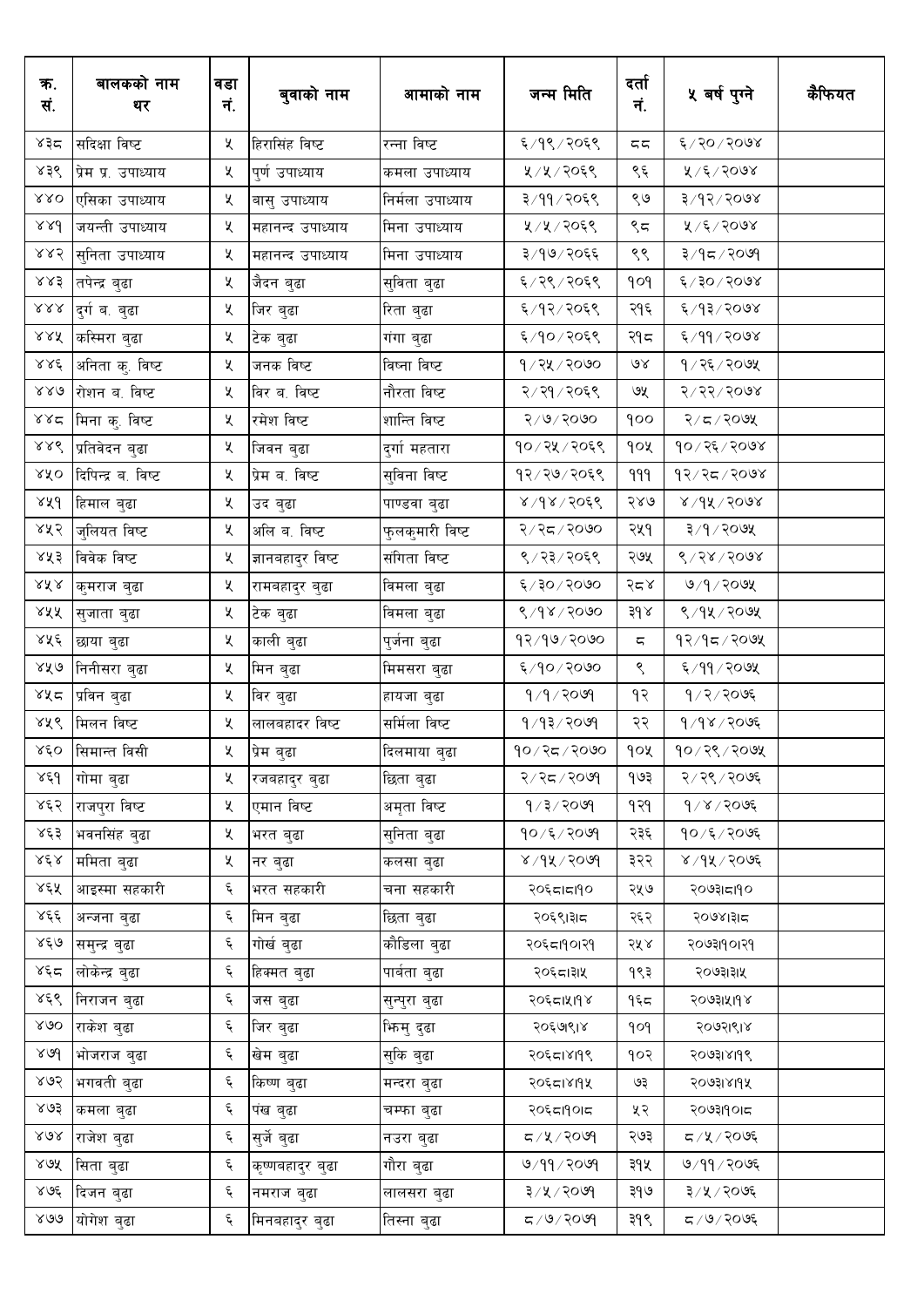| क.<br>सं.                        | बालकको नाम<br>थर    | वडा<br>नं. | बुवाको नाम        | आमाको नाम        | जन्म मिति         | दर्ता<br>नं.            | ५ बर्ष पुग्ने               | कैफियत |
|----------------------------------|---------------------|------------|-------------------|------------------|-------------------|-------------------------|-----------------------------|--------|
| ४३८                              | सदिक्षा विष्ट       | Κ          | हिरासिंह विष्ट    | रन्ना विष्ट      | ६/१९/२०६९         | 55                      | ६/२०/२०७४                   |        |
| ४३९                              | प्रेम प्र. उपाध्याय | X.         | पुर्ण उपाध्याय    | कमला उपाध्याय    | ५/५/२०६९          | ९६                      | ५/६/२०७४                    |        |
| $\lambda\lambda O$               | एसिका उपाध्याय      | Κ          | बासु उपाध्याय     | निर्मला उपाध्याय | ३/११/२०६९         | ९७                      | ३/१२/२०७४                   |        |
| 88d                              | जयन्ती उपाध्याय     | Κ          | महानन्द उपाध्याय  | मिना उपाध्याय    | ५/५/२०६९          | ९८                      | ४/६/२०७४                    |        |
| ४४२                              | सुनिता उपाध्याय     | Κ          | महानन्द उपाध्याय  | मिना उपाध्याय    | ३/१७/२०६६         | ९९                      | ३/१८/२०७१                   |        |
| ४४३                              | तपेन्द्र बुढा       | X.         | जैदन बुढा         | सुविता बुढा      | ६/२९/२०६९         | 909                     | ६/३०/२०७४                   |        |
| $\lambda\lambda\lambda$          | दुर्ग ब. बुढा       | Κ          | जिर बुढा          | रिता बुढा        | ६/१२/२०६९         | २१६                     | ६/१३/२०७४                   |        |
| 888                              | कस्मिरा बुढा        | Κ          | टेक बुढा          | गंगा बुढा        | ६/१०/२०६९         | २१८                     | ६/११/२०७४                   |        |
| 886                              | अनिता कु. विष्ट     | Κ          | जनक विष्ट         | विष्ना विष्ट     | १/२५/२०७०         | 9X                      | १/२६/२०७५                   |        |
| 880                              | रोशन ब. विष्ट       | Κ          | विर ब. विष्ट      | नौरता विष्ट      | २/२१/२०६९         | ७५                      | 8/25/500                    |        |
| 288                              | मिना कु. विष्ट      | Κ          | रमेश विष्ट        | शान्ति विष्ट     | $800$ २९/९/२०     | qoo                     | २/८/२०७५                    |        |
| $\lambda \lambda \acute{\delta}$ | प्रतिवेदन बुढा      | Κ          | जिवन बुढा         | दुर्गा महतारा    | १०/२५/२०६९        | १०५                     | $90 \times 36 \times 300$ ४ |        |
| ४४०                              | दिपिन्द्र ब. विष्ट  | Κ          | प्रेम ब. विष्ट    | सुविना विष्ट     | १२/२७/२०६९        | 999                     | १२⁄२८/२०७४                  |        |
| 88d                              | हिमाल बुढा          | Κ          | उद बुढा           | पाण्डवा बुढा     | 8/98/3066         | २४७                     | $8\times 10^{14}$           |        |
| ४५२                              | जुलियत विष्ट        | Κ          | अलि ब. विष्ट      | फुलकुमारी विष्ट  | २/२८/२०७०         | २५१                     | ३/१/२०७५                    |        |
| ४४३                              | विवेक विष्ट         | Κ          | ज्ञानबहादुर विष्ट | संगिता विष्ट     | ९/२३/२०६९         | २७५                     | 8/58/5008                   |        |
| $\textrm{AA}$                    | कुमराज बुढा         | Κ          | रामबहादुर बुढा    | विमला बुढा       | ६/३०/२०७०         | २८४                     | ७/१/२०७५                    |        |
| ४५५                              | सुजाता बुढा         | Κ          | टेक बुढा          | विमला बुढा       | 8/98/2000         | $3d \lambda$            | ९/१५/२०७५                   |        |
| ४५६                              | छाया बुढा           | Κ          | काली बुढा         | पुजेना बुढा      | 98/90/2000        | $\overline{\mathbb{C}}$ | १२⁄१८⁄२०७५                  |        |
| ४४७                              | निनीसरा बुढा        | Κ          | मिन बुढा          | मिमसरा बुढा      | ६/१०/२०७०         | ९                       | ६/११/२०७५                   |        |
| ४५८                              | प्रविन बुढा         | Κ          | विर बुढा          | हायजा बुढा       | $9/9/20$ ७९       | १२                      | १/२/२०७६                    |        |
| ४५९                              | मिलन विष्ट          | X          | लालबहादर विष्ट    | सर्मिला विष्ट    | $9/93/20$ %       | २२                      | 9/98/2096                   |        |
|                                  | ४६० सिमान्त विसी    | χ          | प्रेम बुढा        | दिलमाया बुढा     | १०/२८/२०७०        | १०५                     | १०/२९/२०७५                  |        |
| ४६१                              | गोमा बुढा           | Κ          | रजबहादुर बुढा     | छिता बुढा        | २/२८/२०७१         | १७३                     | २/२९/२०७६                   |        |
| ४६२                              | राजपुरा विष्ट       | X          | एमान विष्ट        | अमृता विष्ट      | 9/3/2099          | १२१                     | $9/8/20$ ७६                 |        |
| ४६३                              | भवनसिंह बुढा        | X          | भरत बुढा          | सुनिता बुढा      | १०/६/२०७१         | २३६                     | १०/६/२०७६                   |        |
| $\lambda \,\xi\, \lambda$        | ममिता बुढा          | Κ          | नर बुढा           | कलसा बुढा        | $8009 \times 190$ | ३२२                     | ४ / १५ / २०७६               |        |
| ४६५                              | आइस्मा सहकारी       | Ę          | भरत सहकारी        | चना सहकारी       | २०६८।८१०          | २५७                     | २०७३।दा9०                   |        |
| ४६६                              | अन्जना बुढा         | Ę          | मिन बुढा          | छिता बुढा        | २०६९।३।८          | २६२                     | २०७४।३।८                    |        |
| ४६७                              | समुन्द्र बुढा       | Ę          | गोर्ख बुढा        | कौडिला बुढा      | २०६८।१०।२१        | २५४                     | २०७३।१०।२१                  |        |
| ४६द                              | लोकेन्द्र बुढा      | Ę          | हिक्मत बुढा       | पार्बता बुढा     | २०६८।३१५          | १९३                     | २०७३।३।५                    |        |
| ४६९                              | निराजन बुढा         | Ę          | जस बुढा           | सुन्पुरा बुढा    | २०६८।५११४         | १६८                     | २०७३।५।१४                   |        |
| 800                              | राकेश बुढा          | ද          | जिर बुढा          | भिन्मु दुढा      | २०६७९।४           | pop                     | २०७२।९।४                    |        |
| 800                              | भोजराज बुढा         | Ę          | खेम बुढा          | सुकि बुढा        | २०६८।४१९९         | १०२                     | २०७३।४१९९                   |        |
| ४७२                              | भगवती बुढा          | ද          | किष्ण बुढा        | मन्दरा बुढा      | २०६८।४११५         | ও३                      | २०७३।४।१५                   |        |
| ४७३                              | कमला बुढा           | ද          | पंख बुढा          | चम्फा बुढा       | २०६८।१०।८         | ५२                      | २०७३।१०।८                   |        |
| 808                              | राजेश बुढा          | ද          | सुर्जे बुढा       | नउरा बुढा        | ८/५/२०७१          | २७३                     | द ∕ ५्⁄ २०७६                |        |
| ४७५                              | सिता बुढा           | ද          | कृष्णबहादुर बुढा  | गौरा बुढा        | 9/99/9099         | ३१५                     | ७/११/२०७६                   |        |
| ४७६                              | दिजन बुढा           | ද          | नमराज बुढा        | लालसरा बुढा      | ३/५/२०७१          | ३१७                     | ३/५/२०७६                    |        |
| 800                              | योगेश बुढा          | ٤          | मिनबहादुर बुढा    | तिस्ना बुढा      | $F(80, 80)$ न     | ३१९                     | द /७/२०७६                   |        |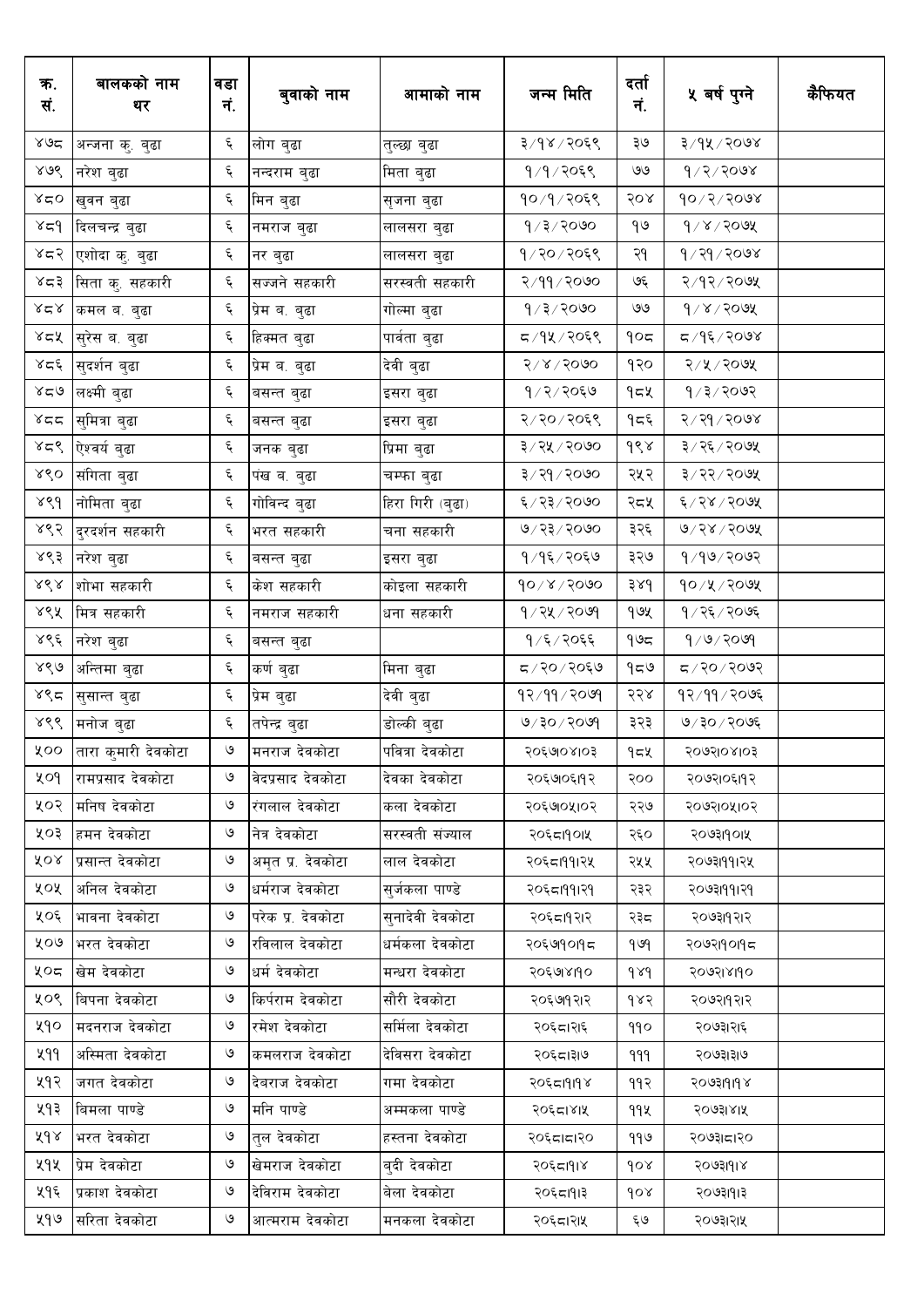| क.<br>सं.                      | बालकको नाम<br>थर           | वडा<br>नं. | बुवाको नाम                 | आमाको नाम                     | जन्म मिति         | दर्ता<br>नं.       | ५ वर्ष पुग्ने      | कैफियत |
|--------------------------------|----------------------------|------------|----------------------------|-------------------------------|-------------------|--------------------|--------------------|--------|
| $x_0$ ద                        | अन्जना कु. बुढा            | ६          | लोग बुढा                   | तुल्छा बुढा                   | ३/१४/२०६९         | ঽ७                 | ३/१५/२०७४          |        |
| ४७९                            | नरेश बुढा                  | تو<br>ا    | नन्दराम बुढा               | मिता बुढा                     | १/१/२०६९          | ৩৩                 | $9/2/50$ ०७४       |        |
| 28                             | खुवन बुढा                  | Ę          | मिन बुढा                   | सृजना बुढा                    | १०/१/२०६९         | २०४                | $90 \times 200$ ४  |        |
| $x \in \mathcal{A}$            | दिलचन्द्र बुढा             | ६          | नमराज बुढा                 | लालसरा बुढा                   | $9/3/20$ ७०       | १७                 | $d \times 1$ solex |        |
| ४८२                            | एशोदा कु. बुढा             | Ę          | नर बुढा                    | लालसरा बुढा                   | १/२०/२०६९         | २१                 | १⁄२१⁄२०७४          |        |
| ४८३                            | सिता कु. सहकारी            | Ę          | सज्जने सहकारी              | सरस्वती सहकारी                | २/११/२०७०         | ও६                 | २/१२/२०७५          |        |
| بر کر                          | कमल ब. बुढा                | ६          | <sub>।</sub> प्रेम ब. बुढा | गोल्मा बुढा                   | १/३/२०७०          | ৩৩                 | $d \times 1$ solex |        |
| ४८५                            | <sub> </sub> सुरेस ब. बुढा | Ę          | हिक्मत बुढा                | पार्वता बुढा                  | द ⁄ १४ ⁄ २०६९     | १०८                | द ⁄ १६ ⁄ २०७४      |        |
| ४द६                            | <sub>।</sub> सुदर्शन बुढा  | Ę          | प्रेम ब. बुढा              | देवी बुढा                     | $518\sqrt{50}$ 00 | १२०                | २/५/२०७५           |        |
| 828                            | लक्ष्मी बुढा               | Ę          | बसन्त बुढा                 | इसरा बुढा                     | १७२७२०६७          | १८५                | १∕३∕२०७२           |        |
| とごと                            | सुमित्रा बुढा              | ६          | बसन्त बुढा                 | इसरा बुढा                     | २/२०/२०६९         | १८६                | २/२१/२०७४          |        |
| 858                            | ऐश्वर्य बुढा               | Ę          | जनक बुढा                   | प्रिमा बुढा                   | ३/२५/२०७०         | dsx                | ३/२६/२०७५          |        |
| 880                            | संगिता बुढा                | Ę          | पंख ब. बुढा                | चम्फा बुढा                    | ३/२१/२०७०         | २५२                | ३/२२/२०७५          |        |
| ४९१                            | नोमिता बुढा                | Ę          | गोविन्द बुढा               | <sub>।</sub> हिरा गिरी (बुढा) | ६/२३/२०७०         | २८५                | ६/२४/२०७५          |        |
| ४९२                            | दुरदर्शन सहकारी            | ද          | भरत सहकारी                 | चना सहकारी                    | ७/२३/२०७०         | ३२६                | ७/२४/२०७५          |        |
| ४९३                            | नरेश बुढा                  | ६          | बसन्त बुढा                 | इसरा बुढा                     | १/१६/२०६७         | ३२७                | $9/90$ २०७२        |        |
| $\lambda\,\dot\delta\,\lambda$ | शोभा सहकारी                | ६          | केश सहकारी                 | कोइला सहकारी                  | $90 \times 1000$  | 38d                | १०/५/२०७५          |        |
| ४९५                            | मित्र सहकारी               | ६          | नमराज सहकारी               | धना सहकारी                    | $9/24/20$ ७१      | १७५                | १/२६/२०७६          |        |
| ४९६                            | नरेश बुढा                  | Ę          | बसन्त बुढा                 |                               | १ ⁄ ६ ⁄ २०६६      | ৭৬८                | 9/9/209            |        |
| ४९७                            | अन्तिमा बुढा               | Ę          | कर्ण बुढा                  | मिना बुढा                     | ८/२०/२०६७         | 959                | $500$ २०/२०७२      |        |
| ४९८                            | सुसान्त बुढा               | Ę          | प्रेम बुढा                 | देवी बुढा                     | 92/99/209         | २२४                | 92/99/20           |        |
| ४९९                            | मनोज बुढा                  | Ę          | तपेन्द्र बुढा              | डोल्की बुढा                   | $9/30$ /२०७९      | ३२३                | ७/३०/२०७६          |        |
| ४००                            | तारा कुमारी देवकोटा        | ৩          | मनराज देवकोटा              | पवित्रा देवकोटा               | २०६७७४१०३         | $95$ لا            | २०७२।०४।०३         |        |
| ५०१                            | रामप्रसाद देवकोटा          | ও          | वेदप्रसाद देवकोटा          | देवका देवकोटा                 | २०६७७६११२         | २००                | २०७२१०६११२         |        |
| ५०२                            | मनिष देवकोटा               | ও          | रंगलाल देवकोटा             | कला देवकोटा                   | २०६७०५१०२         | २२७                | २०७२।०५।०२         |        |
| ५०३                            | हमन देवकोटा                | ৩          | नेत्र देवकोटा              | सरस्वती संज्याल               | २०६८19०1५         | २६०                | २०७३११०१५          |        |
| ४०४                            | प्रसान्त देवकोटा           | $\circ$    | अमृत प्र. देवकोटा          | लाल देवकोटा                   | २०६८।११।२५        | २५५                | २०७३।११।२५         |        |
| ५०५                            | अनिल देवकोटा               | ও          | धर्मराज देवकोटा            | सूर्जकला पाण्डे               | २०६८।११।२१        | २३२                | २०७३।११।२१         |        |
| ५०६                            | भावना देवकोटा              | ৩          | परेक प्र. देवकोटा          | सनादेवी देवकोटा               | २०६८।१२।२         | २३८                | २०७३।१२।२          |        |
| ५०७                            | भरत देवकोटा                | ও          | रविलाल देवकोटा             | धर्मकला देवकोटा               | २०६७१०१९८         | 969                | २०७२।१०११८         |        |
| ५०८                            | खेम देवकोटा                | ৩          | धर्म देवकोटा               | मन्धरा देवकोटा                | २०६७४११०          | $\delta \lambda d$ | २०७२।४।१०          |        |
| ५०९                            | बिपना देवकोटा              | ও          | किर्पराम देवकोटा           | सौरी देवकोटा                  | २०६७१२१२          | १४२                | २०७२।१२।२          |        |
| ५१०                            | मदनराज देवकोटा             | ও          | रमेश देवकोटा               | सर्मिला देवकोटा               | २०६८।२।६          | 990                | २०७३।२।६           |        |
| ५११                            | अस्मिता देवकोटा            | ও          | कमलराज देवकोटा             | देविसरा देवकोटा               | २०६८।३७           | 999                | २०७३।३।७           |        |
| ५१२                            | जगत देवकोटा                | ও          | देवराज देवकोटा             | गमा देवकोटा                   | २०६८।१।१४         | ११२                | २०७३।१।१४          |        |
| ५१३                            | बिमला पाण्डे               | ও          | मनि पाण्डे                 | अम्मकला पाण्डे                | २०६८।४।५          | 99X                | २०७३।४।५           |        |
| ४१४                            | भरत देवकोटा                | ও          | तुल देवकोटा                | हस्तना देवकोटा                | २०६८।८।२०         | 990                | २०७३।८।२०          |        |
| ५१५                            | प्रेम देवकोटा              | $\circ$    | खेमराज देवकोटा             | बदी देवकोटा                   | २०६८।१।४          | gor                | २०७३।१।४           |        |
| ५१६                            | प्रकाश देवकोटा             | ৩          | देविराम देवकोटा            | बेला देवकोटा                  | २०६८।१।३          | 90x                | २०७३।१।३           |        |
| ५१७                            | सरिता देवकोटा              | ও          | आत्मराम देवकोटा            | मनकला देवकोटा                 | २०६८।२१५          | ६७                 | २०७३।२।५           |        |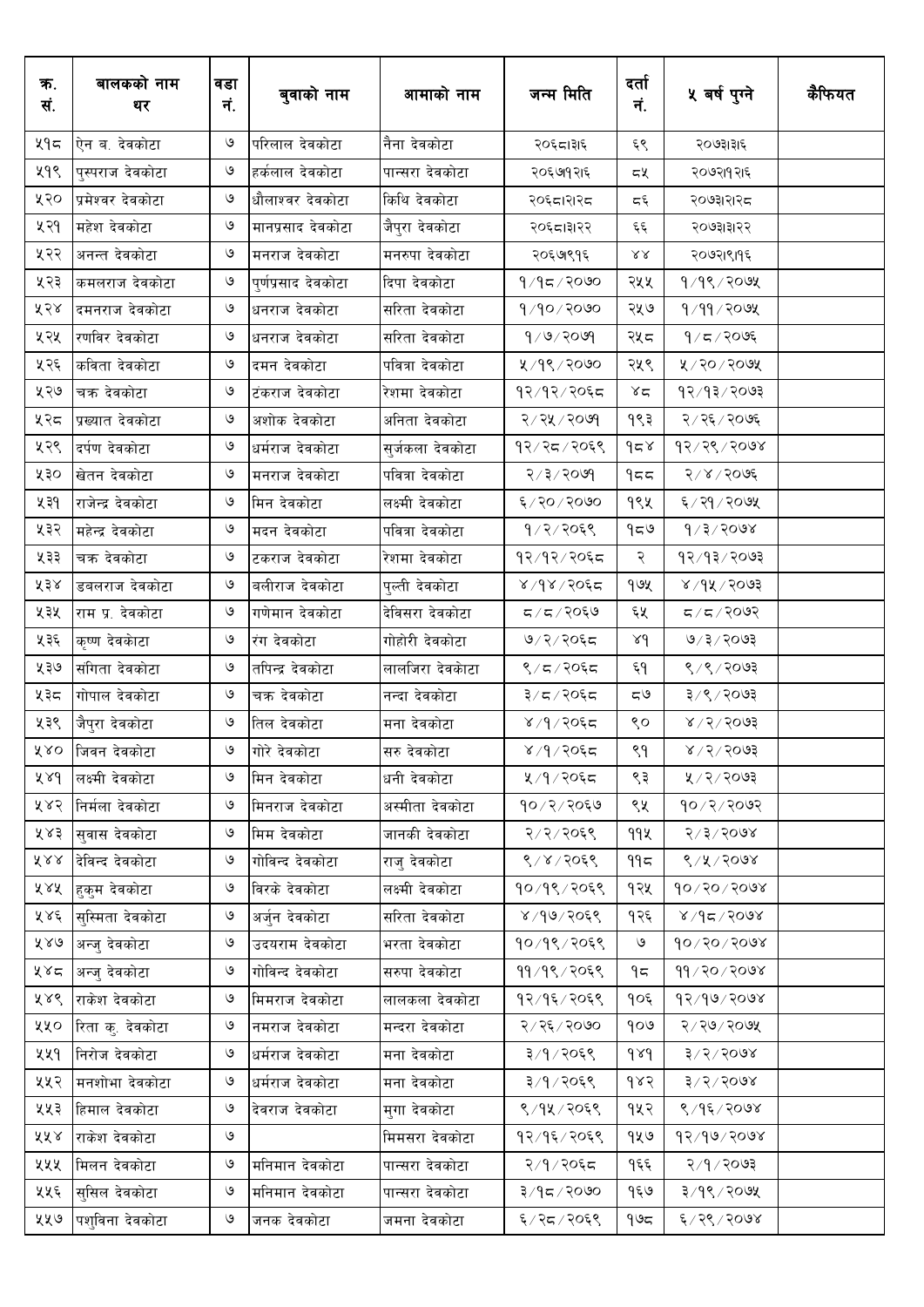| ক.<br>सं. | बालकको नाम<br>थर  | वडा<br>नं.    | बुवाको नाम          | आमाको नाम        | जन्म मिति         | दर्ता<br>नं.     | ५ वर्ष पुग्ने                   | कैफियत |
|-----------|-------------------|---------------|---------------------|------------------|-------------------|------------------|---------------------------------|--------|
| ५१८       | ऐन ब. देवकोटा     | ৩             | परिलाल देवकोटा      | नैना देवकोटा     | २०६८।३१६          | ६९               | २०७३।३।६                        |        |
| ५१९       | पुस्पराज देवकोटा  | ও             | हर्कलाल देवकोटा     | पान्सरा देवकोटा  | २०६७१२।६          | દષ્              | २०७२।१२।६                       |        |
| ५२०       | प्रमेश्वर देवकोटा | ও             | धौलाश्वर देवकोटा    | किथि देवकोटा     | २०६८।२१२८         | د و              | २०७३।२।२८                       |        |
| ५२१       | महेश देवकोटा      | ও             | मानप्रसाद देवकोटा   | जैपुरा देवकोटा   | २०६८।३१२२         | ६६               | २०७३।३।२२                       |        |
| ५२२       | अनन्त देवकोटा     | ও             | मनराज देवकोटा       | मनरुपा देवकोटा   | २०६७९१६           | $\lambda\lambda$ | २०७२।९।१६                       |        |
| ५२३       | कमलराज देवकोटा    | ও             | पूर्णप्रसाद देवकोटा | दिपा देवकोटा     | १/१८/२०७०         | २५५              | $9/9$ ९/२०७५                    |        |
| ५२४       | दमनराज देवकोटा    | ও             | धनराज देवकोटा       | सरिता देवकोटा    | 9/90/2000         | २५७              | १⁄११⁄२०७५                       |        |
| ५२५       | रणविर देवकोटा     | ও             | धनराज देवकोटा       | सरिता देवकोटा    | 9/9/209           | २५८              | $9/5/20$ ्र                     |        |
| ५२६       | कविता देवकोटा     | ও             | दमन देवकोटा         | पवित्रा देवकोटा  | ४/१९/२०७०         | २५९              | ५/२०/२०७५                       |        |
| ५२७       | चक्र देवकोटा      | $\circ$       | टंकराज देवकोटा      | रेशमा देवकोटा    | १२/१२/२०६द        | ४द               | 93/93/9093                      |        |
| ५२८       | प्रख्यात देवकोटा  | $\circ$       | अशोक देवकोटा        | अनिता देवकोटा    | २/२५/२०७१         | १९३              | २/२६/२०७६                       |        |
| ५२९       | दर्पण देवकोटा     | $\circ$       | धर्मराज देवकोटा     | सुर्जकला देवकोटा | १२/२८/२०६९        | 958              | 93/36/5008                      |        |
| ५३०       | खेतन देवकोटा      | ও             | मनराज देवकोटा       | पवित्रा देवकोटा  | २/३/२०७१          | 955              | २/४/२०७६                        |        |
| ५३१       | राजेन्द्र देवकोटा | ও             | मिन देवकोटा         | लक्ष्मी देवकोटा  | ६/२०/२०७०         | १९५              | ६/२१/२०७५                       |        |
| ५३२       | महेन्द्र देवकोटा  | ও             | मदन देवकोटा         | पवित्रा देवकोटा  | १/२/२०६९          | ৭८७              | $\sqrt{3}/50$ ०७४               |        |
| ५३३       | चक्र देवकोटा      | ও             | टकराज देवकोटा       | रेशमा देवकोटा    | १२/१२/२०६८        | २                | 93/93/2003                      |        |
| ४३४       | डबलराज देवकोटा    | $\circ$       | बलीराज देवकोटा      | पुल्ती देवकोटा   | ४/१४/२०६द         | १७५              | ४ ⁄ १४ ⁄ २०७३                   |        |
| ५३५       | राम प्र. देवकोटा  | ও             | गणेमान देवकोटा      | देविसरा देवकोटा  | 5/5/20            | ६५               | $500$ २/ ८                      |        |
| ५३६       | कृष्ण देवकाेटा    | ৩             | रंग देवकोटा         | गोहोरी देवकोटा   | ७/२/२०६८          | 8d               | ७/३/२०७३                        |        |
| ५३७       | संगिता देवकोटा    | ৩             | तपिन्द्र देवकोटा    | लालजिरा देवकाटा  | ९/८/२०६८          | ६१               | ९/९/२०७३                        |        |
| ५३८       | गोपाल देवकोटा     | ৩             | चक्र देवकोटा        | नन्दा देवकोटा    | ३/८/२०६८          | ಧ७               | ३/९/२०७३                        |        |
| ५३९       | जैपुरा देवकोटा    | ও             | तिल देवकोटा         | मना देवकोटा      | ४/१/२०६द          | ९०               | $8/5/50$ वे                     |        |
|           | ५४० जिवन देवकोटा  | ৩             | गोरे देवकोटा        | सरु देवकोटा      | ४ ⁄ ९ ⁄ २०६८      | ९१               | 8005/20                         |        |
| ४४१       | लक्ष्मी देवकोटा   | ও             | मिन देवकोटा         | धनी देवकोटा      | ५/१/२०६८          | ९३               | ५ / २ / २०७३                    |        |
| ५४२       | निर्मला देवकोटा   | ও             | मिनराज देवकोटा      | अस्मीता देवकोटा  | १०/२/२०६७         | ९५               | 90/2/209                        |        |
| ५४३       | सवास देवकोटा      | ৩             | मिम देवकोटा         | जानकी देवकोटा    | २/२/२०६९          | 99火              | 8/3/3008                        |        |
| ४४४       | देविन्द देवकोटा   | ৩             | गोविन्द देवकोटा     | राज् देवकोटा     | ९/४/२०६९          | ۹۹≂              | 8/8/5008                        |        |
| ५४५       | हुकुम देवकोटा     | ও             | विरके देवकोटा       | लक्ष्मी देवकोटा  | १०/१९/२०६९        | १२५              | $90 \times 50 \times 60$        |        |
| ५४६       | सुस्मिता देवकोटा  | ৩             | अर्जुन देवकोटा      | सरिता देवकोटा    | $8,999 \times 10$ | १२६              | $800$ ۶ $\sqrt{2}$ ۹ $\sqrt{8}$ |        |
| ५४७       | अन्ज् देवकोटा     | ও             | उदयराम देवकोटा      | भरता देवकोटा     | १०/१९/२०६९        | ও                | $90 \times 50 \times 60$        |        |
| ५४८       | अन्जु देवकोटा     | ও             | गोविन्द देवकोटा     | सरुपा देवकोटा    | ११/१९/२०६९        | ۹ς               | $99 \times 90 \times 90$        |        |
| ५४९       | राकेश देवकोटा     | ও             | मिमराज देवकोटा      | लालकला देवकोटा   | १२/१६/२०६९        | १०६              | 95/90/2008                      |        |
| ५५०       | रिता कु. देवकोटा  | ৩             | नमराज देवकोटा       | मन्दरा देवकोटा   | २/२६/२०७०         | १०७              | $5/50 \times 200$               |        |
| ५५१       | निरोज देवकोटा     | ও             | धर्मराज देवकोटा     | मना देवकोटा      | ३/१/२०६९          | $\delta \lambda$ | $3\sqrt{5\sqrt{5}}$ 008         |        |
| ५५२       | मनशोभा देवकोटा    | ও             | धर्मराज देवकोटा     | मना देवकोटा      | ३/१/२०६९          | १४२              | 3/3/5008                        |        |
| ५५३       | हिमाल देवकोटा     | $\circ$       | देवराज देवकोटा      | मगा देवकोटा      | ९/१५/२०६९         | १५२              | ९/१६/२०७४                       |        |
| ४५४       | राकेश देवकोटा     | ও             |                     | मिमसरा देवकोटा   | १२/१६/२०६९        | १५७              | 93/90/2008                      |        |
| ५५५       | मिलन देवकोटा      | $\mathcal{O}$ | मनिमान देवकोटा      | पान्सरा देवकोटा  | २/१/२०६८          | १६६              | २/१/२०७३                        |        |
| ५५६       | सुसिल देवकोटा     | ও             | मनिमान देवकोटा      | पान्सरा देवकोटा  | ३/१८/२०७०         | १६७              | ३/१९/२०७५                       |        |
| ५५७       | पशुविना देवकोटा   | ও             | जनक देवकोटा         | जमना देवकोटा     | ६/२८/२०६९         | ۹७८              | ६/२९/२०७४                       |        |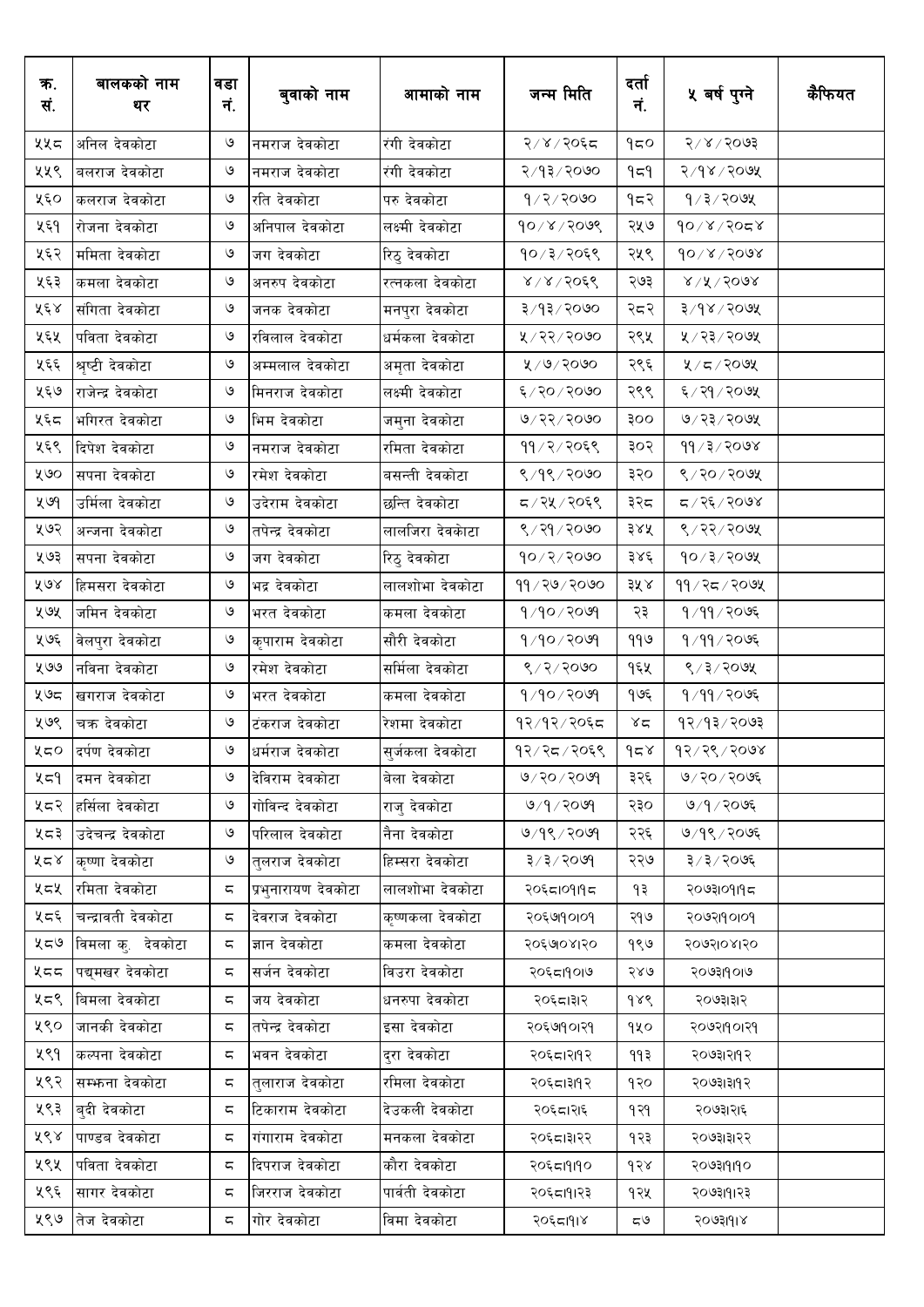| क.<br>सं. | बालकको नाम<br>थर   | वडा<br>नं. | बुवाको नाम          | आमाको नाम        | जन्म मिति        | दर्ता<br>नं. | ५ वर्ष पुग्ने           | कैफियत |
|-----------|--------------------|------------|---------------------|------------------|------------------|--------------|-------------------------|--------|
| ५५८       | अनिल देवकोटा       | ৩          | नमराज देवकोटा       | रंगी देवकोटा     | २/४/२०६८         | 950          | 5005/8                  |        |
| ५५९       | बलराज देवकोटा      | ৩          | नमराज देवकोटा       | रंगी देवकोटा     | २/१३/२०७०        | ۹≂۹          | २/१४/२०७५               |        |
| ५६०       | कलराज देवकोटा      | ও          | रति देवकोटा         | परु देवकोटा      | $9/2/20$ ७०      | १८२          | $9/3/20$ ७५             |        |
| ५६१       | रोजना देवकोटा      | ৩          | अनिपाल देवकोटा      | लक्ष्मी देवकोटा  | $90 \times 1008$ | २५७          | $90 \times 150$         |        |
| ५६२       | ममिता देवकोटा      | ও          | जग देवकोटा          | रिठु देवकोटा     | १०/३/२०६९        | २५९          | $90 \times 1500$        |        |
| ५६३       | कमला देवकोटा       | ও          | अनरुप देवकोटा       | रत्नकला देवकोटा  | 8/8/50           | २७३          | $8\sqrt{15}$ / $500$    |        |
| ५६४       | संगिता देवकोटा     | ও          | जनक देवकोटा         | मनपुरा देवकोटा   | ३/१३/२०७०        | २८२          | $3\sqrt{6}$ ४/२०७४      |        |
| ५६५       | पविता देवकोटा      | ও          | रविलाल देवकोटा      | धर्मकला देवकोटा  | ४/२२/२०७०        | २९५          | ५ / २३ / २०७५           |        |
| ५६६       | श्रृष्टी देवकोटा   | ও          | अम्मलाल देवकोटा     | अमृता देवकोटा    | ४/७/२०७०         | २९६          | $2/5/200$ प्र           |        |
| ५६७       | राजेन्द्र देवकोटा  | ও          | मिनराज देवकोटा      | लक्ष्मी देवकोटा  | ६/२०/२०७०        | २९९          | ६/२१/२०७५               |        |
| ५६८       | भगिरत देवकोटा      | ও          | भिम देवकोटा         | जमुना देवकोटा    | ७/२२/२०७०        | oog          | ७/२३/२०७५               |        |
| ५६९       | दिपेश देवकोटा      | $\circ$    | नमराज देवकोटा       | रमिता देवकोटा    | ११/२/२०६९        | ३०२          | 99/3/2008               |        |
| ५७०       | सपना देवकोटा       | $\circ$    | रमेश देवकोटा        | बसन्ती देवकोटा   | ९/१९/२०७०        | ३२०          | ९/२०/२०७५               |        |
| ५७9       | उर्मिला देवकोटा    | $\circ$    | उदेराम देवकोटा      | छन्ति देवकोटा    | द / २५ / २०६९    | ३२८          | ८८७९/२२७४               |        |
| ५७२       | अन्जना देवकोटा     | ও          | तपेन्द्र देवकोटा    | लालजिरा देवकाटा  | ९ / २१ / २०७०    | ३४५          | ९/२२/२०७५               |        |
| ५७३       | सपना देवकोटा       | ও          | जग देवकोटा          | रिठु देवकोटा     | $90 \times 2000$ | ३४६          | $90 \times 2 \times 60$ |        |
| ४७४       | हिमसरा देवकोटा     | ও          | भद्र देवकोटा        | लालशोभा देवकोटा  | ११ / २७ / २०७०   | ३५४          | ११ / २८ / २०७५          |        |
| ५७५       | जमिन देवकोटा       | ও          | भरत देवकोटा         | कमला देवकोटा     | $9/90 \times 10$ | २३           | 9/99/2095               |        |
| ५७६       | वेलपुरा देवकोटा    | $\circ$    | कृपाराम देवकोटा     | सौरी देवकोटा     | 9/90/20          | ११७          | १/११/२०७६               |        |
| ५७७       | नविना देवकोटा      | ও          | रमेश देवकोटा        | सर्मिला देवकोटा  | 8/2/2000         | १६५          | ९/३/२०७५                |        |
| ५७८       | खगराज देवकोटा      | $\circ$    | भरत देवकोटा         | कमला देवकोटा     | 9/90/209         | १७६          | 9/99/2095               |        |
| ५७९       | चक्र देवकोटा       | ও          | टंकराज देवकोटा      | रेशमा देवकोटा    | १२/१२/२०६द       | $x \in$      | १२/१३/२०७३              |        |
| ५८०       | दर्पण देवकोटा      | ও          | धर्मराज देवकोटा     | सुर्जकला देवकोटा | १२/२८/२०६९       | $d \simeq$   | 93/36/500               |        |
| ५८१       | दमन देवकोटा        | ও          | देविराम देवकोटा     | बेला देवकोटा     | 90900000         | ३२६          | ७/२०/२०७६               |        |
| ५८२       | हर्सिला देवकोटा    | ও          | गोविन्द देवकोटा     | राजु देवकोटा     | 9/9/2099         | २३०          | ७/१/२०७६                |        |
| ५८३       | उदेचन्द्र देवकोटा  | ৩          | परिलाल देवकोटा      | नैना देवकोटा     | ७/१९/२०७१        | २२६          | ७/१९/२०७६               |        |
| ५८४       | कृष्णा देवकोटा     | ৩          | तलराज देवकोटा       | हिम्सरा देवकोटा  | ३/३/२०७१         | २२७          | ३/३/२०७६                |        |
| ५८५       | रमिता देवकोटा      | ς          | प्रभुनारायण देवकोटा | लालशोभा देवकोटा  | २०६८।०१।१८       | १३           | २०७३१०१११८              |        |
| ५८६       | चन्द्रावती देवकोटा | ς          | देवराज देवकोटा      | कृष्णकला देवकोटा | २०६७१०१०१        | २१७          | २०७२।१०।०१              |        |
| ५८७       | विमला कु. देवकोटा  | ς          | ज्ञान देवकोटा       | कमला देवकोटा     | २०६७०४।२०        | १९७          | २०७२।०४।२०              |        |
| ५८८       | पद्यमखर देवकोटा    | ς          | सर्जन देवकोटा       | विउरा देवकोटा    | २०६८।१०।७        | २४७          | २०७३।१०।७               |        |
| ५८९       | बिमला देवकोटा      | ς          | जय देवकोटा          | धनरुपा देवकोटा   | २०६८।३१२         | 988          | २०७३।३।२                |        |
| ५९०       | जानकी देवकोटा      | ς          | तपेन्द्र देवकोटा    | इसा देवकोटा      | २०६७१०१२१        | १५०          | २०७२।१०।२१              |        |
| ५९१       | कल्पना देवकोटा     | ς          | भवन देवकोटा         | दरा देवकोटा      | २०६८।२११२        | ११३          | २०७३।२११२               |        |
| ५९२       | सम्भन्ना देवकोटा   | ς          | तुलाराज देवकोटा     | रमिला देवकोटा    | २०६८।३११२        | १२०          | २०७३।३११२               |        |
| ५९३       | बदी देवकोटा        | ς          | टिकाराम देवकोटा     | देउकली देवकोटा   | २०६८।२१६         | १२१          | २०७३।२।६                |        |
| ५९४       | पाण्डब देवकोटा     | ς          | गंगाराम देवकोटा     | मनकला देवकोटा    | २०६८।३१२२        | १२३          | २०७३।३।२२               |        |
| ५९५       | पविता देवकोटा      | ς          | दिपराज देवकोटा      | कौरा देवकोटा     | २०६८।१११०        | 958          | २०७३।१।१०               |        |
| ५९६       | सागर देवकोटा       | ς          | जिरराज देवकोटा      | पार्वती देवकोटा  | २०६८।११२३        | १२५          | २०७३।१।२३               |        |
| ५९७       | तेज देवकोटा        | ς          | गोर देवकोटा         | विमा देवकोटा     | २०६८।१।४         | ی ح          | २०७३।१।४                |        |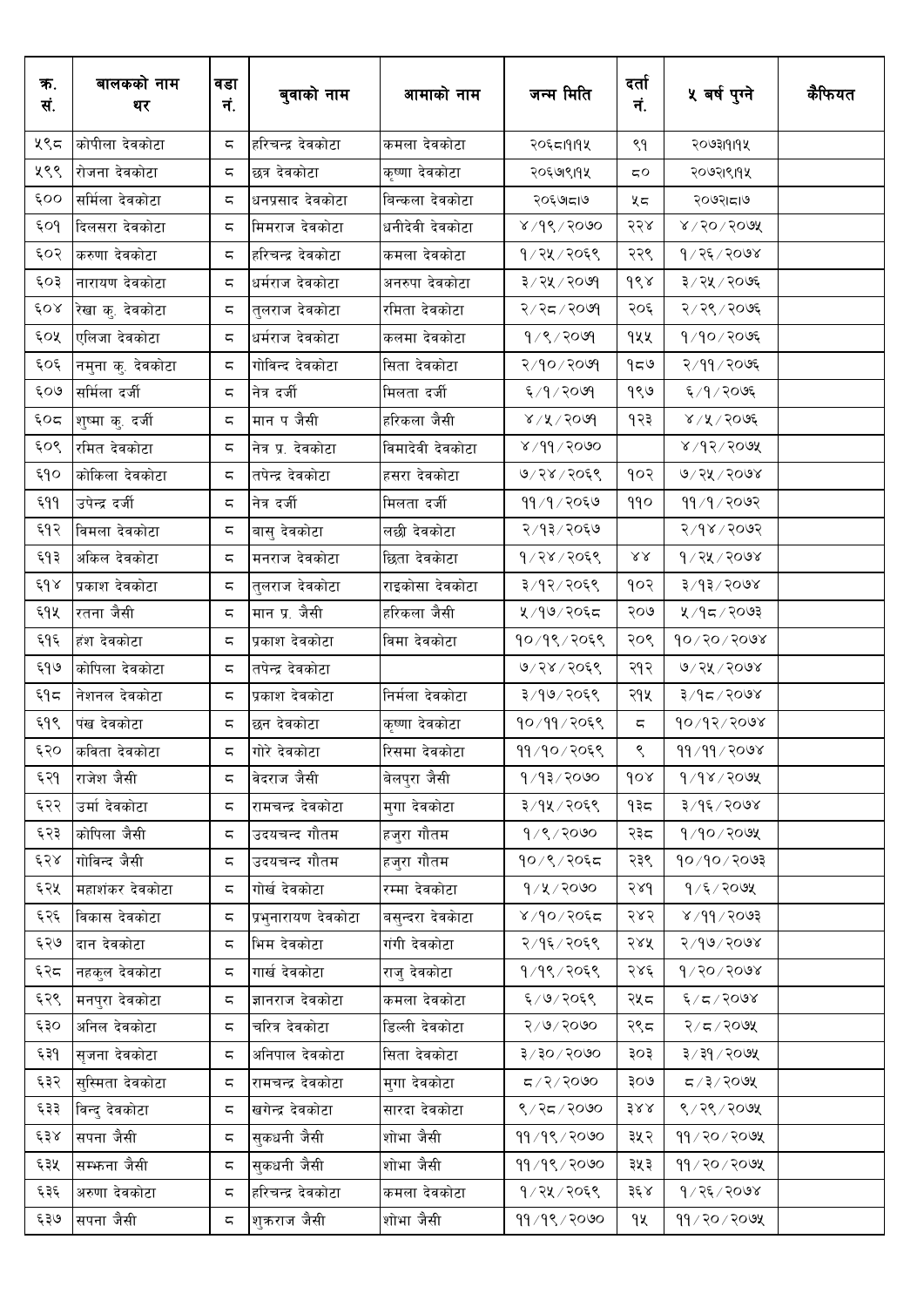| क.<br>सं. | बालकको नाम<br>थर  | वडा<br>नं. | बुवाको नाम          | आमाको नाम        | जन्म मिति                       | दर्ता<br>नं.            | ५ वर्ष पुग्ने                | कैफियत |
|-----------|-------------------|------------|---------------------|------------------|---------------------------------|-------------------------|------------------------------|--------|
| ५९८       | कोपीला देवकोटा    | ς          | हरिचन्द्र देवकोटा   | कमला देवकोटा     | २०६८।११५                        | ९१                      | २०७३१११५                     |        |
| ५९९       | रोजना देवकोटा     | ς          | छत्र देवकोटा        | कृष्णा देवकोटा   | २०६७९११५                        | 5Ο                      | २०७२।९।१५                    |        |
| 600       | सर्मिला देवकोटा   | ς          | धनप्रसाद देवकोटा    | बिन्कला देवकोटा  | २०६७।८।७                        | ५८                      | २०७२।८।७                     |        |
| 609       | दिलसरा देवकोटा    | ς          | मिमराज देवकोटा      | धनीदेवी देवकोटा  | $8\sqrt{36}\sqrt{50}$           | २२४                     | $8\sqrt{50}\sqrt{500}$ ४     |        |
| ६०२       | करुणा देवकोटा     | ς          | हरिचन्द्र देवकोटा   | कमला देवकोटा     | १/२५/२०६९                       | २२९                     | १/२६/२०७४                    |        |
| ६०३       | नारायण देवकोटा    | ς          | धर्मराज देवकोटा     | अनरुपा देवकोटा   | ३/२५/२०७१                       | ds                      | ३/२५/२०७६                    |        |
| 608       | रेखा कु. देवकोटा  | ς          | तुलराज देवकोटा      | रमिता देवकोटा    | २/२८/२०७१                       | २०६                     | २/२९/२०७६                    |        |
| ६०५       | एलिजा देवकोटा     | ς          | धर्मराज देवकोटा     | कलमा देवकोटा     | 9/8/2009                        | १५५                     | 9/90/20                      |        |
| ६०६       | नमुना कु. देवकोटा | ς          | गोविन्द देवकोटा     | सिता देवकोटा     | २/१०/२०७१                       | 959                     | २/११/२०७६                    |        |
| ६०७       | सर्मिला दर्जी     | ς          | नित्र दर्जी         | मिलता दर्जी      | ६/१/२०७१                        | १९७                     | ६/१/२०७६                     |        |
| ६०द       | शुष्मा कु. दर्जी  | ζ          | मान प जैसी          | हरिकला जैसी      | 8/8/300                         | १२३                     | $8/8/50$ ०७६                 |        |
| ६०९       | रमित देवकोटा      | ς          | नेत्र प्र. देवकोटा  | विमादेवी देवकोटा | 8/99/2000                       |                         | 8/95/500                     |        |
| ६१०       | कोकिला देवकोटा    | ς          | तपेन्द्र देवकोटा    | हसरा देवकोटा     | ७/२४/२०६९                       | १०२                     | ७/२५/२०७४                    |        |
| 499ع      | उपेन्द्र दर्जी    | ς          | नेत्र दर्जी         | मिलता दर्जी      | ११/१/२०६७                       | 990                     | 99/9/909                     |        |
| ६१२       | विमला देवकोटा     | ς          | बासु देवकोटा        | लछी देवकोटा      | २/१३/२०६७                       |                         | २/१४/२०७२                    |        |
| ६१३       | अकिल देवकोटा      | ς          | मनराज देवकोटा       | छिता देवकाटा     | 9/28/2068                       | $\lambda\lambda$        | 9/28/2008                    |        |
| 648       | प्रकाश देवकोटा    | ς          | तुलराज देवकोटा      | राइकोसा देवकोटा  | ३/१२/२०६९                       | १०२                     | 8005/15/5                    |        |
| ६१५       | रतना जैसी         | ς          | मान प्र. जैसी       | हरिकला जैसी      | ५/१७/२०६८                       | २०७                     | ५/१८/२०७३                    |        |
| ६१६       | हंश देवकोटा       | ς          | प्रकाश देवकोटा      | विमा देवकोटा     | १०/१९/२०६९                      | २०९                     | $90 \times 90 \times 90$ १   |        |
| ६१७       | कोपिला देवकोटा    | ς          | तपेन्द्र देवकोटा    |                  | ७/२४/२०६९                       | २१२                     | ७/२५/२०७४                    |        |
| ξ۹ς       | नेशनल देवकोटा     | ς          | प्रकाश देवकोटा      | निर्मला देवकोटा  | ३/१७/२०६९                       | २१५                     | $800$ २/२०७४                 |        |
| ६१९       | पंख देवकोटा       | ς          | छन देवकोटा          | कृष्णा देवकोटा   | १०/११/२०६९                      | $\overline{\mathbf{c}}$ | 90/92/2008                   |        |
| ६२०       | कविता देवकोटा     | ζ.         | गोरे देवकोटा        | रिसमा देवकोटा    | ११/१०/२०६९                      | $\mathop{\mathsf{S}}$   | 99/99/2098                   |        |
| ६२१       | राजेश जैसी        | ς          | वेदराज जैसी         | बेलपुरा जैसी     | 9/93/2000                       | 60x                     | 9/98/909                     |        |
| ६२२       | उर्मा देवकोटा     | ς          | रामचन्द्र देवकोटा   | मुगा देवकोटा     | ३/१५/२०६९                       | ৭३८                     | ३/१६/२०७४                    |        |
| ६२३       | कोपिला जैसी       | ς          | उदयचन्द गौतम        | हजुरा गौतम       | 9/8/2000                        | २३८                     | $9/90$ /२०७५                 |        |
| ६२४       | गोविन्द जैसी      | ς          | उदयचन्द गौतम        | हजुरा गौतम       | १०/९/२०६८                       | २३९                     | 90/90/2003                   |        |
| ६२५       | महाशंकर देवकोटा   | 5          | गोर्ख देवकोटा       | रम्मा देवकोटा    | 9/8/3000                        | २४१                     | $9/5/20$ ७५                  |        |
| ६२६       | विकास देवकोटा     | ς          | प्रभुनारायण देवकोटा | बसन्दरा देवकाटा  | ४/१०/२०६८                       | २४२                     | $800$ ۶ $\sqrt{99}$          |        |
| ६२७       | दान देवकोटा       | ς          | भिम देवकोटा         | गंगी देवकोटा     | २/१६/२०६९                       | २४५                     | २/१७/२०७४                    |        |
| ६२८       | नहकुल देवकोटा     | ς          | गार्ख देवकोटा       | राज् देवकोटा     | १/१९/२०६९                       | २४६                     | 9/20/2008                    |        |
| ६२९       | मनपुरा देवकोटा    | ς          | ज्ञानराज देवकोटा    | कमला देवकोटा     | ६/७/२०६९                        | २५८                     | $\mathcal{E}(Z) \approx 1.5$ |        |
| ६३०       | अनिल देवकोटा      | ς          | चरित्र देवकोटा      | डिल्ली देवकोटा   | 6005/9                          | २९८                     | २/८/२०७५                     |        |
| ६३१       | सृजना देवकोटा     | ς          | अनिपाल देवकोटा      | सिता देवकोटा     | $0005 \setminus 05 \setminus 5$ | ३०३                     | ३/३१/२०७५                    |        |
| ६३२       | सुस्मिता देवकोटा  | ς          | रामचन्द्र देवकोटा   | मुगा देवकोटा     | G/2/2000                        | २०७                     | $500$ २२०७५                  |        |
| ६३३       | विन्द देवकोटा     | ς          | खगेन्द्र देवकोटा    | सारदा देवकोटा    | ९/२८/२०७०                       | $388$                   | ९/२९/२०७५                    |        |
| ६३४       | सपना जैसी         | ς          | सकधनी जैसी          | शोभा जैसी        | 99/98/2000                      | ३५२                     | $99 / 20 / 20$ ७५            |        |
| ६३५       | सम्भाना जैसी      | ς          | सकधनी जैसी          | शोभा जैसी        | 99/98/2000                      | ३५३                     | ११/२०/२०७५                   |        |
| ६३६       | अरुणा देवकोटा     | ς          | हरिचन्द्र देवकोटा   | कमला देवकोटा     | १/२५/२०६९                       | ३६ ४                    | १ / २६ / २०७४                |        |
| ६३७       | सपना जैसी         | ς          | शुकराज जैसी         | शोभा जैसी        | 99/98/2000                      | ٩X                      | ११/२०/२०७५                   |        |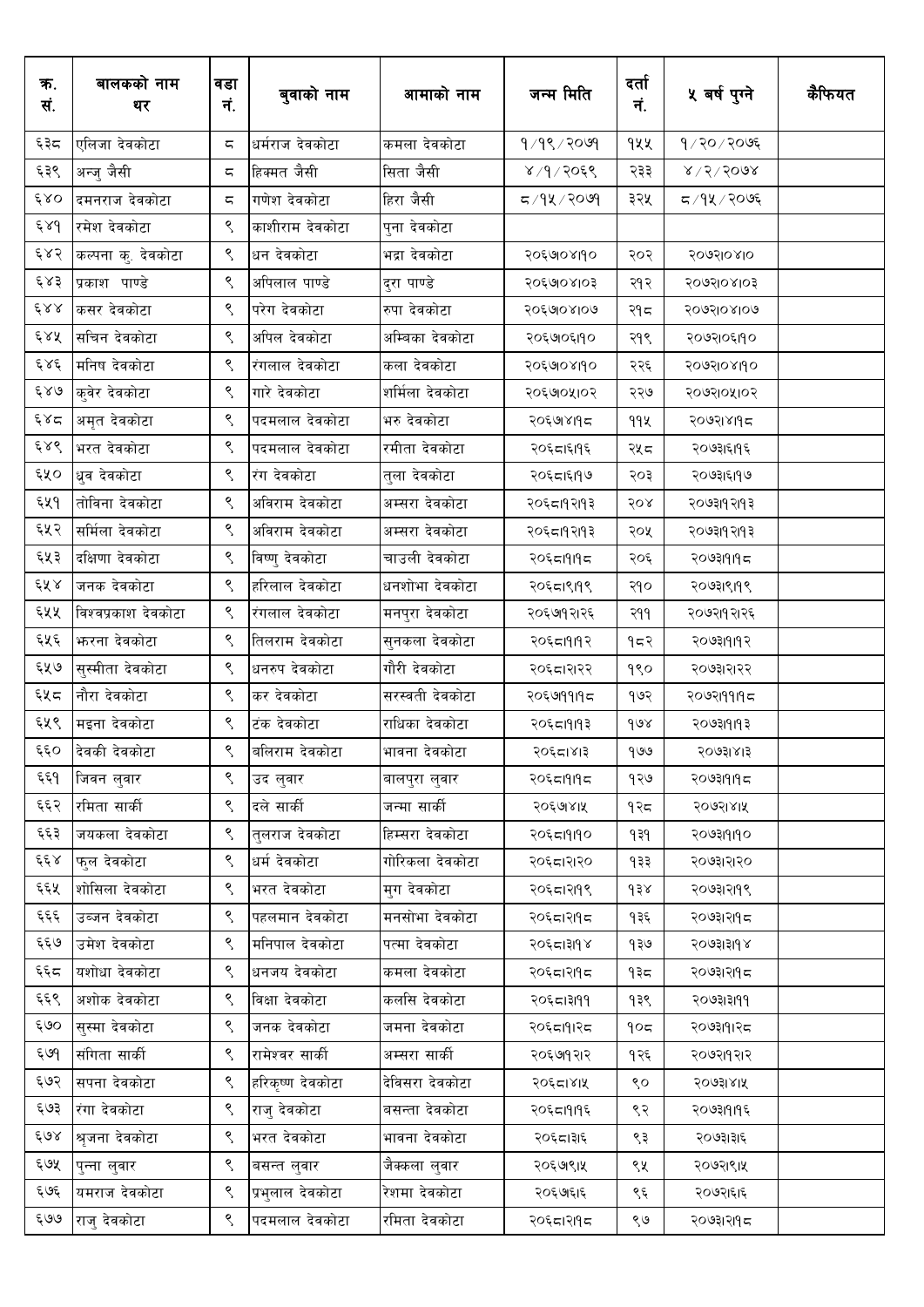| क.<br>सं. | बालकको नाम<br>थर    | वडा<br>नं.             | बुवाको नाम       | आमाको नाम       | जन्म मिति  | दर्ता<br>नं. | ५ वर्ष पुग्ने    | कैफियत |
|-----------|---------------------|------------------------|------------------|-----------------|------------|--------------|------------------|--------|
| ६३८       | एलिजा देवकोटा       | ς                      | धर्मराज देवकोटा  | कमला देवकोटा    | १/१९/२०७१  | १५५          | १/२०/२०७६        |        |
| ६३९       | अन्जु जैसी          | ς                      | हिक्मत जैसी      | सिता जैसी       | ४/१/२०६९   | २३३          | $8\sqrt{5}/5008$ |        |
| 680       | दमनराज देवकोटा      | ς                      | गणेश देवकोटा     | हिरा जैसी       |            | ३२५          | द ∕१५ ∕ २०७६     |        |
| 68d       | रमेश देवकोटा        | ९                      | काशीराम देवकोटा  | पुना देवकोटा    |            |              |                  |        |
| ६४२       | कल्पना कु. देवकोटा  | ९                      | धन देवकोटा       | भद्रा देवकोटा   | २०६७१०४११० | २०२          | २०७२।०४।०        |        |
| ६४३       | प्रकाश पाण्डे       | ९                      | अपिलाल पाण्डे    | दुरा पाण्डे     | २०६७०४१०३  | २१२          | २०७२।०४।०३       |        |
| $\xi$ & & | कसर देवकोटा         | ९                      | परेग देवकोटा     | रुपा देवकोटा    | २०६७१०४१०७ | २१८          | २०७२।०४।०७       |        |
| ६४५       | सचिन देवकोटा        | ९                      | अपिल देवकोटा     | अम्बिका देवकोटा | २०६७०६११०  | २१९          | २०७२१०६११०       |        |
| و ۶۶      | मनिष देवकोटा        | ९                      | रंगलाल देवकोटा   | कला देवकोटा     | २०६७१०४११० | २२६          | २०७२।०४।१०       |        |
| 689       | कुवेर देवकोटा       | ९                      | गारे देवकोटा     | शर्मिला देवकोटा | २०६७७५।०२  | २२७          | २०७२।०५।०२       |        |
| ६४द       | अमृत देवकोटा        | ९                      | पदमलाल देवकोटा   | भरु देवकोटा     | २०६७।४।१८  | 99X          | २०७२।४११८        |        |
| ६४९       | भरत देवकोटा         | ९                      | पदमलाल देवकोटा   | रमीता देवकोटा   | २०६८ा६११६  | २५८          | २०७३।६।१६        |        |
| ६५०       | धुव देवकोटा         | ९                      | रंग देवकोटा      | तुला देवकोटा    | २०६८ा६११७  | २०३          | २०७३।६११७        |        |
| ६५१       | तोविना देवकोटा      | ९                      | अविराम देवकोटा   | अम्सरा देवकोटा  | २०६८।१२।१३ | २०४          | २०७३।१२।१३       |        |
| ६५२       | सर्मिला देवकोटा     | ९                      | अविराम देवकोटा   | अम्सरा देवकोटा  | २०६८।१२।१३ | २०५          | २०७३।१२।१३       |        |
| ६५३       | दक्षिणा देवकोटा     | ९                      | विष्णु देवकोटा   | चाउली देवकोटा   | २०६८।१।१८  | २०६          | २०७३।१।१८        |        |
| ६५४       | जनक देवकोटा         | ९                      | हरिलाल देवकोटा   | धनशोभा देवकोटा  | २०६८।९१९९  | २१०          | २०७३।९।१९        |        |
| ६५५       | विश्वप्रकाश देवकोटा | ९                      | रंगलाल देवकोटा   | मनपुरा देवकोटा  | २०६७१२।२६  | २११          | २०७२।१२।२६       |        |
| ६५६       | फरना देवकोटा        | ९                      | तिलराम देवकोटा   | सुनकला देवकोटा  | २०६८।११९२  | १८२          | २०७३।१।१२        |        |
| ६५७       | सुस्मीता देवकोटा    | ९                      | धनरुप देवकोटा    | गौरी देवकोटा    | २०६८।२१२२  | १९०          | २०७३।२।२२        |        |
| ६५८       | नौरा देवकोटा        | ९                      | कर देवकोटा       | सरस्वती देवकोटा | २०६७११११८  | १७२          | २०७२।११।१८       |        |
| ६५९       | मइना देवकोटा        | ९                      | टंक देवकोटा      | राधिका देवकोटा  | २०६८।१।१३  | 908          | २०७३।१।१३        |        |
| ६६०       | देवकी देवकोटा       | $\mathord{\mathsf{S}}$ | बलिराम देवकोटा   | भावना देवकोटा   | २०६८।४।३   | 900          | २०७३।४।३         |        |
| ६६१       | जिवन लुवार          | ९                      | उद लुवार         | बालपुरा लुवार   | २०६८।१।१८  | १२७          | २०७३।१।१८        |        |
| ६६२       | रमिता सार्की        | ९                      | दले सार्की       | जन्मा सार्की    | २०६७१४।५   | १२८          | २०७२।४।५         |        |
| ६६३       | जयकला देवकोटा       | ९                      | तलराज देवकोटा    | हिम्सरा देवकोटा | २०६८।१११०  | ۹३१          | २०७३।१।१०        |        |
| ६६४       | फल देवकोटा          | ९                      | धर्म देवकोटा     | गोरिकला देवकोटा | २०६८।२१२०  | १३३          | २०७३।२।२०        |        |
| ६६५       | शोसिला देवकोटा      | ९                      | भरत देवकोटा      | मुग देवकोटा     | २०६८।२१९९  | $\gamma$     | २०७३।२१९९        |        |
| ६६६       | उब्जन देवकोटा       | ९                      | पहलमान देवकोटा   | मनसोभा देवकोटा  | २०६८।२११८  | १३६          | २०७३।२।१८        |        |
| ६६७       | उमेश देवकोटा        | ९                      | मनिपाल देवकोटा   | पत्मा देवकोटा   | २०६८।३१९४  | १३७          | २०७३।३।१४        |        |
| ६६८       | यशोधा देवकोटा       | ९                      | धनजय देवकोटा     | कमला देवकोटा    | २०६८।२११८  | १३८          | २०७३।२।१८        |        |
| ६६९       | अशोक देवकोटा        | ९                      | विक्षा देवकोटा   | कलसि देवकोटा    | २०६८।३१११  | १३९          | २०७३।३१११        |        |
| ६७०       | सस्मा देवकोटा       | ९                      | जनक देवकोटा      | जमना देवकोटा    | २०६८।१।२८  | 905          | २०७३।१।२८        |        |
| ६७१       | संगिता सार्की       | ९                      | रामेश्वर सार्की  | अम्सरा सार्की   | २०६७१२।२   | १२६          | २०७२।१२।२        |        |
| ६७२       | सपना देवकोटा        | ९                      | हरिकृष्ण देवकोटा | देविसरा देवकोटा | २०६८।४।५   | ९०           | २०७३।४।५         |        |
| ६७३       | रंगा देवकोटा        | ९                      | राज् देवकोटा     | बसन्ता देवकोटा  | २०६८।१।१६  | ९२           | २०७३।१।१६        |        |
| ६७४       | श्रुजना देवकोटा     | ९                      | भरत देवकोटा      | भावना देवकोटा   | २०६८।३१६   | ९३           | २०७३।३।६         |        |
| ६७५       | पुन्ना लुवार        | ९                      | बसन्त लुवार      | जैक्कला लुवार   | २०६७९१५    | ९५           | २०७२।९।५         |        |
| ६७६       | यमराज देवकोटा       | ९                      | प्रभुलाल देवकोटा | रेशमा देवकोटा   | २०६७६।६    | ९६           | २०७२।६।६         |        |
| ६७७       | राजु देवकोटा        | ९                      | पदमलाल देवकोटा   | रमिता देवकोटा   | २०६८।२११८  | ९७           | २०७३।२।१८        |        |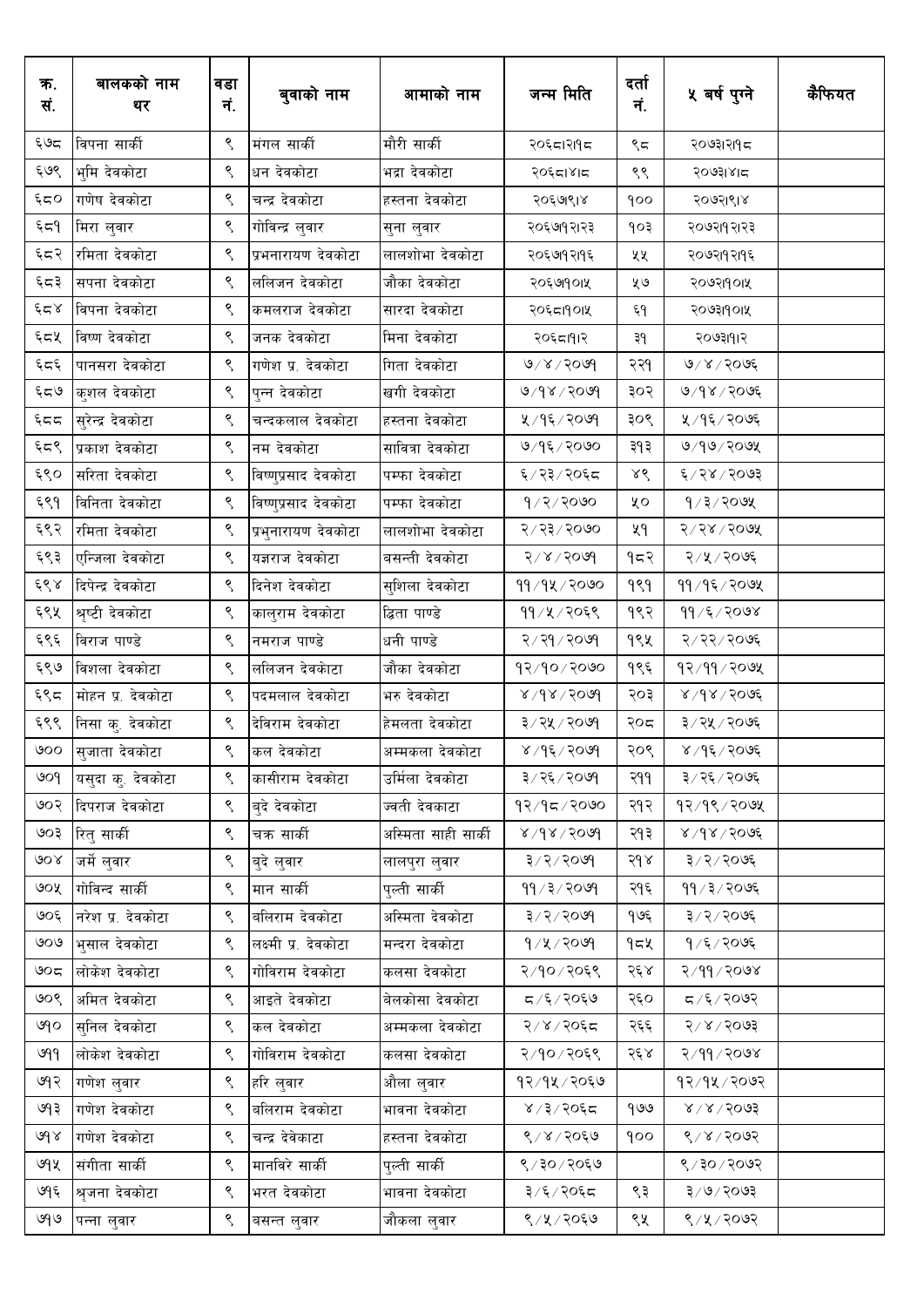| ক.<br>सं.          | बालकको नाम<br>थर  | वडा<br>नं.             | बुवाको नाम             | आमाको नाम           | जन्म मिति                | दर्ता<br>नं. | ५ वर्ष पुग्ने     | कैफियत |
|--------------------|-------------------|------------------------|------------------------|---------------------|--------------------------|--------------|-------------------|--------|
| ६७द                | विपना सार्की      | ९                      | मंगल सार्की            | मौरी सार्की         | २०६८।२११८                | ९८           | २०७३।२।१८         |        |
| ६७९                | भुमि देवकोटा      | ९                      | धन देवकोटा             | भद्रा देवकोटा       | २०६दा४।द                 | ९९           | २०७३।४।८          |        |
| ६८०                | गणेष देवकोटा      | ९                      | चन्द्र देवकोटा         | हस्तना देवकोटा      | २०६७९।४                  | १००          | २०७२।९।४          |        |
| ξ≂٩                | मिरा लुवार        | ९                      | गोविन्द्र लुवार        | सुना लुवार          | २०६७१२।२३                | १०३          | २०७२।१२।२३        |        |
| ६८२                | रमिता देवकोटा     | ९                      | प्रभनारायण देवकोटा     | लालशोभा देवकोटा     | २०६७१२११६                | ५५           | २०७२।१२।१६        |        |
| ६८३                | सपना देवकोटा      | ९                      | ललिजन देवकोटा          | जौका देवकोटा        | २०६७१०१५                 | ५७           | २०७२।१०।५         |        |
| با کے ج            | विपना देवकोटा     | ९                      | कमलराज देवकोटा         | सारदा देवकोटा       | २०६८।१०।५                | Ę۹           | २०७३।१०।५         |        |
| ६८५                | विष्ण देवकोटा     | ९                      | जनक देवकोटा            | मिना देवकोटा        | २०६८।१।२                 | ३१           | २०७३।११२          |        |
| تردح               | पानसरा देवकोटा    | ९                      | गणेश प्र. देवकोटा      | गिता देवकोटा        | 0/8/5000                 | २२१          | $0$ ४ / २०७६      |        |
| ६८७                | कुशल देवकोटा      | ९                      | पुन्न देवकोटा          | खगी देवकोटा         | 9/98/9099                | ३०२          | ७/१४/२०७६         |        |
| $55\%$             | सुरेन्द्र देवकोटा | ९                      | चन्दकलाल देवकोटा       | हस्तना देवकोटा      | ५ / १६ / २०७१            | ३०९          | ५ / १६ / २०७६     |        |
| ६८९                | प्रकाश देवकोटा    | ९                      | नम देवकोटा             | सावित्रा देवकोटा    | ७/१६/२०७०                | ३१३          | ७/१७/२०७५         |        |
| ६९०                | सरिता देवकोटा     | ९                      | विष्णुप्रसाद देवकोटा   | पम्फा देवकोटा       | ६/२३/२०६८                | ४९           | ६/२४/२०७३         |        |
| ६९१                | विनिता देवकोटा    | ९                      | विष्णुप्रसाद देवकोटा   | पम्फा देवकोटा       | 9/2/3000                 | ५०           | 9/3/200           |        |
| ६९२                | रमिता देवकोटा     | ९                      | प्रभुनारायण देवकोटा    | लालशोभा देवकोटा     | २/२३/२०७०                | ५१           | 5000/500          |        |
| ६९३                | एन्जिला देवकोटा   | ९                      | यज्ञराज देवकोटा        | बसन्ती देवकोटा      | $8009 \times 15$         | १८२          | २/५/२०७६          |        |
| $\xi\delta\lambda$ | दिपेन्द्र देवकोटा | ९                      | दिनेश देवकोटा          | सुशिला देवकोटा      | ११⁄१५⁄२०७०               | 999          | ११/१६/२०७५        |        |
| ६९५                | श्रृष्टी देवकोटा  | ९                      | कालुराम देवकोटा        | द्धिता पाण्डे       | ११/५/२०६९                | १९२          | $99 / 5 / 200$ ४  |        |
| ६९६                | विराज पाण्डे      | ९                      | नमराज पाण्डे           | धनी पाण्डे          | २/२१/२०७१                | १९५          | २/२२/२०७६         |        |
| ६९७                | विशला देवकोटा     | ९                      | ललिजन देवकाटा          | जौका देवकोटा        | १२/१०/२०७०               | १९६          | 92/99/209         |        |
| ६९८                | मोहन प्र. देवकोटा | ९                      | पदमलाल देवकोटा         | भरु देवकोटा         | $9005 \times 9 \times 8$ | २०३          | 8005/80           |        |
| ६९९                | निसा कु. देवकोटा  | ९                      | देविराम देवकोटा        | हेमलता देवकोटा      | ३ ⁄ २५ ⁄ २०७९            | २०८          | ३/२५/२०७६         |        |
| ৩০০                | सुजाता देवकोटा    | ९                      | कल देवकोटा             | अम्मकला देवकोटा     | ४/१६/२०७१                | २०९          | ४ ⁄ १६ ⁄ २०७६     |        |
| ७०१                | यसुदा कु. देवकोटा | ९                      | कासीराम देवकोटा        | उर्मिला देवकोटा     | ३/२६/२०७१                | २११          | ३/२६/२०७६         |        |
| ७०२                | दिपराज देवकोटा    | ९                      | ब्दे देवकोटा           | ज्वती देवकाटा       | १२/१८/२०७०               | २१२          | 93/98/200         |        |
| ६०७                | रितु सार्की       | ९                      | चक्र सार्की            | अस्मिता साही सार्की | $8009 \times 100$        | २१३          | 8/98/3006         |        |
| ७०४                | जर्मे लुवार       | ९                      | बुदे लुवार             | लालपुरा लुवार       | 3/2/3009                 | २१४          | ३/२/२०७६          |        |
| ও০⊻                | गोविन्द सार्की    | ९                      | मान सार्की             | पुल्ती सार्की       | 99/3/2099                | २१६          | ११ / ३ / २०७६     |        |
| ७०६                | नरेश प्र. देवकोटा | ९                      | बलिराम देवकोटा         | अस्मिता देवकोटा     | 3/2/3009                 | १७६          | ३/२/२०७६          |        |
| ७०७                | भुसाल देवकोटा     | ९                      | लक्ष्मी प्र. देवकोटा   | मन्दरा देवकोटा      | 9/4/2099                 | १८५          | १/६/२०७६          |        |
| ७೦ದ                | लोकेश देवकोटा     | ९                      | गोविराम देवकोटा        | कलसा देवकोटा        | २/१०/२०६९                | २६४          | २/११/२०७४         |        |
| ७०९                | अमित देवकोटा      | ९                      | आइते देवकोटा           | बेलकोसा देवकोटा     | ८/६/२०६७                 | २६०          | $500$ २/ ३/ ८     |        |
| ७१०                | सुनिल देवकोटा     | ९                      | कल देवकोटा             | अम्मकला देवकोटा     | २/४/२०६८                 | २६६          | 5005/8            |        |
| ७११                | लोकेश देवकोटा     | ९                      | गोविराम देवकोटा        | कलसा देवकोटा        | २/१०/२०६९                | २६४          | २/११/२०७४         |        |
| ७१२                | गणेश लुवार        | ९                      | <sub>।</sub> हरि लुवार | औला लुवार           | १२/१५/२०६७               |              | १२/१५/२०७२        |        |
| ७१३                | गणेश देवकोटा      | ९                      | बलिराम देवकोटा         | भावना देवकोटा       | ४/३/२०६८                 | 909          | 8/8/5003          |        |
| 68                 | गणेश देवकोटा      | ९                      | चन्द्र देवेकाटा        | हस्तना देवकोटा      | ९/४/२०६७                 | 900          | 8/8/8092          |        |
| ७१५                | संगीता सार्की     | ९                      | मानविरे सार्की         | पुल्ती सार्की       | ९/३०/२०६७                |              | $500$ $\sqrt{30}$ |        |
| ७१६                | श्रुजना देवकोटा   | $\mathord{\mathsf{S}}$ | भरत देवकोटा            | भावना देवकोटा       | ३/६/२०६द                 | ९३           | $500$ २०७३        |        |
| ७१७                | पन्ना लुवार       | ९                      | बसन्त लुवार            | जौकला लुवार         | ९/५/२०६७                 | ९५           | ९/५/२०७२          |        |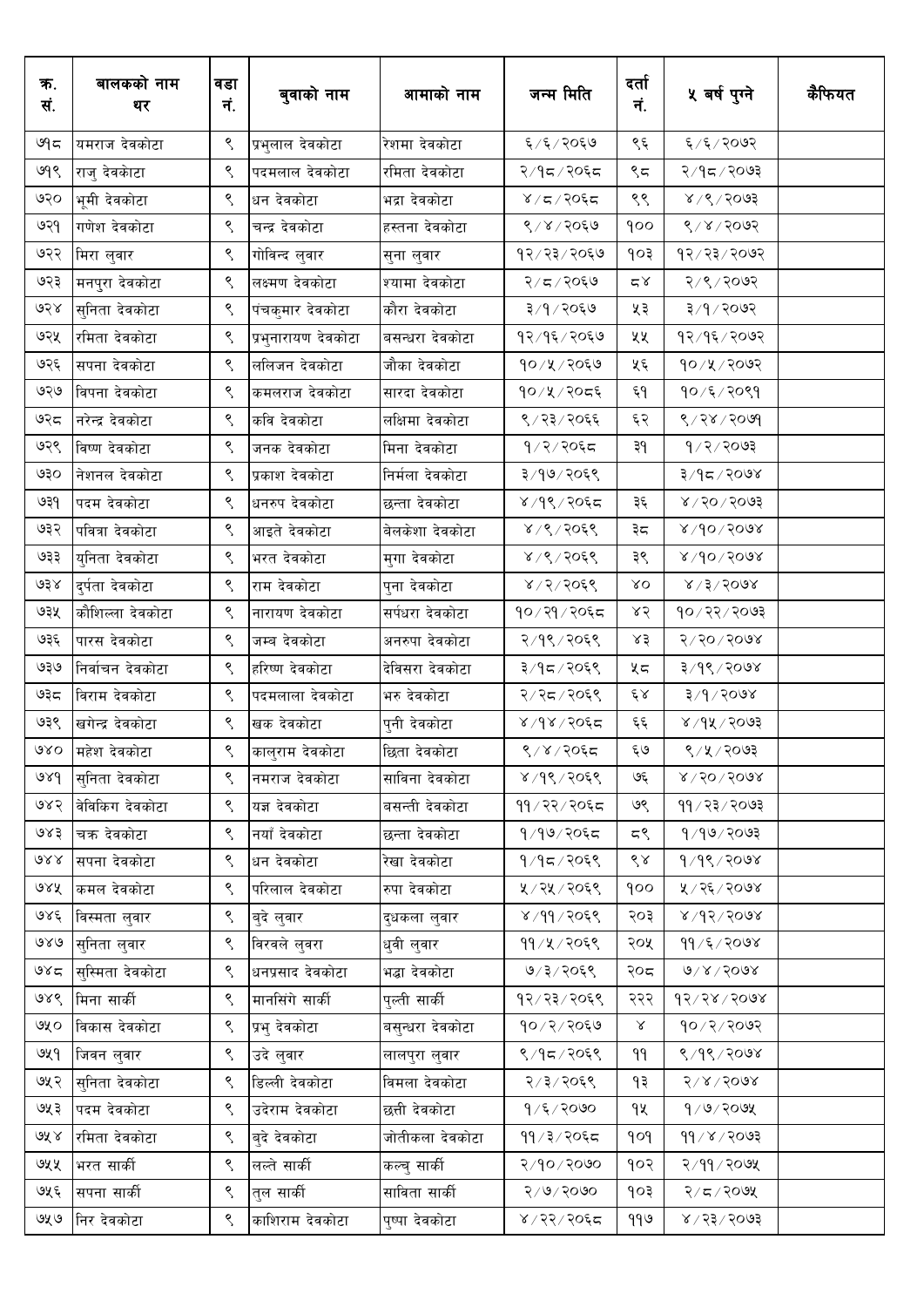| क.<br>सं. | बालकको नाम<br>थर | वडा<br>नं. | बुवाको नाम          | आमाको नाम        | जन्म मिति      | दर्ता<br>नं.  | ५ वर्ष पुग्ने             | कैफियत |
|-----------|------------------|------------|---------------------|------------------|----------------|---------------|---------------------------|--------|
| ७१८       | यमराज देवकोटा    | ९          | प्रभुलाल देवकोटा    | रेशमा देवकोटा    | ६/६/२०६७       | ९६            | ६/६/२०७२                  |        |
| ७१९       | राजु देवकाटा     | ९          | पदमलाल देवकोटा      | रमिता देवकोटा    | २/१८/२०६८      | ९८            | १⁄१८√२०७३                 |        |
| ७२०       | भूमी देवकोटा     | ९          | धन देवकोटा          | भद्रा देवकोटा    | $8/5/20$ ६     | ९९            | 8/8/3003                  |        |
| ७२१       | गणेश देवकोटा     | ९          | चन्द्र देवकोटा      | हस्तना देवकोटा   | ९/४/२०६७       | १००           | 8/8/3009                  |        |
| ७२२       | मिरा लुवार       | ९          | गोविन्द लुवार       | सुना लुवार       | १२⁄ २३⁄ २०६७   | १०३           | $9809 \times 55 \times 9$ |        |
| ७२३       | मनपुरा देवकोटा   | ९          | लक्ष्मण देवकोटा     | श्यामा देवकोटा   | २/८/२०६७       | $\approx$     | २/९/२०७२                  |        |
| ७२४       | सुनिता देवकोटा   | ९          | पंचकुमार देवकोटा    | कौरा देवकोटा     | ३/१/२०६७       | ५३            | ३/१/२०७२                  |        |
| ७२५       | रमिता देवकोटा    | ९          | प्रभुनारायण देवकोटा | बसन्धरा देवकोटा  | १२/१६/२०६७     | ५५            | १२/१६/२०७२                |        |
| ७२६       | सपना देवकोटा     | ९          | ललिजन देवकोटा       | जौका देवकोटा     | १०/५/२०६७      | ५६            | १०/५/२०७२                 |        |
| ७२७       | विपना देवकोटा    | ९          | कमलराज देवकोटा      | सारदा देवकोटा    | १०/५/२०द६      | ξ٩            | १०/६/२०९१                 |        |
| ७२८       | नरेन्द्र देवकोटा | ९          | कवि देवकोटा         | लक्षिमा देवकोटा  | ९/२३/२०६६      | ६२            | 8/38/5000                 |        |
| ७२९       | विष्ण देवकोटा    | ९          | जनक देवकोटा         | मिना देवकोटा     | १/२/२०६८       | ३१            | 9/2/3093                  |        |
| ७३०       | नेशनल देवकोटा    | ९          | प्रकाश देवकोटा      | निर्मला देवकोटा  | ३/१७/२०६९      |               | ३/१८/२०७४                 |        |
| ७३१       | पदम देवकोटा      | ९          | धनरुप देवकोटा       | छन्ता देवकोटा    | ४/१९/२०६द      | ३६            | $8009 \times 10$          |        |
| ७३२       | पवित्रा देवकोटा  | ९          | आइते देवकोटा        | बेलकेशा देवकोटा  | ४/९/२०६९       | ३८            | $8005/90 \times$          |        |
| ७३३       | युनिता देवकोटा   | ९          | भरत देवकोटा         | मुगा देवकोटा     | ४/९/२०६९       | ३९            | $800$ $\sqrt{90}$         |        |
| ७३४       | दुर्पता देवकोटा  | ९          | राम देवकोटा         | पुना देवकोटा     | ४/२/२०६९       | $\lambda$ O   | $8 \times 15 \times 5008$ |        |
| ७३५       | कौशिल्ला देवकोटा | ९          | नारायण देवकोटा      | सर्पधरा देवकोटा  | १०/२१/२०६८     | ४२            | 90/25/2003                |        |
| ७३६       | पारस देवकोटा     | ९          | जम्ब देवकोटा        | अनरुपा देवकोटा   | २/१९/२०६९      | ४३            | $8009 \times 20$          |        |
| ৩३७       | निर्वाचन देवकोटा | ९          | हरिष्ण देवकोटा      | देविसरा देवकोटा  | ३/१८/२०६९      | ५८            | ३/१९/२०७४                 |        |
| ಅ३८       | विराम देवकोटा    | ९          | पदमलाला देवकोटा     | भरु देवकोटा      | २/२८/२०६९      | $\mathcal{E}$ | ३/१/२०७४                  |        |
| ७३९       | खगेन्द्र देवकोटा | ९          | खक देवकोटा          | पुनी देवकोटा     | ४/१४/२०६द      | $\xi \xi$     | ४ ⁄ १५ ⁄ २०७३             |        |
| $\alpha$  | महेश देवकोटा     | ९          | कालुराम देवकोटा     | छिता देवकोटा     | ९/४/२०६८       | ६७            | ९/५/२०७३                  |        |
| ७४१       | सुनिता देवकोटा   | ९          | नमराज देवकोटा       | साविना देवकोटा   | ४/१९/२०६९      | ও६            | $8009 \times 10$          |        |
| ७४२       | वेविकिंग देवकोटा | ९          | यज्ञ देवकोटा        | बसन्ती देवकोटा   | ११ / २२ / २०६८ | ७९            | 99/23/2003                |        |
| ७४३       | चक्र देवकोटा     | ९          | नयाँ देवकोटा        | छन्ता देवकोटा    | १/१७/२०६८      | ζگ            | 9/99/2093                 |        |
| ও১১       | सपना देवकोटा     | ९          | धन देवकोटा          | रेखा देवकोटा     | $9/95/205$ ९   | ९४            | $9/9$ ९/२०७४              |        |
| ७४५       | कमल देवकोटा      | ९          | परिलाल देवकोटा      | रुपा देवकोटा     | ५/२५/२०६९      | qoo           | ५ / २६ / २०७४             |        |
| ७४६       | विस्मता लुवार    | ९          | बुदे लुवार          | दुधकला लुवार     | $8,99/20$ ६९   | २०३           | 8005/94/8                 |        |
| 980       | सुनिता लुवार     | ९          | विरवले लुवरा        | धुवी लुवार       | ११/५/२०६९      | २०५           | 99/5/7008                 |        |
| ও४८       | सुस्मिता देवकोटा | ९          | धनप्रसाद देवकोटा    | भद्धा देवकोटा    | ७/३/२०६९       | २०८           | $0\sqrt{2}\sqrt{500}$     |        |
| ७४९       | मिना सार्की      | ९          | मानसिंगे सार्की     | पुल्ती सार्की    | १२⁄२३⁄२०६९     | २२२           | $93/58$ / 5008            |        |
| ৩५০       | विकास देवकोटा    | ९          | प्रभु देवकोटा       | बसुन्धरा देवकोटा | १०/२/२०६७      | $\propto$     | 90/2/209                  |        |
| ७५१       | जिवन लुवार       | ९          | उदे लुवार           | लालपुरा लुवार    | ९/१८/२०६९      | ۹۹            | $8/9$ / 2018              |        |
| ७५२       | सुनिता देवकोटा   | ९          | डिल्ली देवकोटा      | विमला देवकोटा    | २/३/२०६९       | ۹₹            | 51815008                  |        |
| ७५३       | पदम देवकोटा      | ९          | उदेराम देवकोटा      | छत्ती देवकोटा    | $9/5/20$ ७०    | ٩X            | 9/9/209                   |        |
| 9रे ४     | रमिता देवकोटा    | ९          | बुदे देवकोटा        | जोतीकला देवकोटा  | ११ / ३ / २०६८  | pop           | $99 \times 2003$          |        |
| ७५५       | भरत सार्की       | ९          | लल्ते सार्की        | कल्चु सार्की     | २/१०/२०७०      | १०२           | २/११/२०७५                 |        |
| ७५६       | सपना सार्की      | ९          | त्ल सार्की          | साविता सार्की    | २/७/२०७०       | १०३           | २/८/२०७५                  |        |
| ७५७       | निर देवकोटा      | ९          | काशिराम देवकोटा     | पुष्पा देवकोटा   | ४/२२/२०६८      | ११७           | $8005 \times 55 \times$   |        |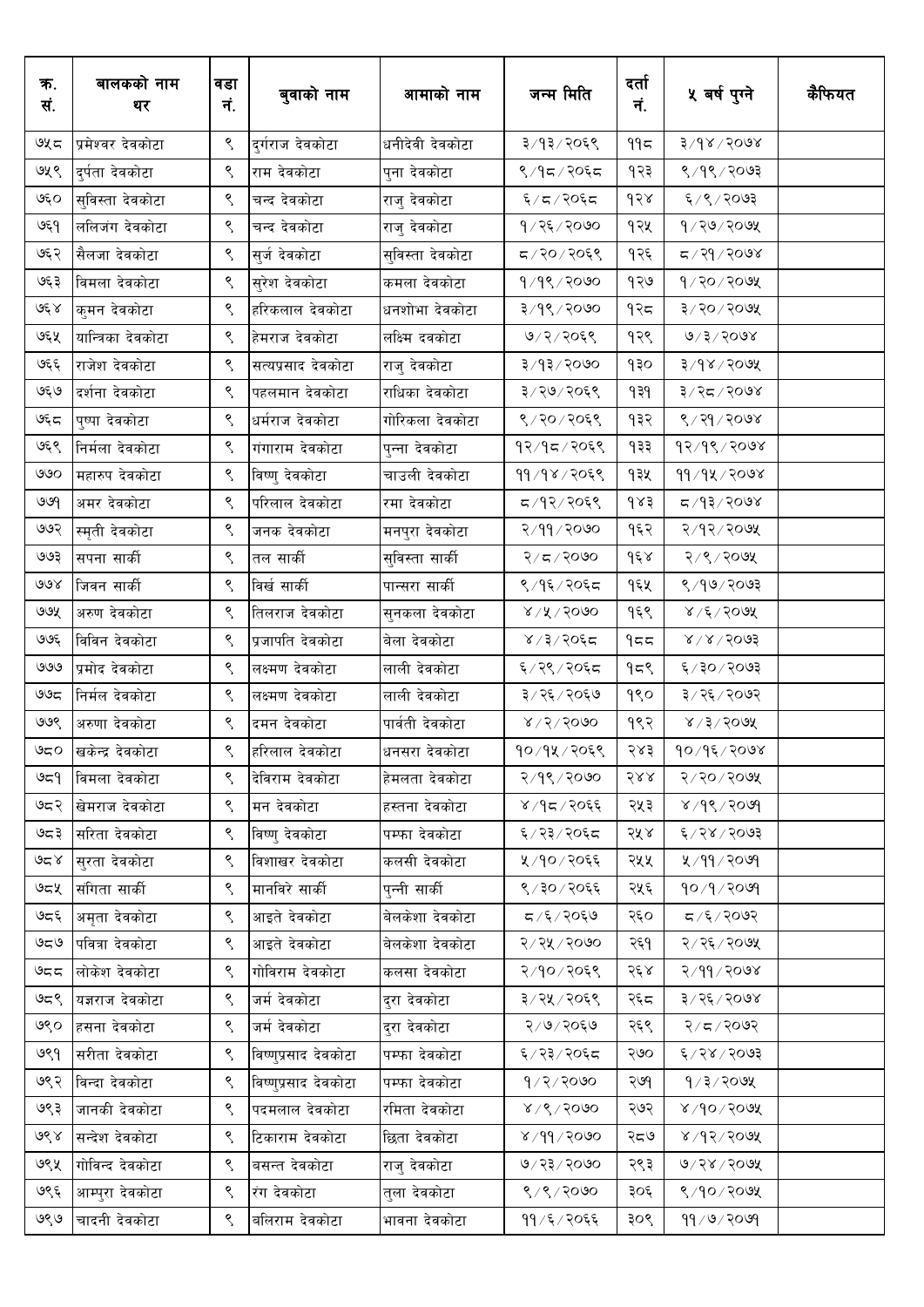| क.<br>सं. | बालकको नाम<br>थर   | वडा<br>नं.             | बुवाको नाम           | आमाको नाम        | जन्म मिति             | दर्ता<br>नं. | ५ वर्ष पुग्ने         | कैफियत |
|-----------|--------------------|------------------------|----------------------|------------------|-----------------------|--------------|-----------------------|--------|
| ৬५८       | प्रमेश्वर देवकोटा  | ९                      | दुर्गराज देवकोटा     | धनीदेवी देवकोटा  | ३/१३/२०६९             | ११८          | $8005 \times 9$ रि    |        |
| ७५९       | दुर्पता देवकोटा    | ९                      | राम देवकोटा          | पुना देवकोटा     | ९/१८/२०६८             | १२३          | $8/9$ ९/२०७३          |        |
| ७६०       | सुविस्ता देवकोटा   | ९                      | चन्द देवकोटा         | राजु देवकोटा     | ६/८/२०६८              | १२४          | ६/९/२०७३              |        |
| ७६१       | ललिजंग देवकोटा     | ९                      | चन्द देवकोटा         | राजु देवकोटा     | 9/25/2000             | १२५          | $9/30/50$ अ           |        |
| ७६२       | सैलजा देवकोटा      | ९                      | सुर्ज देवकोटा        | सुविस्ता देवकोटा | द / २० / २०६९         | १२६          | द ∕ २१ ⁄ २०७४         |        |
| ७६३       | विमला देवकोटा      | ९                      | सुरेश देवकोटा        | कमला देवकोटा     | १/१९/२०७०             | १२७          | $9$ /२०/२०७५          |        |
| کا مجی    | कुमन देवकोटा       | ९                      | हरिकलाल देवकोटा      | धनशोभा देवकोटा   | ३/१९/२०७०             | १२८          | ३/२०/२०७५             |        |
| ७६५       | यान्त्रिका देवकोटा | ९                      | हेमराज देवकोटा       | लक्ष्मि दवकोटा   | ७/२/२०६९              | १२९          | 0/3/5008              |        |
| ७६६       | राजेश देवकोटा      | ९                      | सत्यप्रसाद देवकोटा   | राजु देवकोटा     | ३/१३/२०७०             | १३०          | $3\sqrt{6}$ ४/२०७४    |        |
| ७६७       | दर्शना देवकोटा     | ९                      | पहलमान देवकोटा       | राधिका देवकोटा   | ३/२७/२०६९             | 939          | ३/२८/२०७४             |        |
| ७६८       | पुष्पा देवकोटा     | $\mathord{\mathsf{S}}$ | धर्मराज देवकोटा      | गोरिकला देवकोटा  | ९/२०/२०६९             | १३२          | ९ / २१ / २०७४         |        |
| ७६९       | निर्मला देवकोटा    | ९                      | गंगाराम देवकोटा      | पुन्ना देवकोटा   | १२/१८/२०६९            | १३३          | 93/98/2008            |        |
| ৩৩০       | महारुप देवकोटा     | ९                      | विष्णु देवकोटा       | चाउली देवकोटा    | ११/१४/२०६९            | १३५          | 99/92/2098            |        |
| ७७१       | अमर देवकोटा        | ९                      | परिलाल देवकोटा       | रमा देवकोटा      | द /१२/२०६९            | $d\times$ ś  | द ∕१३∕२०७४            |        |
| ७७२       | स्मृती देवकोटा     | ९                      | जनक देवकोटा          | मनपुरा देवकोटा   | २/११/२०७०             | १६२          | २/१२/२०७५             |        |
| ७७३       | सपना सार्की        | ९                      | तल सार्की            | सुविस्ता सार्की  | २/८/२०७०              | $d\xi$       | २/९/२०७५              |        |
| ७७४       | जिवन सार्की        | ९                      | विर्ख सार्की         | पान्सरा सार्की   | ९/१६/२०६द             | १६५          | ९ ⁄ १७/ २०७३          |        |
| ७७५       | अरुण देवकोटा       | ९                      | तिलराज देवकोटा       | सुनकला देवकोटा   | $8\sqrt{15}$ / $5000$ | १६९          | $8/2/5$ ाउ            |        |
| ७७६       | विविन देवकोटा      | ९                      | प्रजापति देवकोटा     | बेला देवकोटा     | ४ / ३ / २०६८          | 955          | $8\sqrt{8}/50$ ०१     |        |
| ७७७       | प्रमोद देवकोटा     | ९                      | लक्ष्मण देवकोटा      | लाली देवकोटा     | ६/२९/२०६८             | १८९          | ६/३०/२०७३             |        |
| ಅಅಧ       | निर्मल देवकोटा     | ९                      | लक्ष्मण देवकोटा      | लाली देवकोटा     | ३/२६/२०६७             | १९०          | ३/२६/२०७२             |        |
| ७७९       | अरुणा देवकोटा      | ९                      | दमन देवकोटा          | पार्वती देवकोटा  | $8\sqrt{5}/2000$      | १९२          | $8/3/50$ 9X           |        |
| ಅದ೦       | खकेन्द्र देवकोटा   | ९                      | हरिलाल देवकोटा       | धनसरा देवकोटा    | १०/१५/२०६९            | २४३          | $90/9$ ६/२०७४         |        |
| ৩ন্       | विमला देवकोटा      | ९                      | देविराम देवकोटा      | हेमलता देवकोटा   | २/१९/२०७०             | २४४          | २/२०/२०७५             |        |
| ७८२       | खेमराज देवकोटा     | ९                      | मन देवकोटा           | हस्तना देवकोटा   | ४/१८/२०६६             | २५३          | ४ / १९ / २०७१         |        |
| ಅದ ३      | सरिता देवकोटा      | ९                      | विष्णु देवकोटा       | पम्फा देवकोटा    | ६/२३/२०६८             | २५४          | ६/२४/२०७३             |        |
| کا کتا    | सुरता देवकोटा      | ९                      | विशाखर देवकोटा       | कलसी देवकोटा     | ५/१०/२०६६             | २५५          | ५ ⁄ ११ ⁄ २०७१         |        |
| ওন্থ      | संगिता सार्की      | ९                      | मानविरे सार्की       | पुन्नी सार्की    | ९/३०/२०६६             | २५६          | 90/9/909              |        |
| ७८६       | अमृता देवकोटा      | ९                      | आइते देवकोटा         | बेलकेशा देवकोटा  | ८/६/२०६७              | २६०          | $500$ २/ ३/ ८         |        |
| 959       | पवित्रा देवकोटा    | ९                      | आइते देवकोटा         | बेलकेशा देवकोटा  | २/२५/२०७०             | २६१          | २/२६/२०७५             |        |
| ಅದದ       | लोकेश देवकोटा      | ९                      | गोविराम देवकोटा      | कलसा देवकोटा     | २/१०/२०६९             | २६४          | २/११/२०७४             |        |
| 959       | यज्ञराज देवकोटा    | ९                      | जर्म देवकोटा         | दरा देवकोटा      | ३/२५/२०६९             | २६८          | ३/२६/२०७४             |        |
| ७९०       | हसना देवकोटा       | ९                      | जर्म देवकोटा         | दरा देवकोटा      | २/७/२०६७              | २६९          | २/८/२०७२              |        |
| ७९१       | सरीता देवकोटा      | ९                      | विष्णुप्रसाद देवकोटा | पम्फा देवकोटा    | ६/२३/२०६८             | २७०          | ६/२४/२०७३             |        |
| ७९२       | विन्दा देवकोटा     | ९                      | विष्णुप्रसाद देवकोटा | पम्फा देवकोटा    | 9/2/2000              | २७१          | $9/3/20$ ७५           |        |
| ७९३       | जानकी देवकोटा      | ९                      | पदमलाल देवकोटा       | रमिता देवकोटा    | 8/9/2000              | २७२          | $8/90 \times 10^{18}$ |        |
| ७९४       | सन्देश देवकोटा     | ९                      | टिकाराम देवकोटा      | छिता देवकोटा     | 8/99/2000             | २८७          | $8005\sqrt{9}$        |        |
| ७९५       | गोविन्द देवकोटा    | ९                      | बसन्त देवकोटा        | राज् देवकोटा     | ७/२३/२०७०             | २९३          | 9/28/509              |        |
| ७९६       | आम्पुरा देवकोटा    | ९                      | रंग देवकोटा          | तुला देवकोटा     | ९/९/२०७०              | ३०६          | ९/१०/२०७५             |        |
| ७९७       | चादनी देवकोटा      | ९                      | बलिराम देवकोटा       | भावना देवकोटा    | ११ ⁄ ६ ⁄ २०६६         | ३०९          | $99 \times 10$        |        |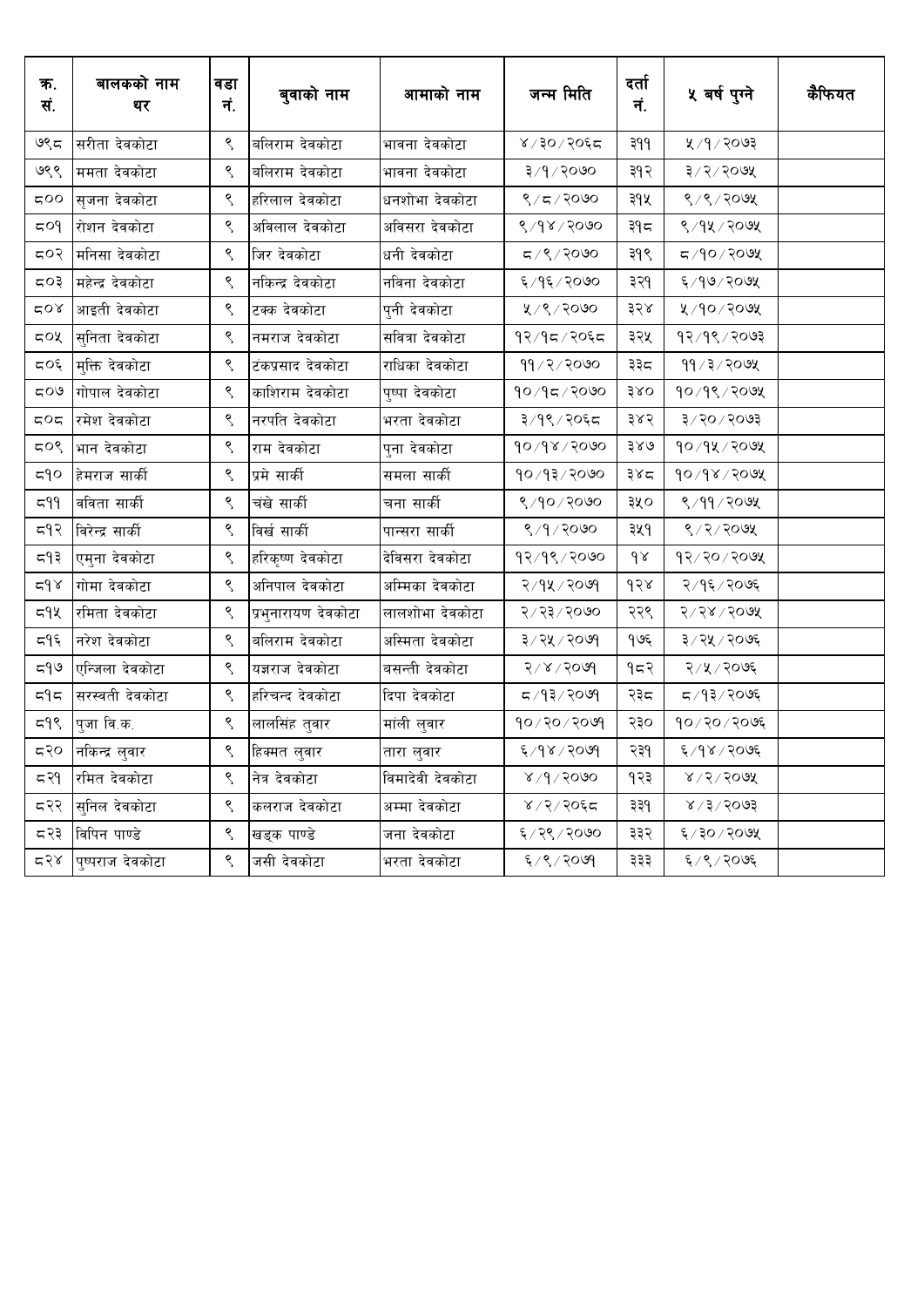| ক.<br>सं.                 | बालकको नाम<br>थर         | वडा<br>नं.             | बुवाको नाम          | आमाको नाम        | जन्म मिति               | दर्ता<br>नं. | ५ वर्ष पुग्ने                 | कैफियत |
|---------------------------|--------------------------|------------------------|---------------------|------------------|-------------------------|--------------|-------------------------------|--------|
| ७९८                       | सरीता देवकोटा            | $\varsigma$            | बलिराम देवकोटा      | भावना देवकोटा    | ४/३०/२०६८               | ३११          | ५ / १ / २०७३                  |        |
| ७९९                       | ममता देवकोटा             | ९                      | बलिराम देवकोटा      | भावना देवकोटा    | ३/१/२०७०                | ३१२          | ३/२/२०७५                      |        |
| $\infty$                  | सृजना देवकोटा            | ९                      | हरिलाल देवकोटा      | धनशोभा देवकोटा   | ९/८/२०७०                | ३१५          | ९/९/२०७५                      |        |
| 504                       | रोशन देवकोटा             | ९                      | अविलाल देवकोटा      | अविसरा देवकोटा   | 8/98/2000               | ३१८          | ९/१५/२०७५                     |        |
| 507                       | मनिसा देवकोटा            | ९                      | जिर देवकोटा         | धनी देवकोटा      | $\sigma/2$ ९/२०७०       | ३१९          | द ⁄१०/२०७५                    |        |
| ८०३                       | महेन्द्र देवकोटा         | ९                      | नकिन्द्र देवकोटा    | नविना देवकोटा    | ६/१६/२०७०               | ३२१          | ६/१७/२०७५                     |        |
| ⊄0∢                       | आइती देवकोटा             | ९                      | टक्क देवकोटा        | पुनी देवकोटा     | ५/९/२०७०                | ३२४          | ५/१०/२०७५                     |        |
| 50x                       | सुनिता देवकोटा           | ९                      | नमराज देवकोटा       | सवित्रा देवकोटा  | १२/१८/२०६८              | ३२५          | 93/98/2003                    |        |
| $\zeta\circ\xi$           | मुक्ति देवकोटा           | $\varsigma$            | टंकप्रसाद देवकोटा   | राधिका देवकोटा   | ११/२/२०७०               | ३३८          | $99 \times 3 \times 200$ श्र  |        |
| $\mathcal{O}(\mathbf{Z})$ | गोपाल देवकोटा            | ९                      | काशिराम देवकोटा     | पुष्पा देवकोटा   | 90/95/200               | 380          | $90/9$ ९/२०७५                 |        |
| $π$ Οπ                    | रमेश देवकोटा             | ९                      | नरपति देवकोटा       | भरता देवकोटा     | ३/१९/२०६८               | ३४२          | ३/२०/२०७३                     |        |
| ८०९                       | भान देवकोटा              | $\varsigma$            | राम देवकोटा         | पुना देवकोटा     | $90\sqrt{9} \times 200$ | ३४७          | $90/9$ k $/$ २०७४             |        |
| $\epsilon$                | हेमराज सार्की            | $\varsigma$            | प्रमे सार्की        | समला सार्की      | 90/93/2000              | ३४८          | $90\sqrt{3} \times 60$        |        |
| 599                       | वविता सार्की             | $\mathord{\mathsf{S}}$ | चंखे सार्की         | चना सार्की       | 8/90/2000               | ३५०          | ९/११/२०७५                     |        |
| 597                       | विरेन्द्र सार्की         | ९                      | विर्ख सार्की        | पान्सरा सार्की   | 8/9/2000                | ३५१          | ९/२/२०७५                      |        |
| द१३                       | एमुना देवकोटा            | ९                      | हरिकृष्ण देवकोटा    | देविसरा देवकोटा  | १२/१९/२०७०              | $\delta$     | $95/50 \times 6$              |        |
| $\approx$ $9 \times$      | गोमा देवकोटा             | ९                      | अनिपाल देवकोटा      | अम्मिका देवकोटा  | २/१५/२०७१               | d58          | २/१६/२०७६                     |        |
| द9५                       | रमिता देवकोटा            | ९                      | प्रभुनारायण देवकोटा | लालशोभा देवकोटा  | २/२३/२०७०               | २२९          | $8005 \times 79$              |        |
| द१६                       | नरेश देवकोटा             | ९                      | बलिराम देवकोटा      | अस्मिता देवकोटा  | ३/२५/२०७१               | १७६          | ३/२५/२०७६                     |        |
| e/5                       | एन्जिला देवकोटा          | ९                      | यज्ञराज देवकोटा     | बसन्ती देवकोटा   | 5006 / 500              | १८२          | २/५/२०७६                      |        |
| $\epsilon$                | सरस्वती देवकोटा          | ९                      | हरिचन्द देवकोटा     | दिपा देवकोटा     | द ∕ १३ ⁄ २०७१           | २३८          | द ⁄ १३ ⁄ २०७६                 |        |
| 595                       | पुजा वि.क.               | ९                      | लालसिंह तुवार       | मांली लुवार      | $90 \times 10$ रि       | २३०          | $90 \times 20 \times 20$ प्रि |        |
| द२०                       | नकिन्द्र लुवार           | $\zeta$                | हिक्मत लुवार        | तारा लुवार       | 6005/804                | २३१          | ६/१४/२०७६                     |        |
| न्द२१                     | रमित देवकोटा             | ९                      | नेत्र देवकोटा       | विमादेवी देवकोटा | 8/9/2000                | १२३          | $8/5/50$ 98                   |        |
|                           | <b>८२२ सिनिल देवकोटा</b> | ९                      | कलराज देवकोटा       | अम्मा देवकोटा    | $8/2/30$ ६८             | ३३१          | 8005/5/8                      |        |
|                           | ⊂२३ विपिन पाण्डे         | $\mathcal{S}$          | खड्क पाण्डे         | जना देवकोटा      | ६/२९/२०७०               | ३३२          | ६/३०/२०७५                     |        |
|                           | द२४ पुष्पराज देवकोटा     | ९                      | जसी देवकोटा         | भरता देवकोटा     | $8009 \times 9$         | ३३३          | ६/९/२०७६                      |        |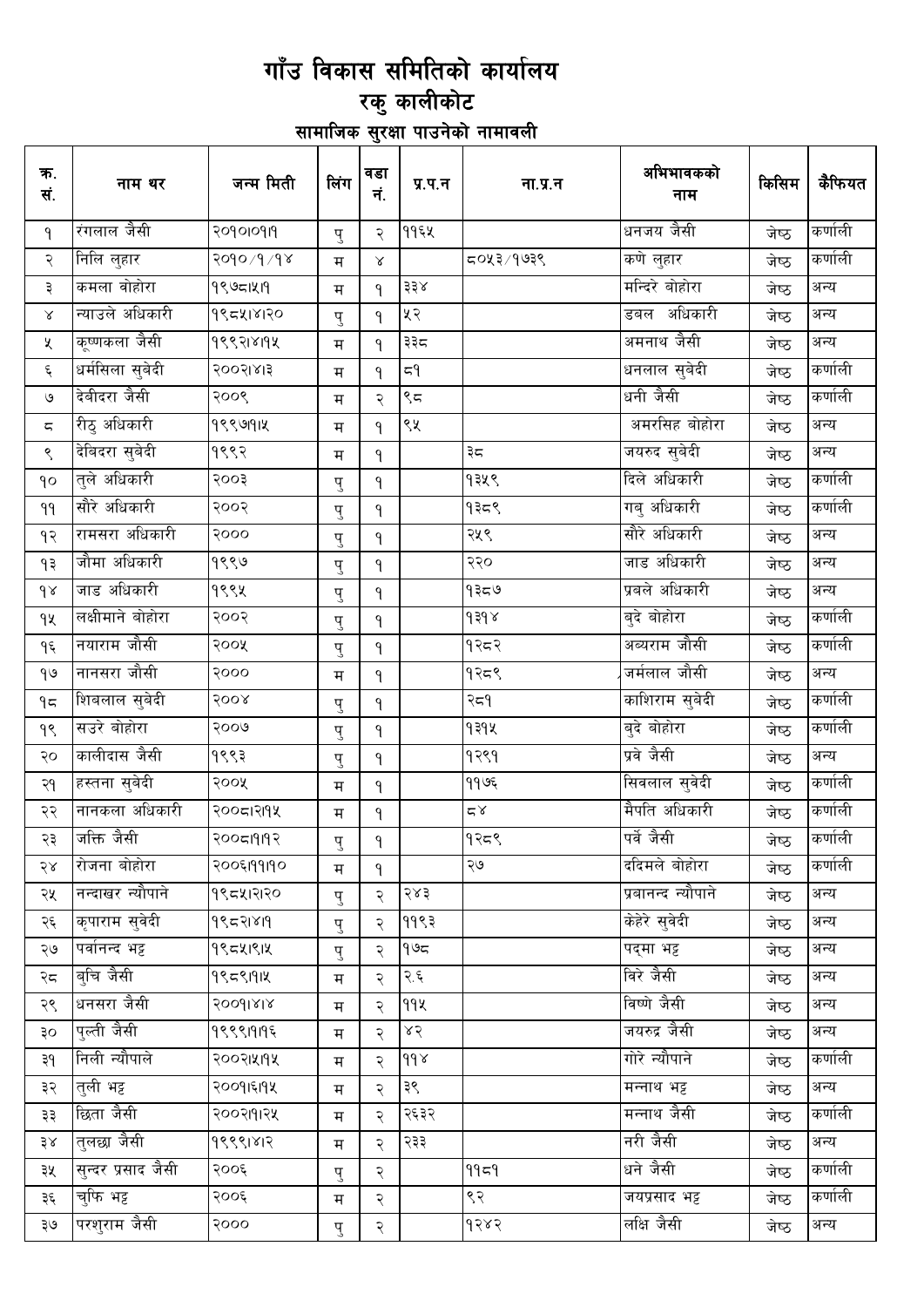# गाँउ विकास समितिको कार्यालय<br>रकु कालीकोट<br>सामाजिक सुरक्षा पाउनेको नामावली

| क.<br>सं.                | नाम थर             | जन्म मिती  | लिंग | वडा<br>नं.   | प्र.प.न                           | ना.प्र.न                      | अभिभावकको<br>नाम   | किसिम | कैफियत  |
|--------------------------|--------------------|------------|------|--------------|-----------------------------------|-------------------------------|--------------------|-------|---------|
| ٩                        | रंगलाल जैसी        | २०१०१०१११  | पु   | २            | ११६५                              |                               | धनजय जैसी          | जेष्ठ | कर्णाली |
| २                        | <u>निलि लु</u> हार | २०१०/१/१४  | म    | $\propto$    |                                   | ८६७/२४०च                      | कणे लुहार          | जेष्ठ | कर्णाली |
| ३                        | कमला वोहोरा        | 99951219   | म    | ٩            | $\frac{1}{2} \frac{1}{2} \lambda$ |                               | मन्दिरे बोहोरा     | जेष्ठ | अन्य    |
| $\propto$                | न्याउले अधिकारी    | 995418120  | पु   | ٩            | ५२                                |                               | डबल अधिकारी        | जेष्ठ | अन्य    |
| Κ                        | कूष्णकला जैसी      | १९९२1४19४  | म    | ٩            | ३३८                               |                               | अमनाथ जैसी         | जेष्ठ | अन्य    |
| $\boldsymbol{\xi}$       | धर्मसिला सुबेदी    | २००२।४।३   | म    | ۹            | $\epsilon_d$                      |                               | धनलाल सुबेदी       | जेष्ठ | कर्णाली |
| $\mathcal{O}$            | देबीदरा जैसी       | २००९       | म    | २            | ९८                                |                               | धनी जैसी           | जेष्ठ | कर्णाली |
| $\overline{\mathsf{c}},$ | रीठु अधिकारी       | 9999914    | म    | ٩            | ९५                                |                               | अमरसिह बोहोरा      | जेष्ठ | अन्य    |
| $\mathord{\mathsf{S}}$   | देबिदरा सुबेदी     | १९९२       | म    | ٩            |                                   | ३८                            | जयरुद सुबेदी       | जेष्ठ | अन्य    |
| qo                       | तुले अधिकारी       | २००३       | पु   | ٩            |                                   | १३५९                          | दिले अधिकारी       | जेष्ठ | कर्णाली |
| ٩٩                       | सौरे अधिकारी       | २००२       | पु   | ٩            |                                   | १३८९                          | गबु अधिकारी        | जेष्ठ | कर्णाली |
| ٩R                       | रामसरा अधिकारी     | २०००       | पु   | ٩            |                                   | २५९                           | सौरे अधिकारी       | जेष्ठ | अन्य    |
| ۹₹                       | जौमा अधिकारी       | १९९७       | पु   | ٩            |                                   | २२०                           | जाड अधिकारी        | जेष्ठ | अन्य    |
| $\delta$                 | जाड अधिकारी        | १९९५       | पु   | $\mathsf{P}$ |                                   | ۹३८७                          | प्रबले अधिकारी     | जेष्ठ | अन्य    |
| qų                       | लक्षीमाने बोहोरा   | २००२       | पु   | ٩            |                                   | $\gamma$ $\beta \beta \gamma$ | बुदे बोहोरा        | जेष्ठ | कर्णाली |
| ۹६                       | नयाराम जौसी        | २००५       | पु   | $\mathsf{P}$ |                                   | १२८२                          | अव्यराम जौसी       | जेष्ठ | कर्णाली |
| $\theta$                 | नानसरा जौसी        | २०००       | म    | ٩            |                                   | १२८९                          | जर्मलाल जौसी       | जेष्ठ | अन्य    |
| $9\pi$                   | शिबलाल सुबेदी      | २००४       | पु   | ٩            |                                   | २८१                           | काशिराम सुबेदी     | जेष्ठ | कर्णाली |
| ٩९                       | सउरे बोहोरा        | २००७       | पु   | ٩            |                                   | १३१५                          | बुदे बोहोरा        | जेष्ठ | कर्णाली |
| २०                       | कालीदास जैसी       | १९९३       | पु   | $\mathsf{P}$ |                                   | १२९१                          | प्रवे जैसी         | जेष्ठ | अन्य    |
| २१                       | हस्तना सुबेदी      | २००५       | म    | $\mathsf{P}$ |                                   | ११७६                          | सिवलाल सुवेदी      | जेष्ठ | कर्णाली |
| २२                       | नानकला अधिकारी     | २००८।२११५  | म    | $\mathsf{P}$ |                                   | $\leq \alpha$                 | मैपति अधिकारी      | जेष्ठ | कर्णाली |
| २३                       | जक्ति जैसी         | २००८1919२  | पु   | $\mathsf{P}$ |                                   | १२८९                          | पर्वे जैसी         | जेष्ठ | कर्णाली |
| २४                       | रोजना बोहोरा       | २००६।११।१० | म    | $\mathsf{P}$ |                                   | ২७                            | ददिमले बोहोरा      | जेष्ठ | कर्णाली |
| २५                       | नन्दाखर न्यौपाने   | १९८५।२१२०  | पु   | २            | २४३                               |                               | प्रबानन्द न्यौपाने | जेष्ठ | अन्य    |
| २६                       | कृपाराम सुवेदी     | 9९८२१४१९   | पु   | २            | ११९३                              |                               | केहेरे सुवेदी      | जेष्ठ | अन्य    |
| ২७                       | पर्वानन्द भट्ट     | 99541914   | पु   | २            | ۹७८                               |                               | पदमा भट्ट          | जेष्ठ | अन्य    |
| २८                       | बचि जैसी           | 99591914   | म    | २            | २.६                               |                               | विरे जैसी          | जेष्ठ | अन्य    |
| २९                       | धनसरा जैसी         | 20091818   | म    | २            | 99X                               |                               | विष्णे जैसी        | जेष्ठ | अन्य    |
| ३०                       | पल्ती जैसी         | १९९९1919६  | म    | २            | 85                                |                               | जयरुद्र जैसी       | जेष्ठ | अन्य    |
| ३१                       | निली न्यौपाले      | २००२।५११५  | म    | २            | $d d \lambda$                     |                               | गोरे न्यौपाने      | जेष्ठ | कर्णाली |
| ३२                       | त्ली भट्ट          | २००१।६११४  | म    | २            | ३९                                |                               | _<br>मन्नाथ भट्ट   | जेष्ठ | अन्य    |
| ३३                       | छिता जैसी          | २००२१११२५  | म    | २            | २६३२                              |                               | मन्नाथ जैसी        | जेष्ठ | कर्णाली |
| 58                       | तुलछा जैसी         | 99991812   | म    | २            | २३३                               |                               | नरी जैसी           | जेष्ठ | अन्य    |
| ३५                       | सुन्दर प्रसाद जैसी | २००६       | पु   | २            |                                   | 9959                          | धने जैसी           | जेष्ठ | कर्णाली |
| ३६                       | चफि भट्ट           | २००६       | म    | २            |                                   | ९२                            | जयप्रसाद भट्ट      | जेष्ठ | कर्णाली |
| २७                       | परशुराम जैसी       | २०००       | पु   | २            |                                   | १२४२                          | लक्षि जैसी         | जेष्ठ | अन्य    |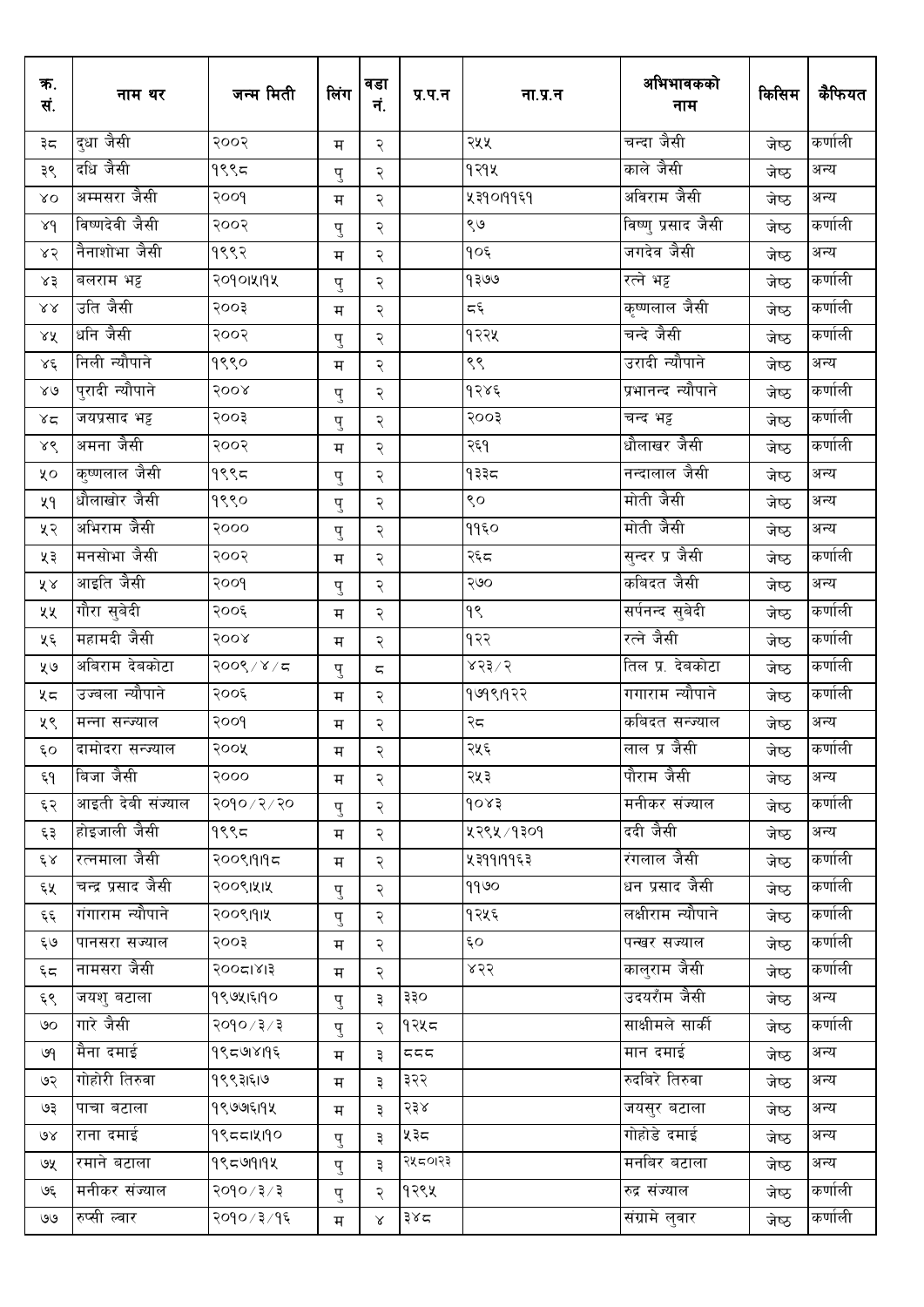| क.<br>सं.                 | नाम थर                 | जन्म मिती     | लिंग                    | वडा<br>नं.               | प्र.प.न | ना.प्र.न             | अभिभावकको<br>नाम   | किसिम | कैफियत  |
|---------------------------|------------------------|---------------|-------------------------|--------------------------|---------|----------------------|--------------------|-------|---------|
| ३८                        | दुधा जैसी              | २००२          | म                       | २                        |         | २५५                  | चन्दा जैसी         | जेष्ठ | कर्णाली |
| ३९                        | दधि जैसी               | 9995          | पु                      | २                        |         | १२१५                 | काले जैसी          | जेष्ठ | अन्य    |
| $\lambda$ O               | अम्मसरा जैसी           | poog          | म                       | २                        |         | ५३१०११६१             | अविराम जैसी        | जेष्ठ | अन्य    |
| 84                        | विष्णदेवी जैसी         | २००२          | पु                      | २                        |         | ९७                   | विष्णु प्रसाद जैसी | जेष्ठ | कर्णाली |
| 85                        | नैनाशोभा जैसी          | १९९२          | म                       | २                        |         | $90\xi$              | जगदेव जैसी         | जेष्ठ | अन्य    |
| x3                        | बलराम भट्ट             | २०१०१५१५      | पु                      | २                        |         | 9309                 | रत्ने भट्ट         | जेष्ठ | कर्णाली |
| $\lambda\lambda$          | उति जैसी               | २००३          | म                       | २                        |         | $\overline{\zeta}$ پ | कृष्णलाल जैसी      | जेष्ठ | कर्णाली |
| ४५                        | धनि जैसी               | २००२          | पु                      | २                        |         | १२२५                 | चन्दे जैसी         | जेष्ठ | कर्णाली |
| $\lambda \xi$             | निली न्यौपाने          | 9990          | म                       | २                        |         | ९९                   | उरादी न्यौपाने     | जेष्ठ | अन्य    |
| $80^{\circ}$              | पुरादी न्यौपाने        | २००४          | पु                      | २                        |         | १२४६                 | प्रभानन्द न्यौपाने | जेष्ठ | कर्णाली |
| 85                        | जयप्रसाद भट्ट          | २००३          | पु                      | २                        |         | २००३                 | चन्द भट्ट          | जेष्ठ | कर्णाली |
| ४९                        | अमना जैसी              | २००२          | म                       | २                        |         | २६१                  | धौलाखर जैसी        | जेष्ठ | कर्णाली |
| ųο                        | क <u>ु</u> ष्णलाल जैसी | १९९८          | पु                      | २                        |         | १३३८                 | नन्दालाल जैसी      | जेष्ठ | अन्य    |
| ५१                        | धौलाखोर जैसी           | 9990          | पु                      | २                        |         | ९०                   | मोती जैसी          | जेष्ठ | अन्य    |
| ५२                        | अभिराम जैसी            | २०००          | पु                      | २                        |         | ११६०                 | मोती जैसी          | जेष्ठ | अन्य    |
| ५३                        | मनसोभा जैसी            | २००२          | $\overline{\mathbf{H}}$ | २                        |         | २६८                  | सुन्दर प्र जैसी    | जेष्ठ | कर्णाली |
| ४४                        | आइति जैसी              | poog          | पु                      | २                        |         | २७०                  | कबिदत जैसी         | जेष्ठ | अन्य    |
| ५५                        | गौरा सुबेदी            | २००६          | म                       | २                        |         | ۹९                   | सर्पनन्द सुबेदी    | जेष्ठ | कर्णाली |
| ५६                        | महामदी जैसी            | 8008          | म                       | २                        |         | १२२                  | रत्ने जैसी         | जेष्ठ | कर्णाली |
| ५७                        | अबिराम देबकोटा         | २००९/४/८      | पु                      | $\overline{\phantom{m}}$ |         | 8515                 | तिल प्र. देबकोटा   | जेष्ठ | कर्णाली |
| ५८                        | उज्बला न्यौपाने        | २००६          | म                       | २                        |         | १७१९।१२२             | गगाराम न्यौपाने    | जेष्ठ | कर्णाली |
| ५९                        | मन्ना सन्ज्याल         | २००१          | म                       | २                        |         | २८                   | कबिदत सन्ज्याल     | जेष्ठ | अन्य    |
| ξO                        | दामोदरा सन्ज्याल       | २००५          | म                       | २                        |         | २५६                  | लाल प्र जैसी       | जेष्ठ | कर्णाली |
| ξ٩                        | बिजा जैसी              | २०००          | म                       | २                        |         | २५३                  | पौराम जैसी         | जेष्ठ | अन्य    |
| ६२                        | आइती देवी संज्याल      | २०१०/२/२०     | पु                      | २                        |         | 9083                 | मनीकर संज्याल      | जेष्ठ | कर्णाली |
| ६३                        | होइजाली जैसी           | १९९८          | म                       | २                        |         | ५२९५ / १३०१          | ददी जैसी           | जेष्ठ | अन्य    |
| $\xi_{\rm A}$             | रत्नमाला जैसी          | २००९१११६      | म                       | २                        |         | ५३११।११६३            | रंगलाल जैसी        | जेष्ठ | कर्णाली |
| ६५                        | चन्द्र प्रसाद जैसी     | २००९।५।५      | पु                      | २                        |         | 9960                 | धन प्रसाद जैसी     | जेष्ठ | कर्णाली |
| چې                        | गंगाराम न्यौपाने       | २००९१११५      | पु                      | २                        |         | १२५६                 | लक्षीराम न्यौपाने  | जेष्ठ | कर्णाली |
| ६७                        | पानसरा सज्याल          | २००३          | म                       | २                        |         | Ę٥                   | पन्खर सज्याल       | जेष्ठ | कर्णाली |
| بخد                       | नामसरा जैसी            | २००८१४३       | म                       | २                        |         | ४२२                  | कालुराम जैसी       | जेष्ठ | कर्णाली |
| ६९                        | जयश् बटाला             | १९७५।६११०     | पु                      | ३                        | ३३०     |                      | उदयराँम जैसी       | जेष्ठ | अन्य    |
| ৩০                        | गारे जैसी              | २०१० / ३ / ३  | पु                      | २                        | १२५८    |                      | साक्षीमले सार्की   | जेष्ठ | कर्णाली |
| ७१                        | मैना दमाई              | १९८७।४१९६     | म                       | ३                        | 557     |                      | मान दमाई           | जेष्ठ | अन्य    |
| ७२                        | गोहोरी तिरुवा          | १९९३।६।७      | म                       | ३                        | ३२२     |                      | रुदबिरे तिरुवा     | जेष्ठ | अन्य    |
| ও३                        | पाचा बटाला             | १९७७६११४      | म                       | ३                        | २३४     |                      | जयसुर बटाला        | जेष्ठ | अन्य    |
| $\delta$                  | राना दमाई              | 995514190     | पु                      | ३                        | ५३८     |                      | गोहोडे दमाई        | जेष्ठ | अन्य    |
| ७५                        | रमाने बटाला            | १९८७१११४      | पु                      | ३                        | २५८०१२३ |                      | मनबिर बटाला        | जेष्ठ | अन्य    |
| بجى                       | मनीकर संज्याल          | २०१० / ३ / ३  | पु                      | २                        | १२९५    |                      | रुद्र संज्याल      | जेष्ठ | कर्णाली |
| $\mathcal{G} \mathcal{G}$ | रुप्सी ल्वार           | २०१० / ३ / १६ | म                       | $\propto$                | ३४८     |                      | संग्रामे लुवार     | जेष्ठ | कर्णाली |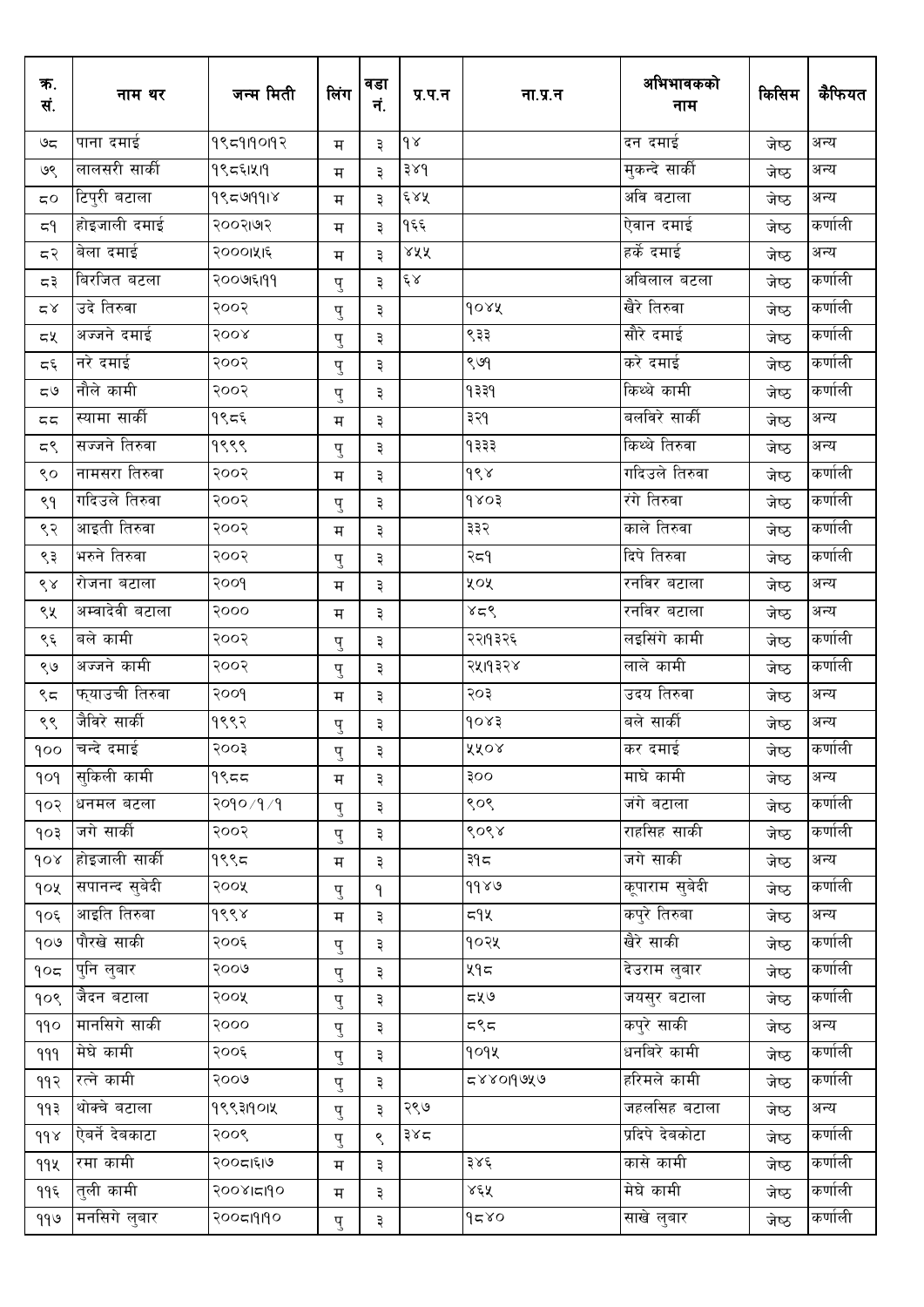| क.<br>सं.                 | नाम थर             | जन्म मिती    | लिंग | वडा<br>नं. | प्र.प.न       | ना.प्र.न | अभिभावकको<br>नाम     | किसिम | कैफियत  |
|---------------------------|--------------------|--------------|------|------------|---------------|----------|----------------------|-------|---------|
| ಅದ                        | पाना दमाई          | 9959190197   | म    | ३          | $\delta$      |          | दन दमाई              | जेष्ठ | अन्य    |
| ७९                        | लालसरी सार्की      | १९८६1५19     | म    | ३          | 38d           |          | मुकन्दे सार्की       | जेष्ठ | अन्य    |
| $\mathtt{C}\mathtt{O}$    | टिपुरी बटाला       | १९८७१११४     | म    | ३          | 688           |          | अवि बटाला            | जेष्ठ | अन्य    |
| 5٩                        | होइजाली दमाई       | २००२।७१२     | म    | ३          | १६६           |          | ऐवान दमाई            | जेष्ठ | कर्णाली |
| द२                        | बेला दमाई          | २०००।५१६     | म    | ३          | ४५५           |          | हर्के दमाई           | जेष्ठ | अन्य    |
| ಧ३                        | बिरजित बटला        | २००७६१११     | पु   | ३          | $\xi \lambda$ |          | अबिलाल बटला          | जेष्ठ | कर्णाली |
| $\mathbb{Z}\, \mathbb{X}$ | <u>उदे ति</u> रुवा | २००२         | पु   | ३          |               | doxx     | खैरे तिरुवा          | जेष्ठ | कर्णाली |
| ದ⊻                        | अज्जने दमाई        | २००४         | पु   | ३          |               | ९३३      | सौरे दमाई            | जेष्ठ | कर्णाली |
| ξج                        | नरे दमाई           | २००२         | पु   | ३          |               | ९७१      | करे दमाई             | जेष्ठ | कर्णाली |
| $\zeta\Im$                | नौले कामी          | २००२         | पु   | ३          |               | 9339     | किथ्थे कामी          | जेष्ठ | कर्णाली |
| 55                        | स्यामा सार्की      | १९८६         | म    | ३          |               | ३२१      | बलविरे सार्की        | जेष्ठ | अन्य    |
| 55                        | सज्जने तिरुवा      | १९९९         | पु   | ३          |               | १३३३     | किथ्थे तिरुवा        | जेष्ठ | अन्य    |
| ९०                        | नामसरा तिरुवा      | २००२         | म    | ३          |               | ds       | गदिउले तिरुवा        | जेष्ठ | कर्णाली |
| ९१                        | गदिउले तिरुवा      | २००२         | पु   | ३          |               | 9803     | रंगे तिरुवा          | जेष्ठ | कर्णाली |
| ९२                        | आइती तिरुवा        | २००२         | म    | ३          |               | ३३२      | काले तिरुवा          | जेष्ठ | कर्णाली |
| ९३                        | भरुने तिरुवा       | २००२         | पु   | ३          |               | २८१      | दिपे तिरुवा          | जेष्ठ | कर्णाली |
| $\delta$                  | रोजना बटाला        | २००१         | म    | ३          |               | ५०५      | रनविर बटाला          | जेष्ठ | अन्य    |
| ९५                        | अम्वादेवी बटाला    | २०००         | म    | ३          |               | ४८९      | रनविर बटाला          | जेष्ठ | अन्य    |
| ९६                        | बले कामी           | २००२         | पु   | ३          |               | २२।१३२६  | लइसिंगे कामी         | जेष्ठ | कर्णाली |
| ९७                        | अज्जने कामी        | २००२         | पु   | ३          |               | २५।१३२४  | लाले कामी            | जेष्ठ | कर्णाली |
| ९८                        | फ्याउची तिरुवा     | २००१         | म    | ३          |               | २०३      | उदय तिरुवा           | जेष्ठ | अन्य    |
| ९९                        | जैविरे सार्की      | १९९२         | पु   | ३          |               | 90x3     | बले सार्की           | जेष्ठ | अन्य    |
| qoo                       | चन्दे दमाई         | goog         | पु   | ३          |               | ४४०४     | कर दमाई              | जेष्ठ | कर्णाली |
| 909                       | सकिली कामी         | $9$ مح       | म    | ३          |               | २००      | माघे कामी            | जेष्ठ | अन्य    |
| १०२                       | धनमल बटला          | २०१० / १ / १ | पु   | ३          |               | ९०९      | जंगे बटाला           | जेष्ठ | कर्णाली |
| १०३                       | जगे सार्की         | २००२         | पु   | ३          |               | ९०९४     | राहसिह साकी          | जेष्ठ | कर्णाली |
| 90x                       | होइजाली सार्की     | १९९८         | म    | ३          |               | ३१८      | जगे साकी             | जेष्ठ | अन्य    |
| १०५                       | सपानन्द सुबेदी     | २००५         | पु   | ٩          |               | 9880     | कूपाराम सुबेदी       | जेष्ठ | कर्णाली |
| १०६                       | आइति तिरुवा        | १९९४         | म    | ३          |               | ८१४      | कप् <b>रे</b> तिरुबा | जेष्ठ | अन्य    |
| 909                       | पौरखे साकी         | २००६         | पु   | ३          |               | १०२५     | खैरे साकी            | जेष्ठ | कर्णाली |
| 905                       | पुनि लुबार         | २००७         | पु   | ३          |               | ५१८      | देउराम लुबार         | जेष्ठ | कर्णाली |
| १०९                       | जैदन बटाला         | २००५         | पु   | ३          |               | ८५७      | जयसुर बटाला          | जेष्ठ | कर्णाली |
| 990                       | मानसिगे साकी       | २०००         | पु   | ३          |               | د∢د      | कपुरे साकी           | जेष्ठ | अन्य    |
| 999                       | मेघे कामी          | २००६         | पु   | ३          |               | 909X     | धनबिरे कामी          | जेष्ठ | कर्णाली |
| 9۹२                       | रत्ने कामी         | २००७         | पु   | ३          |               | ८४४०१७५७ | हरिमले कामी          | जेष्ठ | कर्णाली |
| ۹۹३                       | थोक्चे बटाला       | १९९३1901५    | पु   | ३          | २९७           |          | _<br>जहलसिह बटाला    | जेष्ठ | अन्य    |
| $\delta$                  | ऐबर्ने देबकाटा     | २००९         | पु   | ९          | ३४८           |          | प्रदिपे देबकोटा      | जेष्ठ | कर्णाली |
| 992                       | रमा कामी           | २००८।६।७     | म    | ३          |               | ३४६      | कासे कामी            | जेष्ठ | कर्णाली |
| ११६                       | तुली कामी          | २००४।दा9०    | म    | ३          |               | ४६५      | मेघे कामी            | जेष्ठ | कर्णाली |
| ११७                       | मनसिगे लुबार       | २००८१११०     | पु   | ३          |               | $\alpha$ | साखे लुबार           | जेष्ठ | कर्णाली |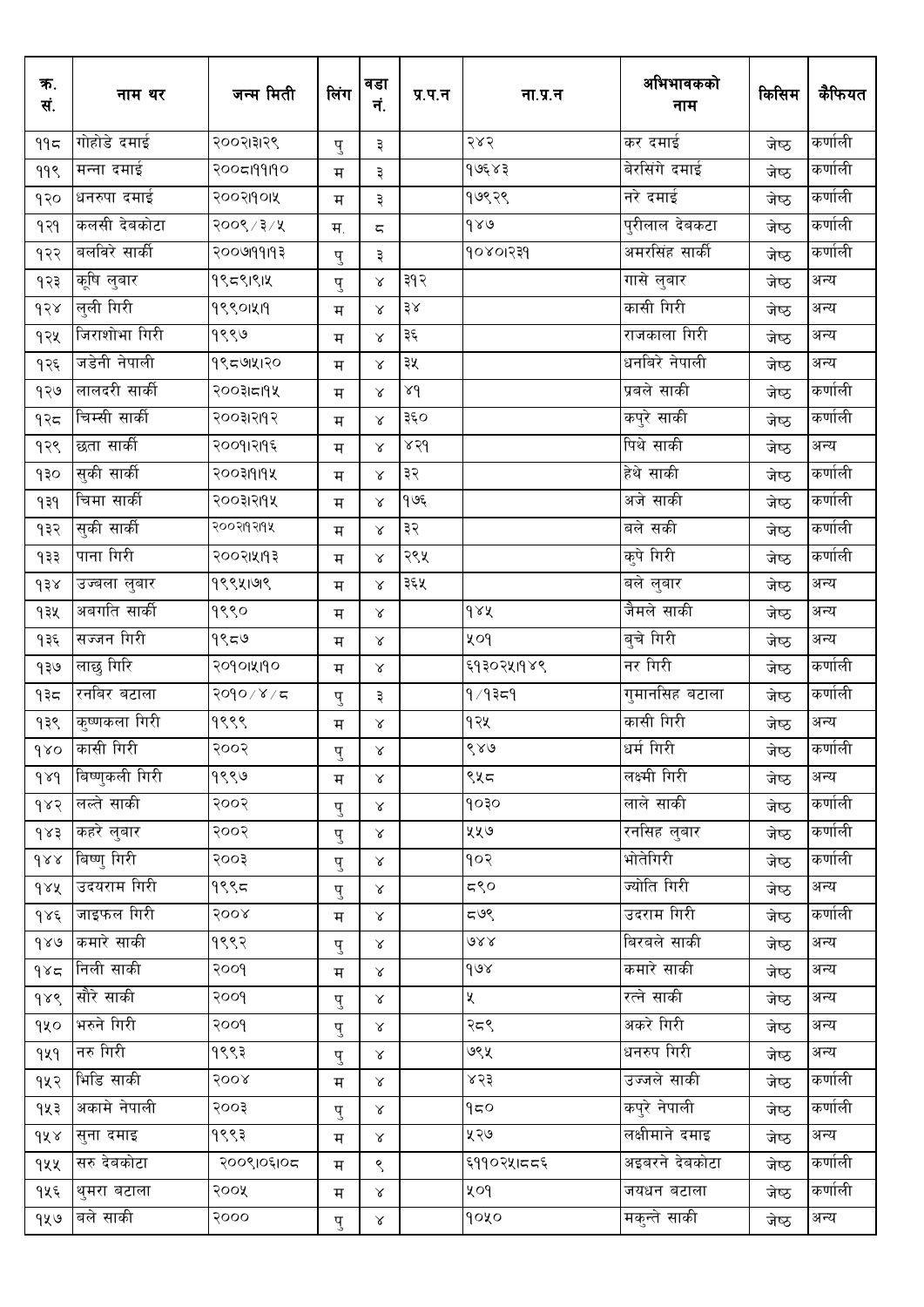| क.<br>सं.        | नाम थर         | जन्म मिती    | लिंग | वडा<br>नं.               | प्र.प.न            | ना.प्र.न    | अभिभावकको<br>नाम | किसिम | कैफियत  |
|------------------|----------------|--------------|------|--------------------------|--------------------|-------------|------------------|-------|---------|
| ११८              | गोहोडे दमाई    | २००२।३१२९    | पु   | ३                        |                    | २४२         | कर दमाई          | जेष्ठ | कर्णाली |
| 99९              | मन्ना दमाई     | २००८199190   | म    | ३                        |                    | १७६४३       | बेरसिंगे दमाई    | जेष्ठ | कर्णाली |
| १२०              | धनरुपा दमाई    | २००२११०१४    | म    | ३                        |                    | १७९२९       | नरे दमाई         | जेष्ठ | कर्णाली |
| १२१              | कलसी देवकोटा   | २००९ / ३ / ५ | म.   | $\overline{\phantom{m}}$ |                    | 989         | पुरीलाल देबकटा   | जेष्ठ | कर्णाली |
| १२२              | बलविरे सार्की  | २००७११११३    | पु   | ३                        |                    | १०४०।२३१    | अमरसिंह सार्की   | जेष्ठ | कर्णाली |
| १२३              | कूषि लुबार     | १९८९।९।५     | पु   | $\propto$                | ३१२                |             | गासे लुबार       | जेष्ठ | अन्य    |
| d58              | लुली गिरी      | 99901419     | म    | $\propto$                | $\frac{4}{3}$ $\!$ |             | कासी गिरी        | जेष्ठ | अन्य    |
| १२५              | जिराशोभा गिरी  | १९९७         | म    | $\propto$                | ३६                 |             | राजकाला गिरी     | जेष्ठ | अन्य    |
| १२६              | जडेनी नेपाली   | १९८७।२०      | म    | $\propto$                | ३५                 |             | धनबिरे नेपाली    | जेष्ठ | अन्य    |
| १२७              | लालदरी सार्की  | २००३।८११     | म    | $\propto$                | $\lambda d$        |             | प्रबले साकी      | जेष्ठ | कर्णाली |
| १२८              | चिम्सी सार्की  | २००३१२११२    | म    | $\propto$                | ३६०                |             | कपुरे साकी       | जेष्ठ | कर्णाली |
| १२९              | छता सार्की     | २००१।२१९६    | म    | $\propto$                | 958                |             | पिथे साकी        | जेष्ठ | अन्य    |
| १३०              | सुकी सार्की    | २००३१११५     | म    | $\propto$                | ३२                 |             | हेथे साकी        | जेष्ठ | कर्णाली |
| 959              | चिमा सार्की    | २००३१२११५    | म    | $\propto$                | १७६                |             | अजे साकी         | जेष्ठ | कर्णाली |
| १३२              | सुकी सार्की    | २००२११२११४   | म    | $\propto$                | ३२                 |             | बले सकी          | जेष्ठ | कर्णाली |
| 933              | पाना गिरी      | २००२।५११३    | म    | $\propto$                | २९५                |             | कुपे गिरी        | जेष्ठ | कर्णाली |
| ds               | उज्बला लुबार   | १९९५।७९      | म    | $\propto$                | ३६५                |             | बले लुबार        | जेष्ठ | अन्य    |
| १३५              | अबगति सार्की   | १९९०         | म    | $\propto$                |                    | $\delta$    | जैमले साकी       | जेष्ठ | अन्य    |
| १३६              | सज्जन गिरी     | १९८७         | म    | $\propto$                |                    | ५०१         | बुचे गिरी        | जेष्ठ | अन्य    |
| १३७              | लाछु गिरि      | २०१०।५११०    | म    | $\propto$                |                    | ६१३०२५।१४९  | नर गिरी          | जेष्ठ | कर्णाली |
| १३८              | रनबिर बटाला    | २०१०/४/८     | पु   | ३                        |                    | १∕१३८१      | गुमानसिह बटाला   | जेष्ठ | कर्णाली |
| १३९              | कुष्णकला गिरी  | १९९९         | म    | $\propto$                |                    | १२५         | कासी गिरी        | जेष्ठ | अन्य    |
| $\delta$         | कासी गिरी      | २००२         | पु   | $\times$                 |                    | ९४७         | धर्म गिरी        | जेष्ठ | कर्णाली |
| $\delta \lambda$ | बिष्णुकली गिरी | १९९७         | म    | $\propto$                |                    | ९५८         | लक्ष्मी गिरी     | जेष्ठ | अन्य    |
| 985              | लल्ते साकी     | २००२         | पु   | $\propto$                |                    | १०३०        | लाले साकी        | जेष्ठ | कर्णाली |
| 483              | कहरे लुबार     | २००२         | पु   | $\propto$                |                    | ५५७         | रनसिह लुबार      | जेष्ठ | कर्णाली |
| $\delta x$       | बिष्णु गिरी    | २००३         | पु   | $\propto$                |                    | १०२         | भोतेगिरी         | जेष्ठ | कर्णाली |
| gry              | उदयराम गिरी    | १९९८         | पु   | $\propto$                |                    | ८९०         | ज्योति गिरी      | जेष्ठ | अन्य    |
| १४६              | जाइफल गिरी     | २००४         | म    | $\propto$                |                    | ८७९         | उदराम गिरी       | जेष्ठ | कर्णाली |
| 980              | कमारे साकी     | १९९२         | पु   | $\propto$                |                    | ও১১         | बिरबले साकी      | जेष्ठ | अन्य    |
| 985              | निली साकी      | २००१         | म    | $\propto$                |                    | $\gamma$ ey | कमारे साकी       | जेष्ठ | अन्य    |
| १४९              | सौरे साकी      | २००१         | पु   | $\propto$                |                    | X           | रत्ने साकी       | जेष्ठ | अन्य    |
| १५०              | भरुने गिरी     | २००१         | पु   | $\propto$                |                    | २८९         | अकरे गिरी        | जेष्ठ | अन्य    |
| 929              | नरु गिरी       | १९९३         | पु   | $\propto$                |                    | ७९५         | धनरुप गिरी       | जेष्ठ | अन्य    |
| १५२              | भिडि साकी      | 800R         | म    | $\propto$                |                    | ४२३         | उज्जले साकी      | जेष्ठ | कर्णाली |
| १५३              | अकामे नेपाली   | २००३         | पु   | $\propto$                |                    | γ≂ρ         | कपुरे नेपाली     | जेष्ठ | कर्णाली |
| dX               | सुना दमाइ      | १९९३         | म    | $\propto$                |                    | ५२७         | लक्षीमाने दमाइ   | जेष्ठ | अन्य    |
| १५५              | सरु देवकोटा    | २००९।०६।०८   | म    | ९                        |                    | ६११०२५।८८६  | अइबरने देबकोटा   | जेष्ठ | कर्णाली |
| १५६              | थुमरा बटाला    | २००५         | म    | $\propto$                |                    | ५०१         | जयधन बटाला       | जेष्ठ | कर्णाली |
| १५७              | बले साकी       | २०००         | पु   | $\propto$                |                    | १०५०        | मकुन्ते साकी     | जेष्ठ | अन्य    |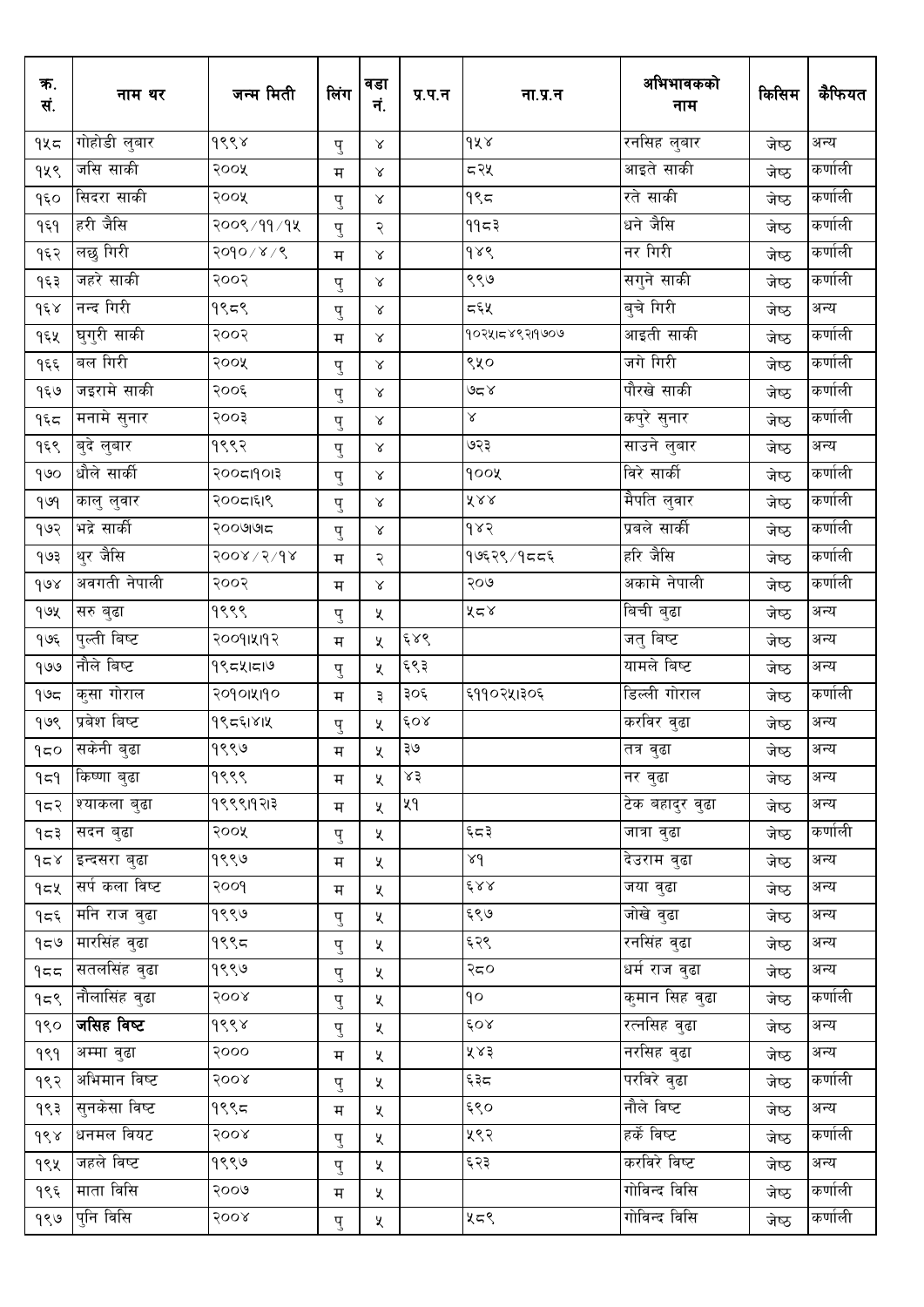| क.<br>सं.           | नाम थर         | जन्म मिती            | लिंग               | वडा<br>नं.            | प्र.प.न | ना.प्र.न                              | अभिभावकको<br>नाम        | किसिम | कैफियत  |
|---------------------|----------------|----------------------|--------------------|-----------------------|---------|---------------------------------------|-------------------------|-------|---------|
| १५८                 | गोहोडी लुबार   | १९९४                 | पु                 | $\propto$             |         | dx                                    | रनसिह लुबार             | जेष्ठ | अन्य    |
| १५९                 | जसि साकी       | २००५                 | म                  | Χ                     |         | ८२५                                   | आइते साकी               | जेष्ठ | कर्णाली |
| १६०                 | सिदरा साकी     | २००५                 | पु                 | $\propto$             |         | $9$ ९८                                | रते साकी                | जेष्ठ | कर्णाली |
| १६१                 | हरी जैसि       | २००९/११/१४           | पु                 | २                     |         | ११८३                                  | धने जैसि                | जेष्ठ | कर्णाली |
| १६२                 | लछु गिरी       | २०१०/४/९             | म                  | $\propto$             |         | $\delta \lambda$                      | नर गिरी                 | जेष्ठ | कर्णाली |
| १६३                 | जहरे साकी      | २००२                 | पु                 | $\propto$             |         | ९९७                                   | सगुने साकी              | जेष्ठ | कर्णाली |
| $d\xi$              | नन्द गिरी      | १९८९                 | पु                 | $\propto$             |         | द६५                                   | बुचे गिरी               | जेष्ठ | अन्य    |
| १६५                 | घुगुरी साकी    | २००२                 | म                  | $\propto$             |         | <u> १०२५।८४९२।१७०७</u>                | आइती साकी               | जेष्ठ | कर्णाली |
| १६६                 | बल गिरी        | २००५                 | पु                 | $\propto$             |         | ९५०                                   | जगे गिरी                | जेष्ठ | कर्णाली |
| १६७                 | जइरामे साकी    | २००६                 | पु                 | $\propto$             |         | ہ≃ی (                                 | पौरखे साकी              | जेष्ठ | कर्णाली |
| 959                 | मनामे सुनार    | २००३                 | पु                 | $\propto$             |         | Ŗ.                                    | कपुरे सुनार             | जेष्ठ | कर्णाली |
| १६९                 | बुदे लुबार     | १९९२                 | पु                 | $\propto$             |         | ७२३                                   | साउने लुबार             | जेष्ठ | अन्य    |
| 900                 | धौले सार्की    | २००८११०१३            | पु                 | $\propto$             |         | goox                                  | विरे सार्की             | जेष्ठ | कर्णाली |
| 909                 | कालु लुवार     | २००८।६१९             | पु                 | $\propto$             |         | $\tilde{\Lambda}$ & $\tilde{\Lambda}$ | मैपति लुवार             | जेष्ठ | कर्णाली |
| १७२                 | भद्रे सार्की   | २००७७ न              | पु                 | $\propto$             |         | 985                                   | प्रबले सार्की           | जेष्ठ | कर्णाली |
| १७३                 | थुर जैसि       | $800$ $\times$ $600$ | म                  | २                     |         | १७६२९ / १८ ८६                         | हरि जैसि                | जेष्ठ | कर्णाली |
| $\delta$            | अवगती नेपाली   | २००२                 | म                  | $\propto$             |         | २०७                                   | अकामे नेपाली            | जेष्ठ | कर्णाली |
| १७५                 | सरु बुढा       | १९९९                 | पु                 | X                     |         | ४८४                                   | बिची बुढा               | जेष्ठ | अन्य    |
| १७६                 | पुल्ती बिष्ट   | २००१।५११२            | म                  | X                     | ६४९     |                                       | जतु बिष्ट               | जेष्ठ | अन्य    |
| १७७                 | नौले बिष्ट     | १९८५।८७              | पु                 | X                     | ६९३     |                                       | यामले बिष्ट             | जेष्ठ | अन्य    |
| ۹७८                 | कुसा गोराल     | २०१०।५११०            | म                  | ३                     | ३०६     | ६११०२५।३०६                            | डिल्ली गोराल            | जेष्ठ | कर्णाली |
| १७९                 | प्रबेश बिष्ट   | १९८६१४१५             | $\hat{\mathbf{d}}$ | χ                     | ६०४     |                                       | करविर वुढा              | जेष्ठ | अन्य    |
| 950                 | सकेनी बुढा     | १९९७                 | म                  | χ                     | ३७      |                                       | तत्र वुढा               | जेष्ठ | अन्य    |
| ۹≂۹                 | किष्णा बुढा    | १९९९                 | म                  | ৼ                     | ४३      |                                       | नर वुढा                 | जेष्ठ | अन्य    |
| १८२                 | श्याकला बुढा   | १९९९।१२।३            | म                  | $\mathbf{\mathsf{X}}$ | ५१      |                                       | टेक बहादुर वुढा         | जेष्ठ | अन्य    |
| ੧≂३                 | सदन बुढा       | २००५                 | पु                 | X.                    |         | ६८३                                   | जात्रा वुढा             | जेष्ठ | कर्णाली |
| $\gamma$ ج $\gamma$ | इन्दसरा बुढा   | १९९७                 | म                  | ৼ                     |         | pr                                    | देउराम वुढा             | जेष्ठ | अन्य    |
| १८५                 | सर्प कला विष्ट | २००१                 | म                  | ৼ                     |         | 688                                   | जया वुढा                | जेष्ठ | अन्य    |
| १८६                 | मनि राज वुढा   | १९९७                 | पु                 | ৼ                     |         | ६९७                                   | जोखे वुढा               | जेष्ठ | अन्य    |
| 959                 | मारसिंह वुढा   | १९९८                 | पु                 | X.                    |         | ६२९                                   | रनसिंह वुढा             | जेष्ठ | अन्य    |
| 959                 | सतलसिंह वुढा   | १९९७                 | पु                 | X                     |         | २८०                                   | धर्म राज वुढा           | जेष्ठ | अन्य    |
| 959                 | नौलासिंह वुढा  | २००४                 | पु                 | X.                    |         | ρρ                                    | क् <b>मान सिह वु</b> ढा | जेष्ठ | कर्णाली |
| १९०                 | जसिह विष्ट     | १९९४                 | पु                 | X                     |         | 60x                                   | रत्नसिह वुढा            | जेष्ठ | अन्य    |
| ۹९۹                 | अम्मा वुढा     | २०००                 | म                  | X                     |         | ५४३                                   | <u>नरसिंह व</u> ुढा     | जेष्ठ | अन्य    |
| १९२                 | अभिमान विष्ट   | २००४                 | पु                 | Κ                     |         | ६३८                                   | परविरे वुढा             | जेष्ठ | कर्णाली |
| १९३                 | सुनकेसा विष्ट  | १९९८                 | म                  | ৼ                     |         | ६९०                                   | नौले विष्ट              | जेष्ठ | अन्य    |
| dsx                 | धनमल वियट      | 8008                 | पु                 | X                     |         | ५९२                                   | हर्के विष्ट             | जेष्ठ | कर्णाली |
| १९५                 | जहले विष्ट     | १९९७                 | पु                 | X.                    |         | ६२३                                   | करविरे विष्ट            | जेष्ठ | अन्य    |
| १९६                 | माता विसि      | २००७                 | म                  | X                     |         |                                       | गोविन्द विसि            | जेष्ठ | कर्णाली |
|                     | १९७ पुनि विसि  | २००४                 | पु                 | ৼ                     |         | ५८९                                   | गोविन्द विसि            | जेष्ठ | कर्णाली |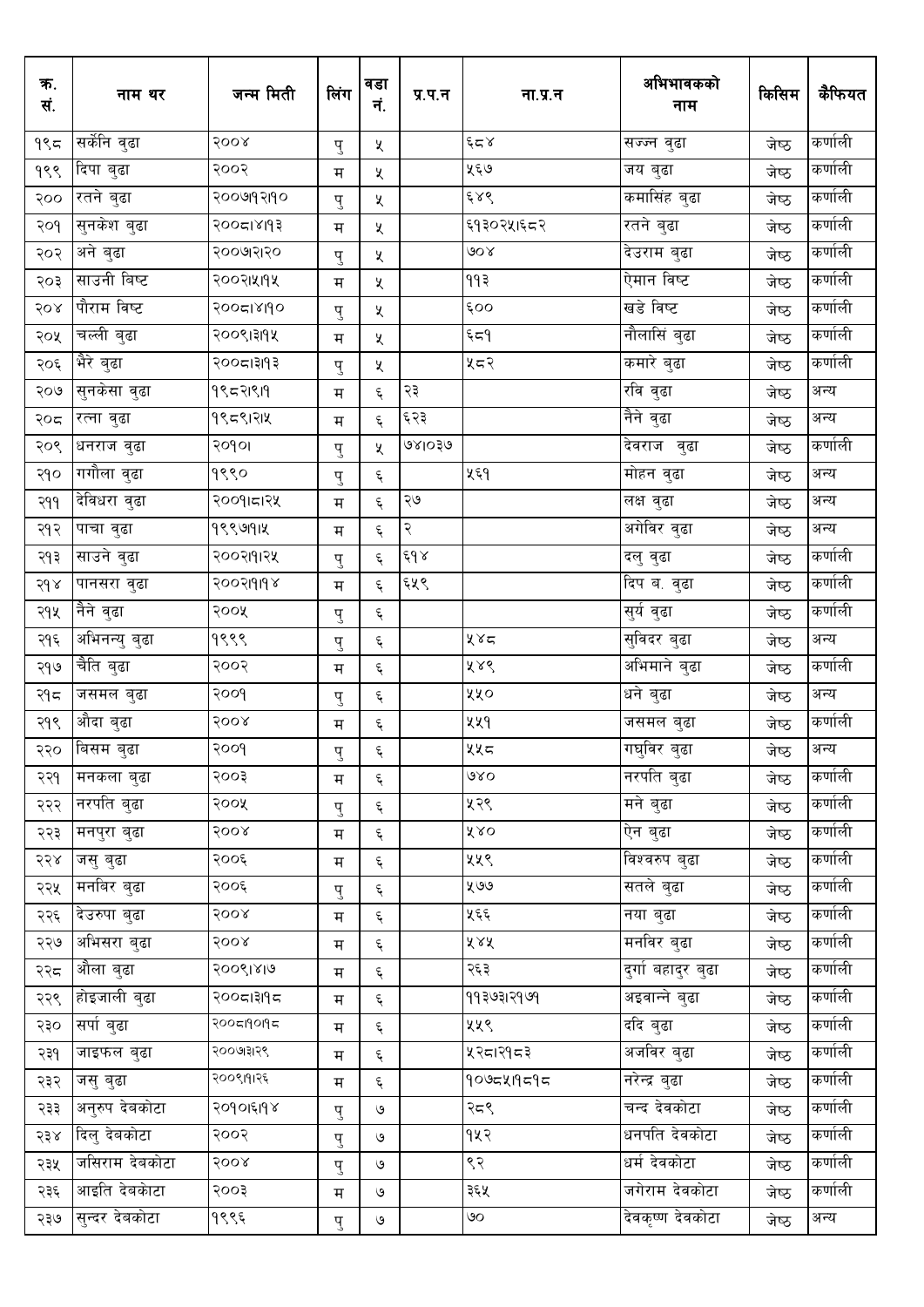| क.<br>सं. | नाम थर                    | जन्म मिती | लिंग   | वडा<br>नं.         | प्र.प.न       | ना.प्र.न   | अभिभावकको<br>नाम   | किसिम | कैफियत  |
|-----------|---------------------------|-----------|--------|--------------------|---------------|------------|--------------------|-------|---------|
| १९८       | सर्केनि वुढा              | २००४      | पु     | X                  |               | وْد ۾      | सज्ज्न वुढा        | जेष्ठ | कर्णाली |
| १९९       | दिपा बुढा                 | २००२      | म      | χ                  |               | ५६७        | जय बुढा            | जेष्ठ | कर्णाली |
| २००       | रतने बुढा                 | २००७१२११० | पु     | X                  |               | ६४९        | कमासिंह बुढा       | जेष्ठ | कर्णाली |
| २०१       | <sub>।</sub> सुनकेश बुढा  | २००८१४११३ | म      | Χ                  |               | ६१३०२५।६८२ | रतने बुढा          | जेष्ठ | कर्णाली |
| २०२       | अने बुढा                  | २००७२१२०  | पु     | X                  |               | ७०४        | देउराम बुढा        | जेष्ठ | कर्णाली |
| २०३       | साउनी बिष्ट               | २००२।५११५ | म      | Χ                  |               | ११३        | ऐमान विष्ट         | जेष्ठ | कर्णाली |
| २०४       | पौराम विष्ट               | 200518190 | पु     | X                  |               | ६००        | खडे विष्ट          | जेष्ठ | कर्णाली |
| २०५       | चल्ली बुढा                | २००९।३११५ | म      | Κ                  |               | ξ≂۹        | नौलासिं बुढा       | जेष्ठ | कर्णाली |
| २०६       | भैरे बुढा                 | २००८।३११३ | पु     | X                  |               | ५८२        | कमारे बुढा         | जेष्ठ | कर्णाली |
| २०७       | सुनकेसा वुढा              | 9९८२1९19  | म      | ६                  | २३            |            | रवि वुढा           | जेष्ठ | अन्य    |
| २०८       | रत्ना वुढा                | १९८९1२1५  | म      | ६                  | ६२३           |            | नैने वुढा          | जेष्ठ | अन्य    |
| २०९       | धनराज वुढा                | २०१०।     | पु     | χ                  | ७४।०३७        |            | देवराज वुढा        | जेष्ठ | कर्णाली |
| २१०       | गगौला वुढा                | १९९०      | पु     | ६                  |               | ५६१        | मोहन वुढा          | जेष्ठ | अन्य    |
| २११       | देविधरा वुढा              | २००१।८११  | म      | ६                  | २७            |            | लक्ष बुढा          | जेष्ठ | अन्य    |
| २१२       | पाचा वुढा                 | १९९७११५   | म      | ६                  | $\mathcal{S}$ |            | अगेविर वुढा        | जेष्ठ | अन्य    |
| २१३       | साउने वुढा                | २००२१११२५ | पु     | ६                  | 648           |            | दलु वुढा           | जेष्ठ | कर्णाली |
| २१४       | पानसरा वुढा               | २००२१११९४ | म      | ६                  | ६५९           |            | दिप ब. वुढा        | जेष्ठ | कर्णाली |
| २१५       | नैने वुढा                 | २००५      | पु     | ६                  |               |            | सुर्य वुढा         | जेष्ठ | कर्णाली |
| २१६       | अभिनन्यु बुढा             | १९९९      | पु     | ६                  |               | ५४८        | सुविदर बुढा        | जेष्ठ | अन्य    |
| २१७       | चैति बुढा                 | २००२      | म      | ६                  |               | ४४९        | अभिमाने बुढा       | जेष्ठ | कर्णाली |
| २१८       | जसमल बुढा                 | २००१      | पु     | ६                  |               | ४४०        | धने बुढा           | जेष्ठ | अन्य    |
| २१९       | औदा बुढा                  | २००४      | म      | ६                  |               | ५५१        | जसमल बुढा          | जेष्ठ | कर्णाली |
| २२०       | बिसम बुढा                 | २००१      | प<br>ٺ | ٤,                 |               | ५५८        | गघ्विर ब्ढा        | जेष्ठ | अन्य    |
| २२१       | मनकला बुढा                | २००३      | म      | ६                  |               | QXQ        | .<br>नरपति बुढा    | जेष्ठ | कर्णाली |
| २२२       | नरपति बुढा                | २००५      | पु     | ६                  |               | ५२९        | मने बुढा           | जेष्ठ | कर्णाली |
| २२३       | मनपुरा बुढा               | २००४      | म      | $\boldsymbol{\xi}$ |               | X X O      | ऐन बुढा            | जेष्ठ | कर्णाली |
| २२४       | जसु बुढा                  | २००६      | म      | $\boldsymbol{\xi}$ |               | ५५९        | विश्वरुप बुढा      | जेष्ठ | कर्णाली |
| २२५       | मनबिर बुढा                | २००६      | पु     | Ę                  |               | ५७७        | सतले बुढा          | जेष्ठ | कर्णाली |
| २२६       | <sub>।</sub> देउरुपा बुढा | २००४      | म      | $\boldsymbol{\xi}$ |               | ५६६        | नया बुढा           | जेष्ठ | कर्णाली |
| २२७       | अभिसरा बुढा               | २००४      | म      | ६                  |               | ४४४        | मनविर बुढा         | जेष्ठ | कर्णाली |
| २२८       | औला बुढा                  | २००९।४।७  | म      | ६                  |               | २६३        | दुर्गा बहादुर बुढा | जेष्ठ | कर्णाली |
| २२९       | होइजाली बुढा              | २००८।३११८ | म      | ६                  |               | ११३७३।२१७१ | अइवान्ने बुढा      | जेष्ठ | कर्णाली |
| २३०       | सर्पा बुढा                | २००८।१०१८ | म      | ६                  |               | ५५९        | ददि बुढा           | जेष्ठ | कर्णाली |
| २३१       | जाइफल बुढा                | २००७।३१९९ | म      | ६                  |               | ५२८1२१८३   | अजविर बुढा         | जेष्ठ | कर्णाली |
| २३२       | जसु बुढा                  | २००९।१।२६ | म      | $\boldsymbol{\xi}$ |               | १०७८५।१८१८ | नरेन्द्र बुढा      | जेष्ठ | कर्णाली |
| २३३       | अनुरुप देबकोटा            | २०१०।६११४ | पु     | ও                  |               | २८९        | चन्द देवकोटा       | जेष्ठ | कर्णाली |
| २३४       | दिल् देवकोटा              | २००२      | पु     | ও                  |               | १५२        | धनपति देवकोटा      | जेष्ठ | कर्णाली |
| २३५       | जसिराम देबकोटा            | २००४      | पु     | ও                  |               | ९२         | धर्म देवकोटा       | जेष्ठ | कर्णाली |
| २३६       | आइति देबकाटा              | २००३      | म      | $\circ$            |               | ३६५        | जगेराम देवकोटा     | जेष्ठ | कर्णाली |
| २३७       | सुन्दर देबकोटा            | १९९६      | पु     | $\mathcal{O}$      |               | ७०         | देवकृष्ण देवकोटा   | जेष्ठ | अन्य    |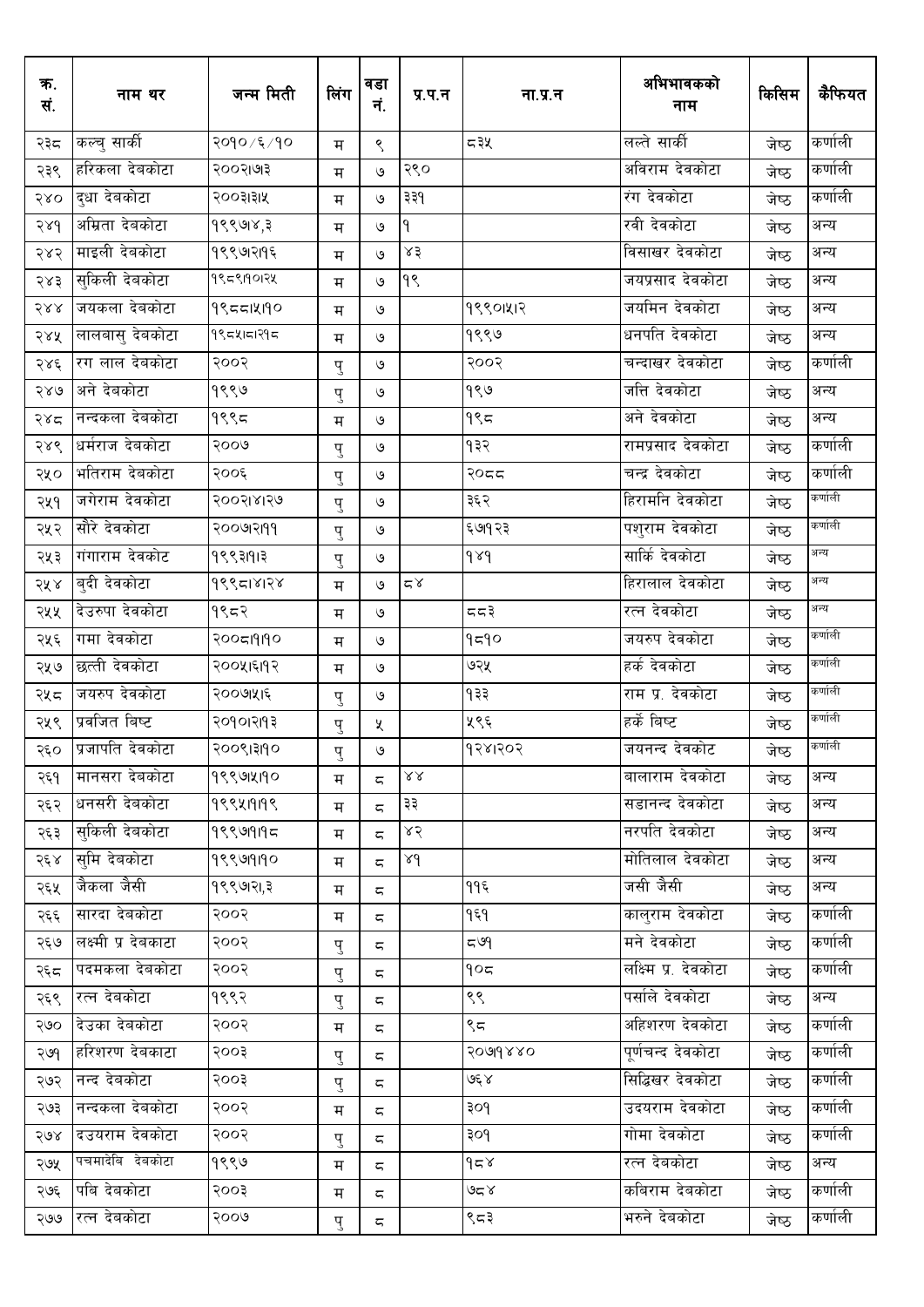| क.<br>सं. | नाम थर              | जन्म मिती   | लिंग | वडा<br>नं.    | प्र.प.न           | ना.प्र.न         | अभिभावकको<br>नाम     | किसिम | कैफियत  |
|-----------|---------------------|-------------|------|---------------|-------------------|------------------|----------------------|-------|---------|
| २३८       | कल्चु सार्की        | २०१० /६ /१० | म    | ९             |                   | ८३५              | लल्ते सार्की         | जेष्ठ | कर्णाली |
| २३९       | हरिकला देवकोटा      | २००२।७१३    | म    | ৩             | २९०               |                  | अविराम देवकोटा       | जेष्ठ | कर्णाली |
| २४०       | दुधा देबकोटा        | २००३।३।५    | म    | ৩             | ३३१               |                  | रंग देवकोटा          | जेष्ठ | कर्णाली |
| २४१       | अम्रिता देवकोटा     | १९९७१४,३    | म    | ৩             | ۹                 |                  | रवी देवकोटा          | जेष्ठ | अन्य    |
| २४२       | माइली देवकोटा       | १९९७१२१९६   | म    | ৩             | ٩ź                |                  | विसाखर देवकोटा       | जेष्ठ | अन्य    |
| २४३       | सुकिली देबकोटा      | १९८९1901२५  | म    | ৩             | 99                |                  | जयप्रसाद देवकोटा     | जेष्ठ | अन्य    |
| $588$     | जयकला देबकोटा       | 995514190   | म    | ৩             |                   | १९९०।५।२         | जयमिन देवकोटा        | जेष्ठ | अन्य    |
| २४५       | लालबासु देबकोटा     | १९८५।८१९८   | म    | $\mathcal{Q}$ |                   | १९९७             | धनपति देवकोटा        | जेष्ठ | अन्य    |
| २४६       | रग लाल देबकोटा      | २००२        | पु   | $\mathcal{Q}$ |                   | २००२             | चन्दाखर देवकोटा      | जेष्ठ | कर्णाली |
| २४७       | अने देवकोटा         | १९९७        | पु   | $\mathcal{Q}$ |                   | १९७              | जत्ति देवकोटा        | जेष्ठ | अन्य    |
| २४८       | नन्दकला देबकोटा     | १९९८        | म    | $\mathcal{Q}$ |                   | १९८              | अने देवकोटा          | जेष्ठ | अन्य    |
| २४९       | धर्मराज देबकोटा     | २००७        | पु   | $\mathcal{Q}$ |                   | १३२              | रामप्रसाद देवकोटा    | जेष्ठ | कर्णाली |
| २५०       | भतिराम देबकोटा      | २००६        | पु   | $\mathcal{Q}$ |                   | २०८८             | चन्द्र देवकोटा       | जेष्ठ | कर्णाली |
| २५१       | जगेराम देवकोटा      | २००२।४।२७   | पु   | $\mathcal{Q}$ |                   | ३६२              | हिरामनि देवकोटा      | जेष्ठ | कर्णाली |
| २५२       | सौरे देवकोटा        | २००७११११    | पु   | ও             |                   | ६७१२३            | पशुराम देवकोटा       | जेष्ठ | कर्णाली |
| २५३       | गंगाराम देवकोट      | 99931913    | पु   | $\mathcal{O}$ |                   | $\delta \lambda$ | सार्कि देवकोटा       | जेष्ठ | अन्य    |
| २५४       | बुदी देवकोटा        | १९९८1४1२४   | म    | ৩             | $\simeq$ $\times$ |                  | हिरालाल देवकोटा      | जेष्ठ | अन्य    |
| २५५       | देउरुपा देवकोटा     | १९८२        | म    | $\mathcal{Q}$ |                   | د د غ            | रत्न देवकोटा         | जेष्ठ | अन्य    |
| २५६       | गमा देवकोटा         | २००८१११०    | म    | $\mathcal{Q}$ |                   | 9590             | जयरुप देवकोटा        | जेष्ठ | कर्णाली |
| २५७       | छत्ती देवकोटा       | २००५१६११२   | म    | $\mathcal{Q}$ |                   | ७२५              | हर्क देवकोटा         | जेष्ठ | कर्णाली |
| २५८       | जयरुप देवकोटा       | २००७११६     | पु   | $\mathcal{Q}$ |                   | १३३              | राम प्र. देवकोटा     | जेष्ठ | कर्णाली |
| २५९       | प्रवजित बिष्ट       | २०१०१२११३   | पु   | X             |                   | ५९६              | हर्के बिष्ट          | जेष्ठ | कर्णाली |
| २६०       | प्रजापति देवकोटा    | २००९।३११०   | पु   | ও             |                   | १२४।२०२          | जयनन्द देवकोट        | जेष्ठ | कर्णाली |
| २६१       | मानसरा देबकोटा      | १९९७1४190   | म    | ς             | $\lambda\lambda$  |                  | बालाराम देवकोटा      | जेष्ठ | अन्य    |
| २६२       | धनसरी देबकोटा       | 999419199   | म    | ς             | ३३                |                  | सडानन्द देवकोटा      | जेष्ठ | अन्य    |
| २६३       | सकिली देवकोटा       | 9999195     | म    | ς             | ४२                |                  | नरपति देवकोटा        | जेष्ठ | अन्य    |
| २६४       | समि देवकोटा         | १९९७19190   | म    | ς             | λd                |                  | मोतिलाल देवकोटा      | जेष्ठ | अन्य    |
| २६५       | जैकला जैसी          | १९९७।२।,३   | म    | ζ             |                   | ११६              | जसी जैसी             | जेष्ठ | अन्य    |
| २६६       | सारदा देबकोटा       | २००२        | म    | ζ             |                   | १६१              | कालुराम देवकोटा      | जेष्ठ | कर्णाली |
| २६७       | लक्ष्मी प्र देबकाटा | २००२        | पु   | ζ             |                   | ≂ ৩৭             | मने देवकोटा          | जेष्ठ | कर्णाली |
| २६८       | पदमकला देबकोटा      | २००२        | पु   | ζ             |                   | 905              | लक्ष्मि प्र. देवकोटा | जेष्ठ | कर्णाली |
| २६९       | रत्न देबकोटा        | १९९२        | पु   | ς             |                   | ९९               | पर्साले देवकोटा      | जेष्ठ | अन्य    |
| २७०       | देउका देवकोटा       | २००२        | म    | ς             |                   | ९८               | अहिशरण देवकोटा       | जेष्ठ | कर्णाली |
| २७१       | हरिशरण देवकाटा      | २००३        | पु   | 5             |                   | २०७१४४०          | पूर्णचन्द देवकोटा    | जेष्ठ | कर्णाली |
| २७२       | नन्द देवकोटा        | २००३        | पु   | ζ             |                   | کا مجی           | सिद्धिखर देवकोटा     | जेष्ठ | कर्णाली |
| २७३       | नन्दकला देवकोटा     | २००२        | म    | ζ             |                   | २०१              | उदयराम देवकोटा       | जेष्ठ | कर्णाली |
| २७४       | दउयराम देवकोटा      | २००२        | पु   | ζ             |                   | ३०१              | गोमा देवकोटा         | जेष्ठ | कर्णाली |
| २७५       | पचमादेबि देबकोटा    | १९९७        | म    | ς             |                   | 958              | रत्न देवकोटा         | जेष्ठ | अन्य    |
| २७६       | पबि देबकोटा         | २००३        | म    | ζ             |                   | کا شک            | कबिराम देबकोटा       | जेष्ठ | कर्णाली |
| २७७       | रत्न देबकोटा        | २००७        | पु   | ς             |                   | ९८३              | भरुने देबकोटा        | जेष्ठ | कर्णाली |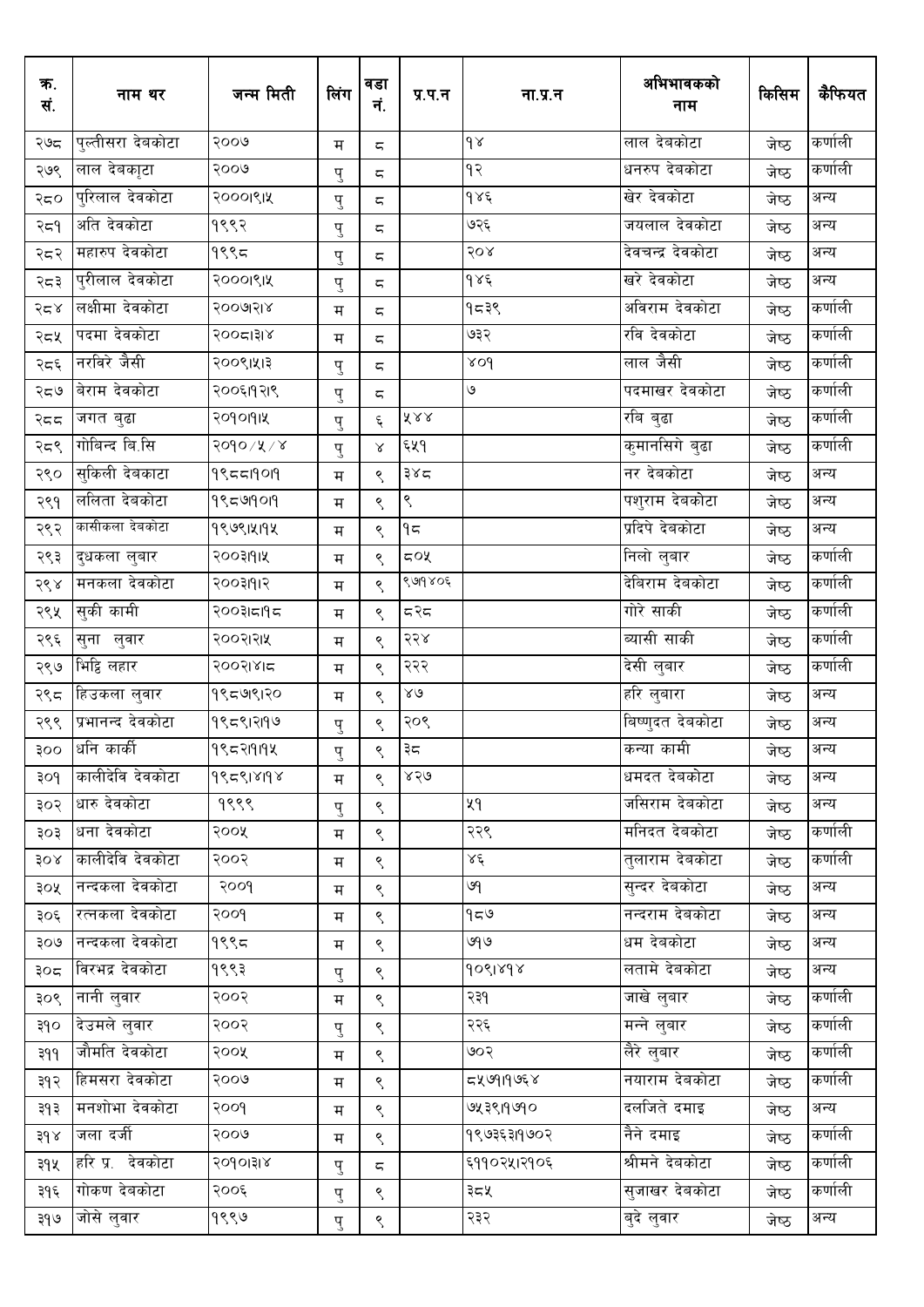| क.<br>सं. | नाम थर             | जन्म मिती  | लिंग | वडा<br>नं.               | प्र.प.न               | ना.प्र.न            | अभिभावकको<br>नाम        | किसिम | कैफियत  |
|-----------|--------------------|------------|------|--------------------------|-----------------------|---------------------|-------------------------|-------|---------|
| २७द       | पुल्तीसरा देबकोटा  | २००७       | म    | ς                        |                       | $\delta$            | लाल देवकोटा             | जेष्ठ | कर्णाली |
| २७९       | .<br>लाल देबकाृटा  | २००७       | पु   | $\overline{\phantom{m}}$ |                       | ۹२                  | धनरुप देवकोटा           | जेष्ठ | कर्णाली |
| २द०       | पुरिलाल देवकोटा    | २०००११५    | पु   | $\overline{\phantom{m}}$ |                       | $d\lambda \epsilon$ | खेर देवकोटा             | जेष्ठ | अन्य    |
| २द9       | अति देवकोटा        | १९९२       | पु   | ς                        |                       | ७२६                 | जयलाल देवकोटा           | जेष्ठ | अन्य    |
| २८२       | महारुप देवकोटा     | १९९८       | पु   | $\overline{\phantom{m}}$ |                       | २०४                 | देवचन्द्र देवकोटा       | जेष्ठ | अन्य    |
| २८३       | पुरीलाल देवकोटा    | २०००११५    | पु   | ς                        |                       | 986                 | खरे देवकोटा             | जेष्ठ | अन्य    |
| २८४       | लक्षीमा देवकोटा    | २००७२१४    | म    | 5                        |                       | १८३९                | अविराम देवकोटा          | जेष्ठ | कर्णाली |
| २८५       | पदमा देवकोटा       | २००८।३१४   | म    | $\overline{\phantom{m}}$ |                       | ७३२                 | रवि देवकोटा             | जेष्ठ | कर्णाली |
| २८६       | नरविरे जैसी        | २००९।५१३   | पु   | $\overline{\phantom{m}}$ |                       | 804                 | लाल जैसी                | जेष्ठ | कर्णाली |
| २८७       | बेराम देवकोटा      | २००६११२१९  | पु   | ς                        |                       | ٯ                   | पदमाखर देवकोटा          | जेष्ठ | कर्णाली |
| २दद       | जगत बुढा           | २०१०११५    | पु   | ६                        | $\tilde{\Lambda}$ & & |                     | रबि बुढा                | जेष्ठ | कर्णाली |
| २८९       | गोबिन्द बि.सि      | २०१०/५/४   | पु   | $\propto$                | ६५१                   |                     | कुमानसिगे बुढा          | जेष्ठ | कर्णाली |
| २९०       | सकिली देवकाटा      | 995519019  | म    | ९                        | ३४८                   |                     | नर देबकोटा              | जेष्ठ | अन्य    |
| २९१       | ललिता देवकोटा      | 99599019   | म    | $\varsigma$              | ९                     |                     | पशुराम देवकोटा          | जेष्ठ | अन्य    |
| २९२       | कासीकला देवकोटा    | 9९७९1५19५  | म    | $\varsigma$              | ۹ς                    |                     | प्रदिपे देवकोटा         | जेष्ठ | अन्य    |
| २९३       | दुधकला लुबार       | २००३११।५   | म    | ९                        | ८०४                   |                     | निलो लुबार              | जेष्ठ | कर्णाली |
| २९४       | मनकला देवकोटा      | २००३१११२   | म    | ९                        | ९७१४०६                |                     | देबिराम देबकोटा         | जेष्ठ | कर्णाली |
| २९५       | सुकी कामी          | २००३।८१९८  | म    | ९                        | द२द                   |                     | गोरे साकी               | जेष्ठ | कर्णाली |
| २९६       | सुना लुवार         | २००२।२।५   | म    | $\varsigma$              | २२४                   |                     | व्यासी साकी             | जेष्ठ | कर्णाली |
| २९७       | भिट्ठि लहार        | २००२।४।८   | म    | ९                        | २२२                   |                     | देसी लुबार              | जेष्ठ | कर्णाली |
| २९८       | हिउकला लुवार       | १९८७९ २०   | म    | ९                        | ४७                    |                     | <sub>।</sub> हरि लुबारा | जेष्ठ | अन्य    |
| २९९       | प्रभानन्द देवकोटा  | १९८९।२११७  | पु   | $\varsigma$              | २०९                   |                     | बिष्णुदत देबकोटा        | जेष्ठ | अन्य    |
| २००       | धनि काकी           | १९८२1919 4 | पु   | $\mathord{\mathsf{S}}$   | ३८                    |                     | कन्या कामी              | जेष्ठ | अन्य    |
| ३०१       | कालीदेवि देवकोटा   | 995918198  | म    | ९                        | ४२७                   |                     | धमदत देबकोटा            | जेष्ठ | अन्य    |
| ३०२       | धारु देवकोटा       | १९९९       | पु   | ९                        |                       | ५१                  | जसिराम देबकोटा          | जेष्ठ | अन्य    |
| ३०३       | धना देवकोटा        | २००५       | म    | ९                        |                       | २२९                 | मनिदत देबकोटा           | जेष्ठ | कर्णाली |
| 30x       | कालीदेवि देवकोटा   | २००२       | म    | ९                        |                       | Χέ                  | त्लाराम देवकोटा         | जेष्ठ | कर्णाली |
| ३०५       | नन्दकला देवकोटा    | poog       | म    | ९                        |                       | ७१                  | सन्दर देवकोटा           | जेष्ठ | अन्य    |
| ३०६       | रत्नकला देवकोटा    | २००१       | म    | ९                        |                       | $e \approx$         | नन्दराम देवकोटा         | जेष्ठ | अन्य    |
| ९०७       | नन्दकला देवकोटा    | 9995       | म    | ९                        |                       | ७१७                 | धम देवकोटा              | जेष्ठ | अन्य    |
| ३०द्र     | विरभद्र देवकोटा    | १९९३       | पु   | ९                        |                       | 9091898             | लतामे देवकोटा           | जेष्ठ | अन्य    |
| ३०९       | <u>ना</u> नी लुवार | २००२       | म    | ९                        |                       | २३१                 | जाखे लुबार              | जेष्ठ | कर्णाली |
| ३१०       | देउमले लुवार       | २००२       | पु   | ९                        |                       | २२६                 | मन्ने लुबार             | जेष्ठ | कर्णाली |
| ३११       | जौर्मात देवकोटा    | २००५       | म    | ९                        |                       | ७०२                 | लेरे लुबार              | जेष्ठ | कर्णाली |
| ३१२       | हिमसरा देवकोटा     | २००७       | म    | ९                        |                       | ८३७१।१७६४           | नयाराम देबकोटा          | जेष्ठ | कर्णाली |
| ३१३       | मनशोभा देवकोटा     | २००१       | म    | ९                        |                       | ७५३९।१७१०           | दलजिते दमाइ             | जेष्ठ | अन्य    |
| 89x       | जला दर्जी          | २००७       | म    | ९                        |                       | १९७३६३११७०२         | नैने दमाइ               | जेष्ठ | कर्णाली |
| ३१५       | हरि प्र. देवकोटा   | २०१०।३।४   | पु   | $\overline{\phantom{m}}$ |                       | ६११०२५।२१०६         | श्रीमने देवकोटा         | जेष्ठ | कर्णाली |
| ३१६       | गोकण देवकोटा       | २००६       | पु   | ९                        |                       | ३८५                 | सुजाखर देवकोटा          | जेष्ठ | कर्णाली |
| २१७       | जोसे लुवार         | १९९७       | पु   | ९                        |                       | २३२                 | बुदे लुवार              | जेष्ठ | अन्य    |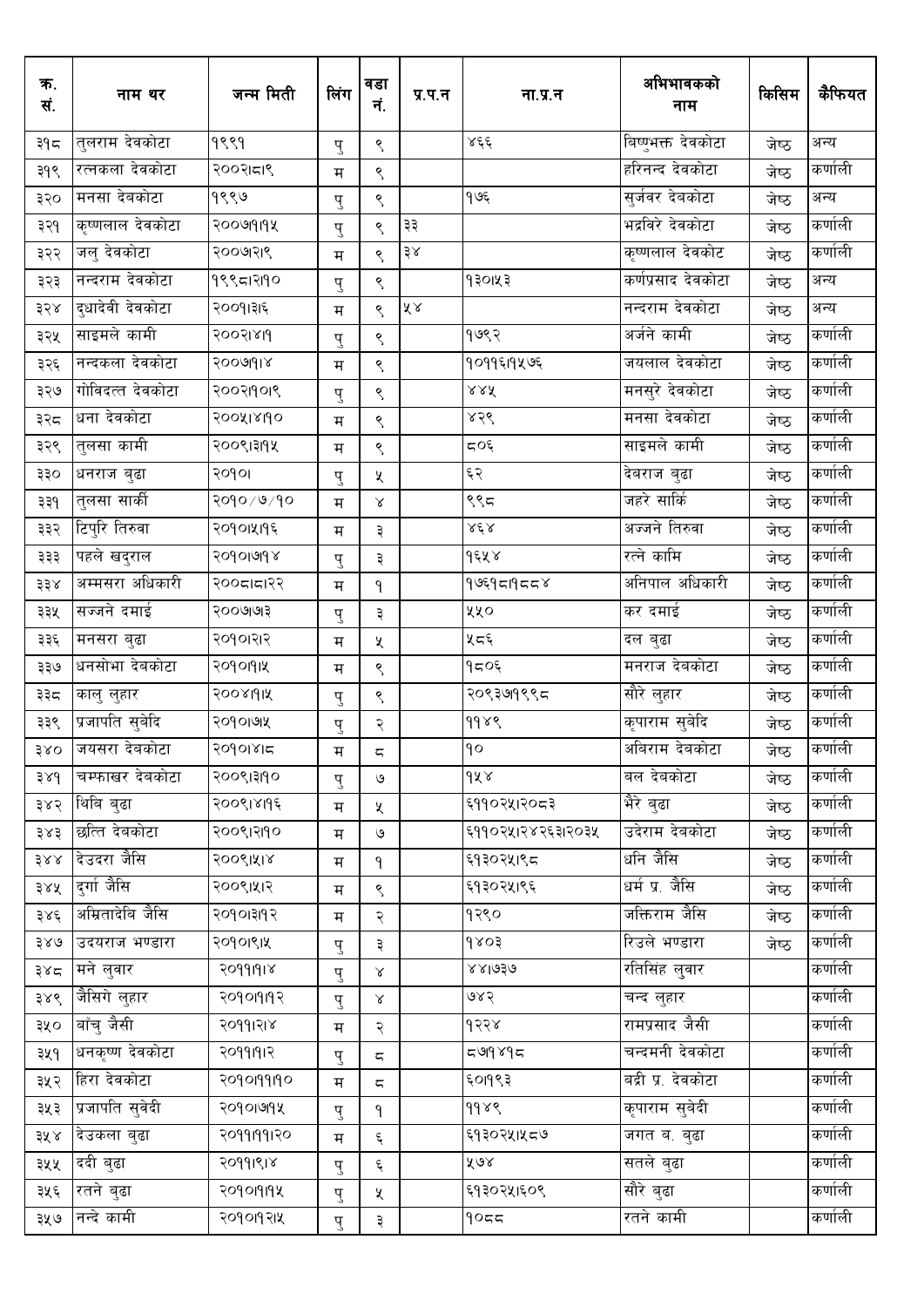| क.<br>सं. | नाम थर              | जन्म मिती      | लिंग | वडा<br>नं.             | प्र.प.न                     | ना.प्र.न              | अभिभावकको<br>नाम   | किसिम | कैफियत  |
|-----------|---------------------|----------------|------|------------------------|-----------------------------|-----------------------|--------------------|-------|---------|
| ३१८       | तुलराम देवकोटा      | १९९१           | पु   | ९                      |                             | ४६६                   | बिष्णुभक्त देवकोटा | जेष्ठ | अन्य    |
| ३१९       | रत्नकला देवकोटा     | २००२।८ा९       | म    | ९                      |                             |                       | हरिनन्द देवकोटा    | जेष्ठ | कर्णाली |
| ३२०       | मनसा देबकोटा        | १९९७           | पु   | ९                      |                             | १७६                   | सुर्जवर देबकोटा    | जेष्ठ | अन्य    |
| ३२१       | कृष्णलाल देवकोटा    | २००७१११४       | पु   | ९                      | ३३                          |                       | भद्रविरे देवकोटा   | जेष्ठ | कर्णाली |
| ३२२       | जलु देवकोटा         | २००७११९        | म    | ९                      | $\frac{1}{2}\lambda$        |                       | कृष्णलाल देवकोट    | जेष्ठ | कर्णाली |
| ३२३       | नन्दराम देवकोटा     | १९९८1२190      | पु   | ९                      |                             | १३०१५३                | कर्णप्रसाद देवकोटा | जेष्ठ | अन्य    |
| ३२४       | दुधादेवी देवकोटा    | २००१।३१६       | म    | ९                      | $\tilde{\lambda}$ $\lambda$ |                       | नन्दराम देवकोटा    | जेष्ठ | अन्य    |
| ३२५       | साइमले कामी         | २००२।४११       | पु   | $\mathord{\mathsf{S}}$ |                             | १७९२                  | अर्जने कामी        | जेष्ठ | कर्णाली |
| ३२६       | नन्दकला देवकोटा     | <b>SOOPIAL</b> | म    | ९                      |                             | १०११६११५७६            | जयलाल देवकोटा      | जेष्ठ | कर्णाली |
| ३२७       | गोविदत्त देवकोटा    | २००२११०१९      | पु   | $\mathord{\mathsf{S}}$ |                             | $\times\times\Lambda$ | मनसुरे देवकोटा     | जेष्ठ | कर्णाली |
| ३२८       | धना देवकोटा         | २००५१४११०      | म    | ९                      |                             | ४२९                   | मनसा देवकोटा       | जेष्ठ | कर्णाली |
| ३२९       | तुलसा कामी          | २००९।३११५      | म    | ९                      |                             | ८०६                   | साइमले कामी        | जेष्ठ | कर्णाली |
| ३३०       | धनराज बुढा          | २०१०।          | पु   | X                      |                             | ६२                    | देबराज बुढा        | जेष्ठ | कर्णाली |
| ३३१       | तुलसा सार्की        | २०१०/७/१०      | म    | $\propto$              |                             | ९९८                   | जहरे सार्कि        | जेष्ठ | कर्णाली |
| ३३२       | टिपुरि तिरुवा       | २०१०।५११६      | म    | ३                      |                             | ४६४                   | अज्जने तिरुवा      | जेष्ठ | कर्णाली |
| ३३३       | पहले खदुराल         | २०१०।७१४       | पु   | ३                      |                             | १६५४                  | रत्ने कामि         | जेष्ठ | कर्णाली |
| ३३४       | अम्मसरा अधिकारी     | २००८।८१२       | म    | ۹                      |                             | १७६१८।१८८४            | अनिपाल अधिकारी     | जेष्ठ | कर्णाली |
| ३३५       | सज्जने दमाई         | २००७७१३        | पु   | ३                      |                             | ४५०                   | कर दमाई            | जेष्ठ | कर्णाली |
| ३३६       | मनसरा बुढा          | २०१०।२।२       | म    | X                      |                             | ५८६                   | दल बुढा            | जेष्ठ | कर्णाली |
| ३३७       | धनसोभा देबकोटा      | २०१०११।५       | म    | ९                      |                             | १८०६                  | मनराज देवकोटा      | जेष्ठ | कर्णाली |
| ३३८       | कालु लुहार          | २००४१११५       | पु   | ९                      |                             | २०९३७१९९८             | सौरे लुहार         | जेष्ठ | कर्णाली |
| ३३९       | प्रजापति सुबेदि     | २०१०।७५        | पु   | २                      |                             | 9989                  | कृपाराम सुबेदि     | जेष्ठ | कर्णाली |
| ३४०       | जयसरा देबकोटा       | २०१०।४।८       | म    | $\subset$              |                             | ٩o                    | अबिराम देबकोटा     | जेष्ठ | कर्णाली |
| 38d       | चम्फाखर देबकोटा     | २००९।३११०      | पु   | ও                      |                             | १५४                   | बल देबकोटा         | जेष्ठ | कर्णाली |
| ३४२       | थिबि बुढा           | २००९।४११६      | म    | X                      |                             | ६११०२५।२०८३           | भैरे बुढा          | जेष्ठ | कर्णाली |
| ३४३       | छत्ति देवकोटा       | २००९।२११०      | म    | ও                      |                             | ६११०२५।२४२६३।२०३५     | उदेराम देवकोटा     | जेष्ठ | कर्णाली |
| 388       | देउदरा जैसि         | २००९।५१४       | म    | $\mathsf{P}$           |                             | ६१३०२५।९८             | धनि जैसि           | जेष्ठ | कर्णाली |
| ३४५       | दर्गा जैसि          | २००९।५१२       | म    | ९                      |                             | ६१३०२५१९६             | धर्म प्र. जैसि     | जेष्ठ | कर्णाली |
| ३४६       | अम्रितादेबि जैसि    | २०१०।३११२      | म    | २                      |                             | १२९०                  | जक्तिराम जैसि      | जेष्ठ | कर्णाली |
| ३४७       | उदयराज भण्डारा      | २०१०।९।५       | पु   | ३                      |                             | 5089                  | रिउले भण्डारा      | जेष्ठ | कर्णाली |
| ३४८       | मने लुवार           | २०११।१।४       | पु   | $\propto$              |                             | ४४।७३७                | रतिसिंह लुवार      |       | कर्णाली |
| ३४९       | <u>जैसिगे</u> लुहार | २०१०१११२       | पु   | Χ                      |                             | ७४२                   | चन्द लुहार         |       | कर्णाली |
| ३५०       | बाँचु जैसी          | २०११।२।४       | म    | २                      |                             | १२२४                  | रामप्रसाद जैसी     |       | कर्णाली |
| ३५१       | धनकृष्ण देवकोटा     | २०११।१।२       | पु   | $\overline{\varsigma}$ |                             | 568662                | चन्दमनी देवकोटा    |       | कर्णाली |
| ३५२       | हिरा देवकोटा        | २०१०११११०      | म    | $\overline{\varsigma}$ |                             | ६०१९३                 | बद्री प्र. देवकोटा |       | कर्णाली |
| ३५३       | प्रजापति सुवेदी     | २०१०।७१५       | पु   | ٩                      |                             | 9989                  | कृपाराम सुबेदी     |       | कर्णाली |
| ३५ ४      | देउकला बुढा         | २०११।११।२०     | म    | $\boldsymbol{\xi}$     |                             | ६१३०२५।५८७            | जगत ब. बुढा        |       | कर्णाली |
| ३५५       | ददी बुढा            | २०११।९।४       | पु   | $\boldsymbol{\xi}$     |                             | ४७४                   | सतले बुढा          |       | कर्णाली |
| ३५६       | रतने बुढा           | २०१०१११४       | पु   | X                      |                             | ६१३०२५।६०९            | सौरे बुढा          |       | कर्णाली |
| ३५७       | नन्दे कामी          | २०१०१२१४       | पु   | ३                      |                             | ۹οςς                  | रतने कामी          |       | कर्णाली |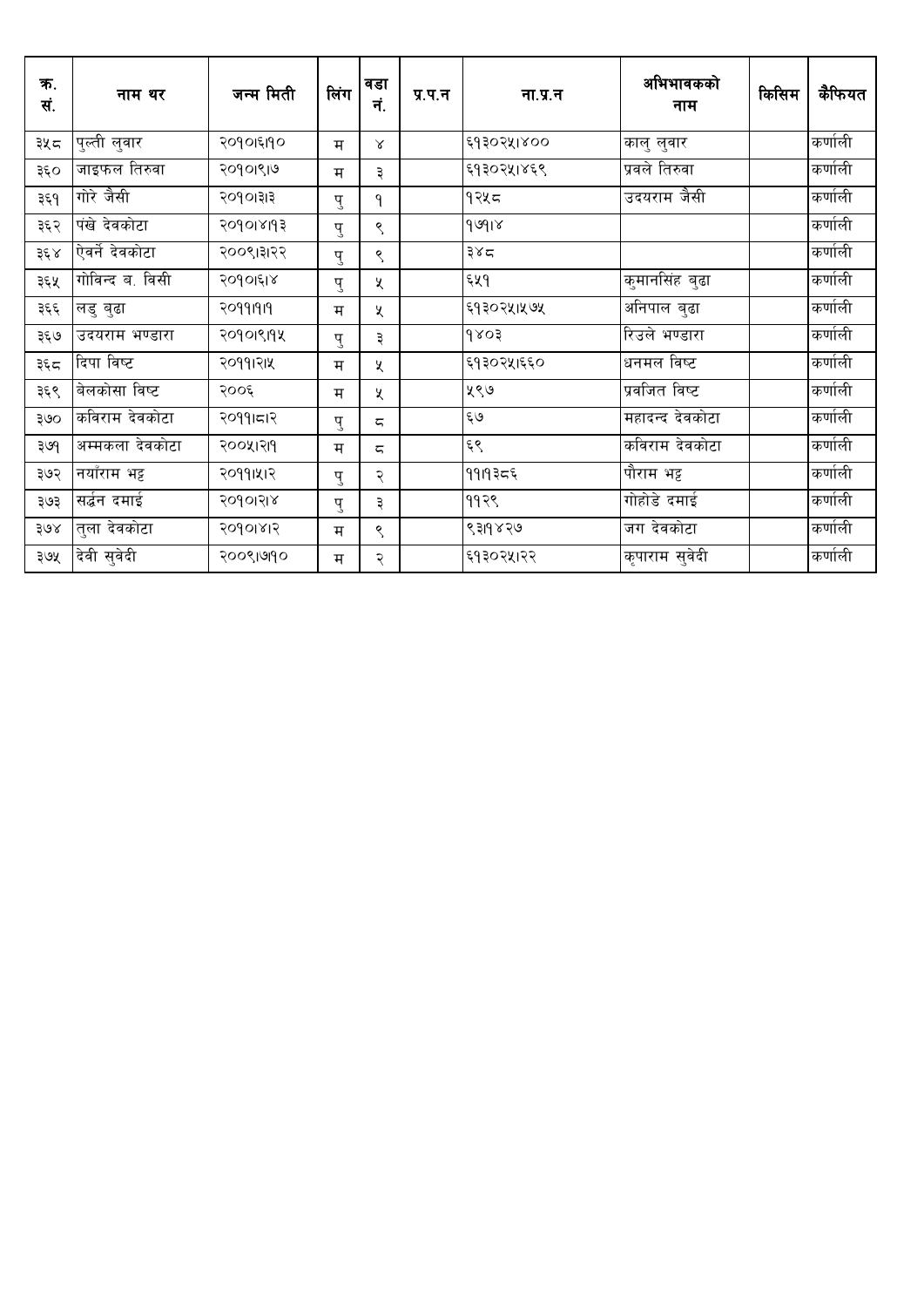| क.<br>सं. | नाम थर          | जन्म मिती | लिंग | वडा<br>नं. | प्र.प.न | ना.प्र.न   | अभिभावकको<br>नाम | किसिम | कैफियत  |
|-----------|-----------------|-----------|------|------------|---------|------------|------------------|-------|---------|
| ३५८       | पुल्ती लुवार    | २०१०१६११० | म    | Χ          |         | ६१३०२५१४०० | कालु लुवार       |       | कर्णाली |
| ३६०       | जाइफल तिरुवा    | २०१०।९।७  | म    | ३          |         | ६१३०२५।४६९ | प्रवले तिरुवा    |       | कर्णाली |
| ३६१       | गोरे जैसी       | २०१०।३।३  | पु   | ۹          |         | १२५८       | उदयराम जैसी      |       | कर्णाली |
| ३६२       | पंखे देवकोटा    | २०१०१४११३ | पु   | ९          |         | 96918      |                  |       | कर्णाली |
| ३६ ४      | ऐवर्ने देवकोटा  | २००९।३१२२ | पु   | ९          |         | ३४८        |                  |       | कर्णाली |
| ३६५       | गोविन्द ब. विसी | २०१०।६१४  | पु   | χ          |         | ६५१        | कुमानसिंह बुढा   |       | कर्णाली |
| ३६६       | लडु बुढा        | २०११।१।१  | म    | χ          |         | ६१३०२५।५७५ | अनिपाल बुढा      |       | कर्णाली |
| ३६७       | उदयराम भण्डारा  | २०१०१९१५  | पु   | ३          |         | 9803       | रिउले भण्डारा    |       | कर्णाली |
| ३६८       | दिपा विष्ट      | २०११।२।५  | म    | X          |         | ६१३०२५।६६० | धनमल विष्ट       |       | कर्णाली |
| ३६९       | बेलकोसा विष्ट   | २००६      | म    | χ          |         | ५९७        | प्रवजित विष्ट    |       | कर्णाली |
| ३७०       | कविराम देवकोटा  | २०११।८१२  | पु   | ζ          |         | ६७         | महादन्द देवकोटा  |       | कर्णाली |
| ३७९       | अम्मकला देवकोटा | २००५।२११  | म    | ζ          |         | ६९         | कविराम देवकोटा   |       | कर्णाली |
| ३७२       | नयाँराम भट्ट    | २०११।५।२  | पु   | २          |         | ११।१३८६    | पौराम भट्ट       |       | कर्णाली |
| ३७३       | सर्दन दमाई      | २०१०।२।४  | पु   | ३          |         | ११२९       | गोहोडे दमाई      |       | कर्णाली |
| ३७४       | त्ला देवकोटा    | २०१०१४१२  | म    | ९          |         | ९३११४२७    | जग देवकोटा       |       | कर्णाली |
| ३७५       | देवी सुवेदी     | २००९।७१०  | म    | २          |         | ६१३०२५।२२  | कृपाराम सुवेदी   |       | कर्णाली |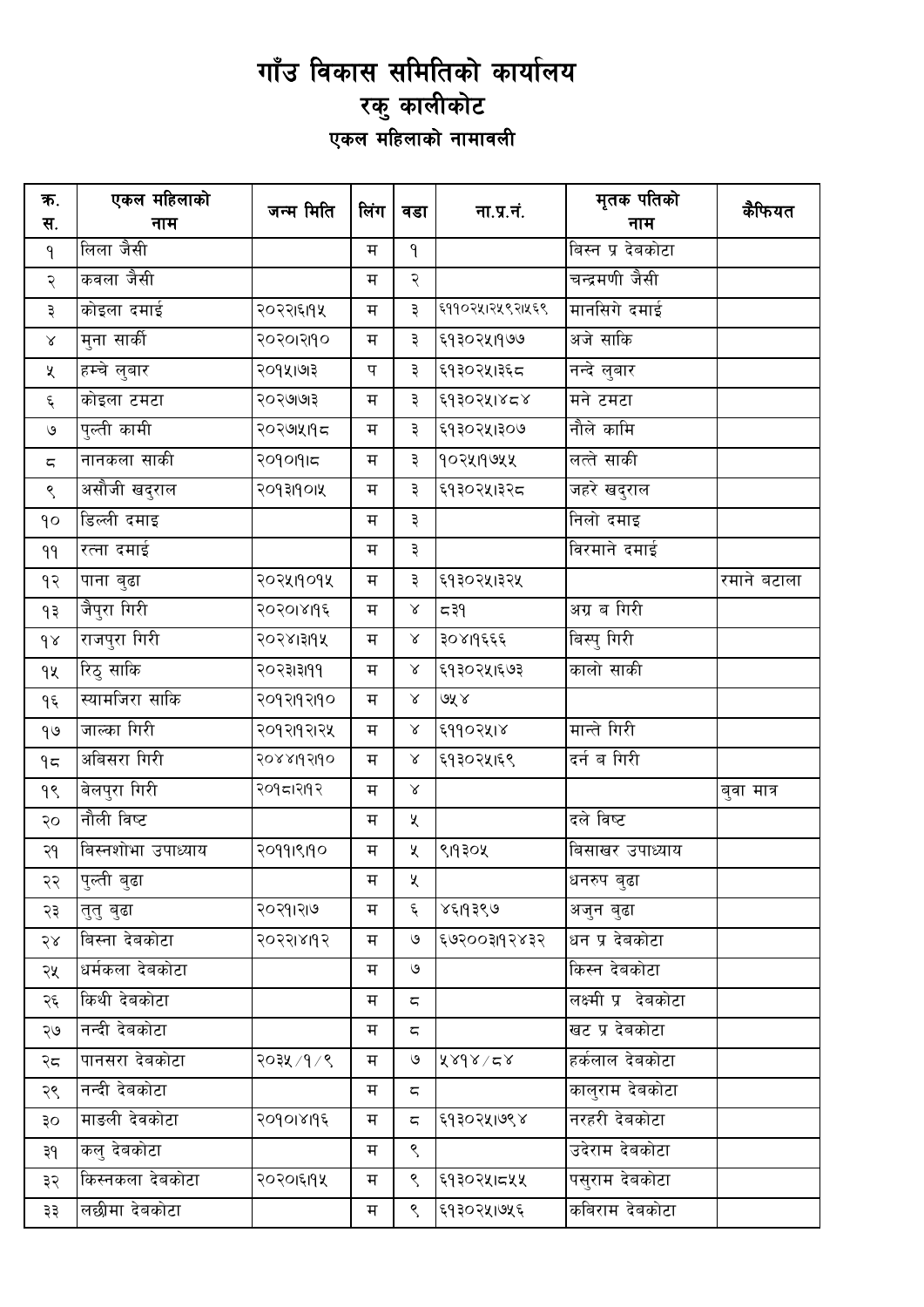## गाँउ विकास समितिको कार्यालय ्रिक् कालीकोट<br>एकल महिलाको नामावली

| क.<br>स.               | एकल महिलाको<br>नाम | जन्म मिति  | लिंग | वडा             | ना.प्र.नं.      | मृतक पतिको<br>नाम   | कैफियत      |
|------------------------|--------------------|------------|------|-----------------|-----------------|---------------------|-------------|
| ٩                      | लिला जैसी          |            | म    | $\mathsf{P}$    |                 | बिस्न प्र देबकोटा   |             |
| २                      | कवला जैसी          |            | म    | २               |                 | चन्द्रमणी जैसी      |             |
| ३                      | कोइला दमाई         | २०२२।६।१५  | म    | ३               | ६११०२५।२५९२।५६९ | मानसिगे दमाई        |             |
| $\propto$              | मुना सार्की        | २०२०१२११०  | म    | ३               | ६१३०२५।१७७      | अजे साकि            |             |
| Κ                      | हम्चे लुबार        | २०१५।७१३   | प    | ३               | ६१३०२५।३६८      | नन्दे लुबार         |             |
| $\xi$                  | कोइला टमटा         | २०२७।७१३   | म    | ३               | ६१३०२५।४८४      | मने टमटा            |             |
| $\mathsf{G}$           | पुल्ती कामी        | २०२७।५१६   | म    | ३               | ६१३०२५।३०७      | नौले कामि           |             |
| $\overline{\varsigma}$ | नानकला साकी        | २०१०११।८   | म    | ३               | १०२५१९७५५       | लत्ते साकी          |             |
| ९                      | असौजी खदुराल       | २०१३११०।५  | म    | ३               | ६१३०२५।३२८      | जहरे खदुराल         |             |
| qo                     | डिल्ली दमाइ        |            | म    | ३               |                 | निलो दमाइ           |             |
| ٩٩                     | रत्ना दमाई         |            | म    | ३               |                 | विरमाने दमाई        |             |
| ۹२                     | पाना बुढा          | २०२५११०१५  | म    | ३               | ६१३०२५।३२५      |                     | रमाने बटाला |
| ۹₹                     | जैपुरा गिरी        | २०२०१४११६  | म    | $\propto$       | ≂ ३१            | अग्र ब गिरी         |             |
| $\delta$               | राजपुरा गिरी       | २०२४।३११५  | म    | $\propto$       | ३०४११६६६        | बिस्पु गिरी         |             |
| qy                     | रिठु साकि          | २०२३।३।११  | म    | $\propto$       | ६१३०२५।६७३      | कालो साकी           |             |
| ۹६                     | स्यामजिरा साकि     | २०१२११२११० | म    | $\propto$       | ७५४             |                     |             |
| 90                     | जाल्का गिरी        | २०१२।१२।२५ | म    | ${\mathcal{R}}$ | ६११०२५।४        | मान्ते गिरी         |             |
| 95                     | अबिसरा गिरी        | २०४४।१२।१० | म    | $\propto$       | ६१३०२५।६९       | दर्न ब गिरी         |             |
| 99                     | बेलपुरा गिरी       | २०१८।२११२  | म    | $\propto$       |                 |                     | बुवा मात्र  |
| २०                     | नौली विष्ट         |            | म    | X               |                 | दले विष्ट           |             |
| २१                     | बिस्नशोभा उपाध्याय | २०११।९१०   | म    | X.              | ९११३०५          | बिसाखर उपाध्याय     |             |
| २२                     | पुल्ती बुढा        |            | म    | ५               |                 | धनरुप बुढा          |             |
| २३                     | तुतु बुढा          | २०२१।२७    | म    | ६               | ४६19३९७         | अजुन बुढा           |             |
| २४                     | बिस्ना देबकोटा     | २०२२।४११२  | म    | $\mathcal{O}$   | ६७२००३११२४३२    | धन प्र देबकोटा      |             |
| २५                     | धर्मकला देबकोटा    |            | म    | ও               |                 | किस्न देबकोटा       |             |
| २६                     | किथी देबकोटा       |            | म    | ς               |                 | लक्ष्मी प्र देबकोटा |             |
| २७                     | नन्दी देबकोटा      |            | म    | ς               |                 | खट प्र देबकोटा      |             |
| २८                     | पानसरा देबकोटा     | २०३५ /१ /९ | म    | $\mathcal{O}$   | 82/26           | हर्कलाल देबकोटा     |             |
| २९                     | नन्दी देबकोटा      |            | म    | ς               |                 | कालुराम देबकोटा     |             |
| ३०                     | माङली देवकोटा      | २०१०।४११६  | म    | ζ               | ६१३०२५।७९४      | नरहरी देबकोटा       |             |
| ३१                     | कलु देबकोटा        |            | म    | ९               |                 | उदेराम देबकोटा      |             |
| ३२                     | किस्नकला देबकोटा   | २०२०१६११४  | म    | $\mathcal{S}$   | ६१३०२५।८५५      | पसुराम देबकोटा      |             |
| ३३                     | लछीमा देबकोटा      |            | म    | ९               | ६१३०२५।७५६      | कबिराम देबकोटा      |             |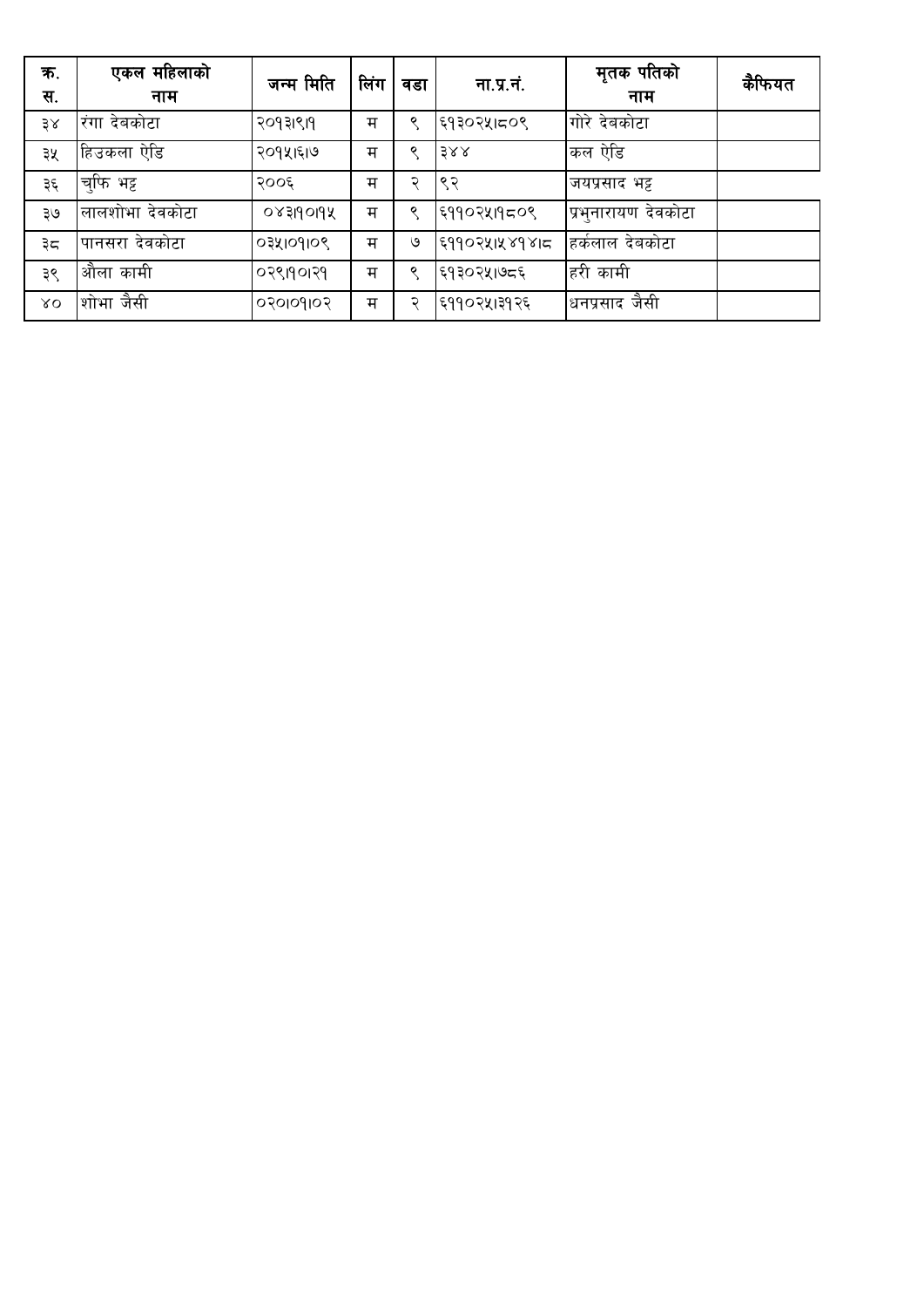| क.<br>स.         | एकल महिलाको<br>नाम | जन्म मिति        | लिंग | वडा | ना.प्र.नं.    | मृतक पतिको<br>नाम   | कैफियत |
|------------------|--------------------|------------------|------|-----|---------------|---------------------|--------|
| 38               | रंगा देबकोटा       | २०१३।९।१         | म    | ୧   | ६१३०२५।८०९    | गोरे देवकोटा        |        |
| ३५               | हिउकला ऐडि         | २०१५।६।७         | म    | Q   | 388           | कल ऐडि              |        |
| ३६               | च्फि भट्ट          | २००६             | म    | ຈ   | ९२            | जयप्रसाद भट्ट       |        |
| ३७               | लालशोभा देवकोटा    | ०४३११०११         | म    | ୧   | ६११०२५।१८०९   | प्रभुनारायण देवकोटा |        |
| ३८               | पानसरा देवकोटा     | 034109109        | म    | ও   | ६११०२५।५४१४।८ | हिकंलाल देबकोटा     |        |
| ३९               | औला कामी           | ०२९।१०।२१        | म    | Q   | ६१३०२५।७८६    | हरी कामी            |        |
| $X_{\mathbf{O}}$ | शोभा जैसी          | <b>POIPOIOSO</b> | म    | २   | ६११०२५।३१२६   | धनप्रसाद जैसी       |        |